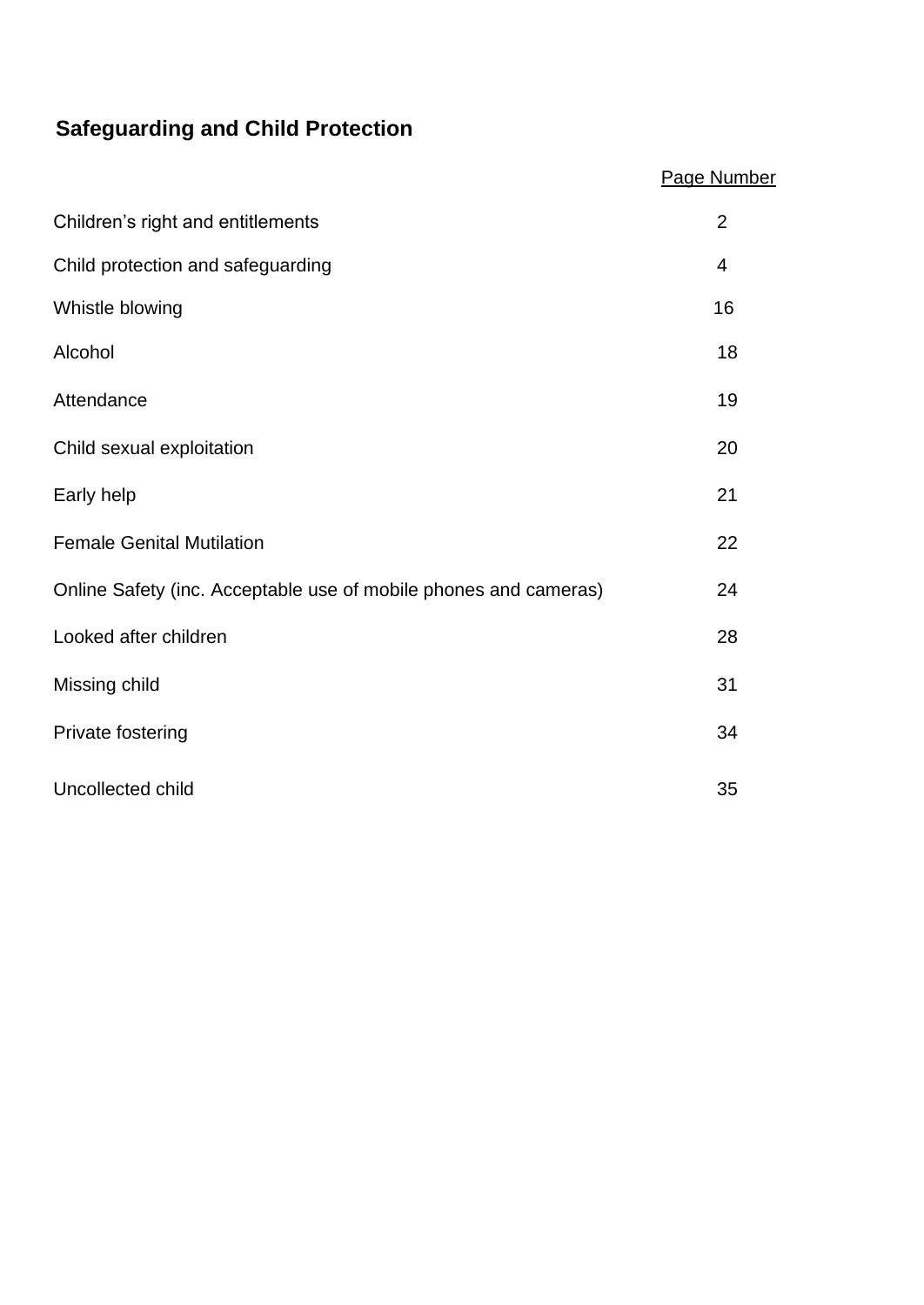# **Safeguarding and Child Protection**

|                                                                  | Page Number    |
|------------------------------------------------------------------|----------------|
| Children's right and entitlements                                | $\overline{2}$ |
| Child protection and safeguarding                                | 4              |
| Whistle blowing                                                  | 16             |
| Alcohol                                                          | 18             |
| Attendance                                                       | 19             |
| Child sexual exploitation                                        | 20             |
| Early help                                                       | 21             |
| <b>Female Genital Mutilation</b>                                 | 22             |
| Online Safety (inc. Acceptable use of mobile phones and cameras) | 24             |
| Looked after children                                            | 28             |
| Missing child                                                    | 31             |
| Private fostering                                                | 34             |
| Uncollected child                                                | 35             |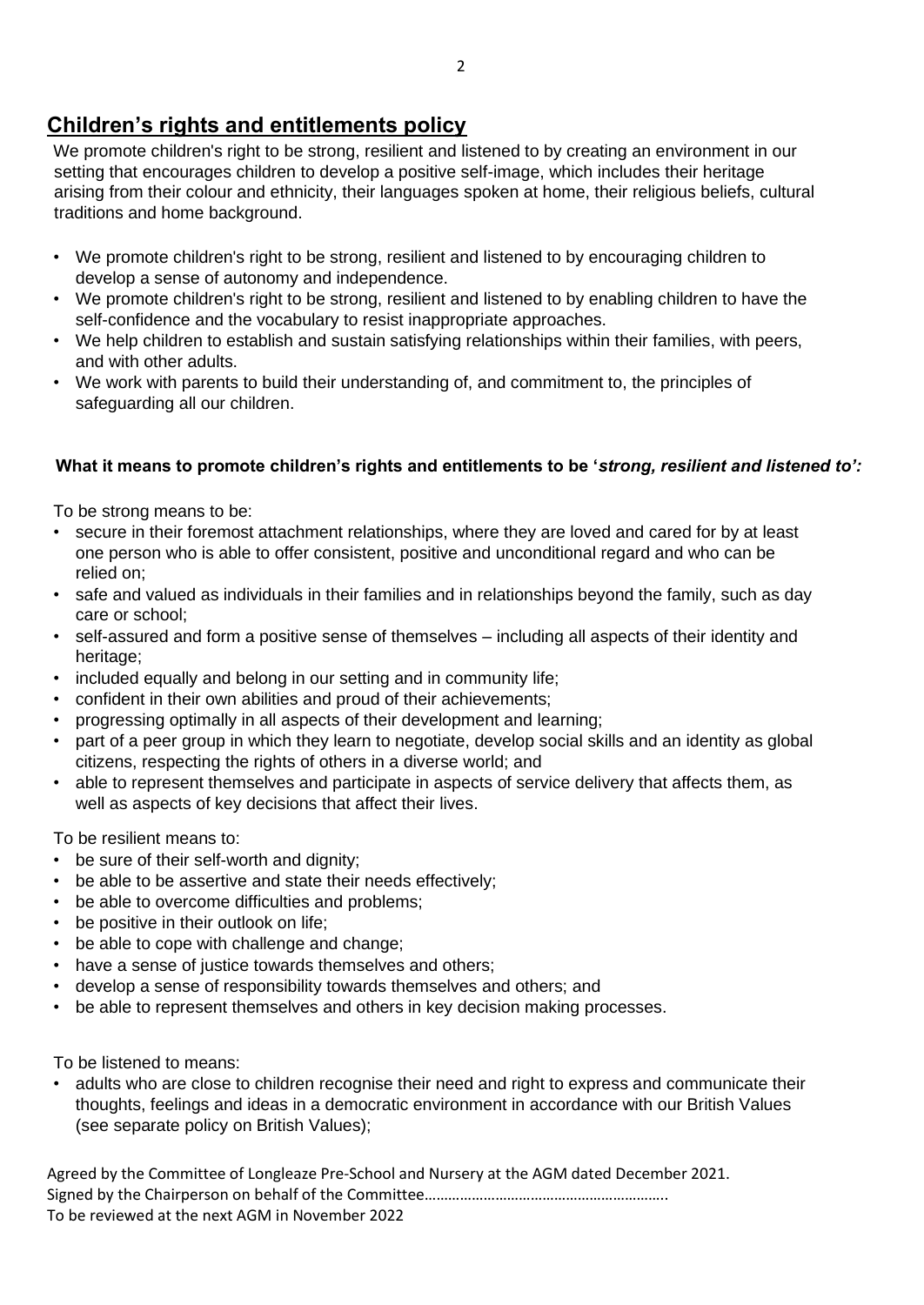# **Children's rights and entitlements policy**

We promote children's right to be strong, resilient and listened to by creating an environment in our setting that encourages children to develop a positive self-image, which includes their heritage arising from their colour and ethnicity, their languages spoken at home, their religious beliefs, cultural traditions and home background.

- We promote children's right to be strong, resilient and listened to by encouraging children to develop a sense of autonomy and independence.
- We promote children's right to be strong, resilient and listened to by enabling children to have the self-confidence and the vocabulary to resist inappropriate approaches.
- We help children to establish and sustain satisfying relationships within their families, with peers, and with other adults.
- We work with parents to build their understanding of, and commitment to, the principles of safeguarding all our children.

### **What it means to promote children's rights and entitlements to be '***strong, resilient and listened to':*

To be strong means to be:

- secure in their foremost attachment relationships, where they are loved and cared for by at least one person who is able to offer consistent, positive and unconditional regard and who can be relied on;
- safe and valued as individuals in their families and in relationships beyond the family, such as day care or school;
- self-assured and form a positive sense of themselves including all aspects of their identity and heritage;
- included equally and belong in our setting and in community life;
- confident in their own abilities and proud of their achievements;
- progressing optimally in all aspects of their development and learning;
- part of a peer group in which they learn to negotiate, develop social skills and an identity as global citizens, respecting the rights of others in a diverse world; and
- able to represent themselves and participate in aspects of service delivery that affects them, as well as aspects of key decisions that affect their lives.

To be resilient means to:

- be sure of their self-worth and dignity;
- be able to be assertive and state their needs effectively;
- be able to overcome difficulties and problems;
- be positive in their outlook on life;
- be able to cope with challenge and change;
- have a sense of justice towards themselves and others;
- develop a sense of responsibility towards themselves and others; and
- be able to represent themselves and others in key decision making processes.

To be listened to means:

adults who are close to children recognise their need and right to express and communicate their thoughts, feelings and ideas in a democratic environment in accordance with our British Values (see separate policy on British Values);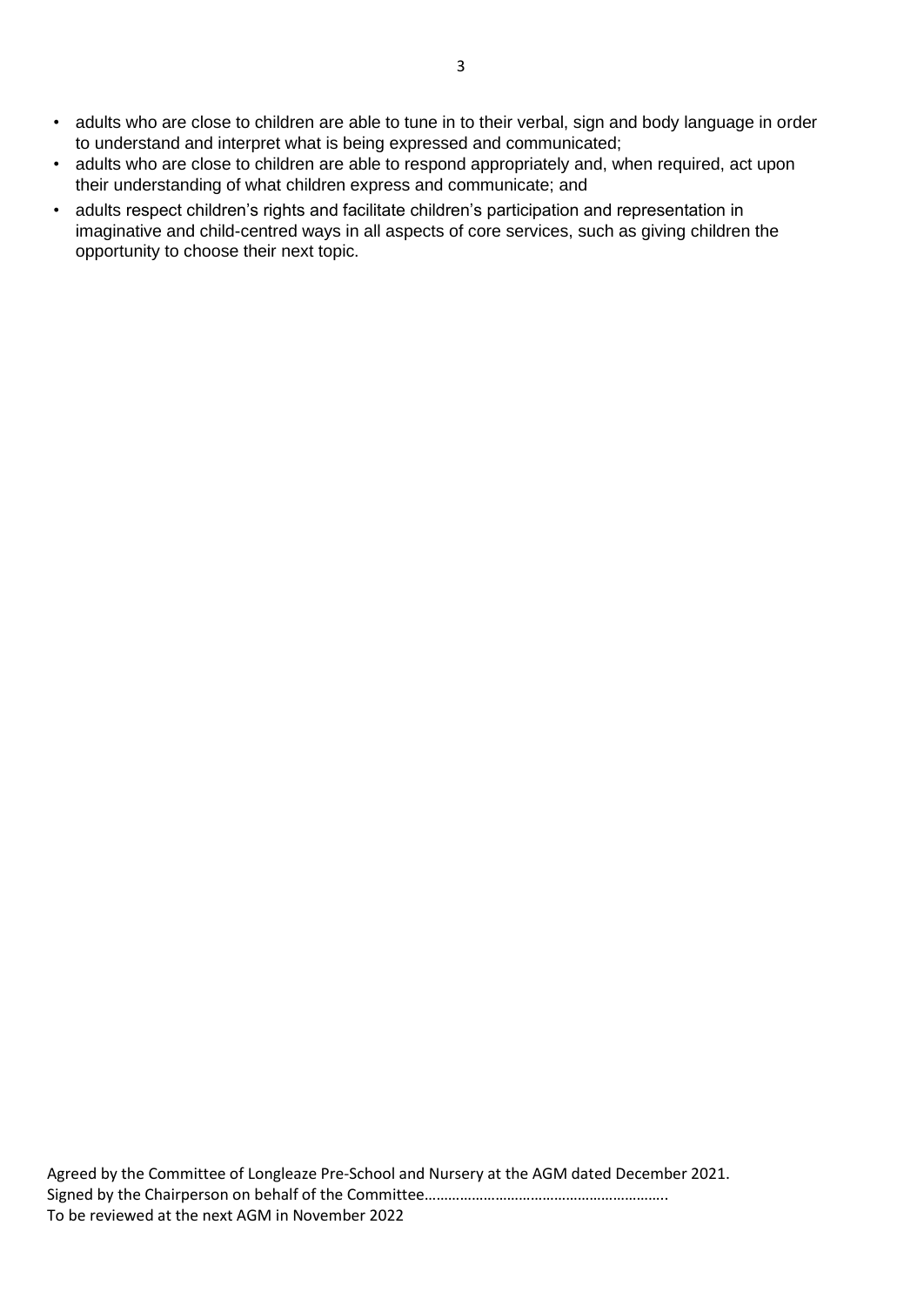- adults who are close to children are able to tune in to their verbal, sign and body language in order to understand and interpret what is being expressed and communicated;
- adults who are close to children are able to respond appropriately and, when required, act upon their understanding of what children express and communicate; and
- adults respect children's rights and facilitate children's participation and representation in imaginative and child-centred ways in all aspects of core services, such as giving children the opportunity to choose their next topic.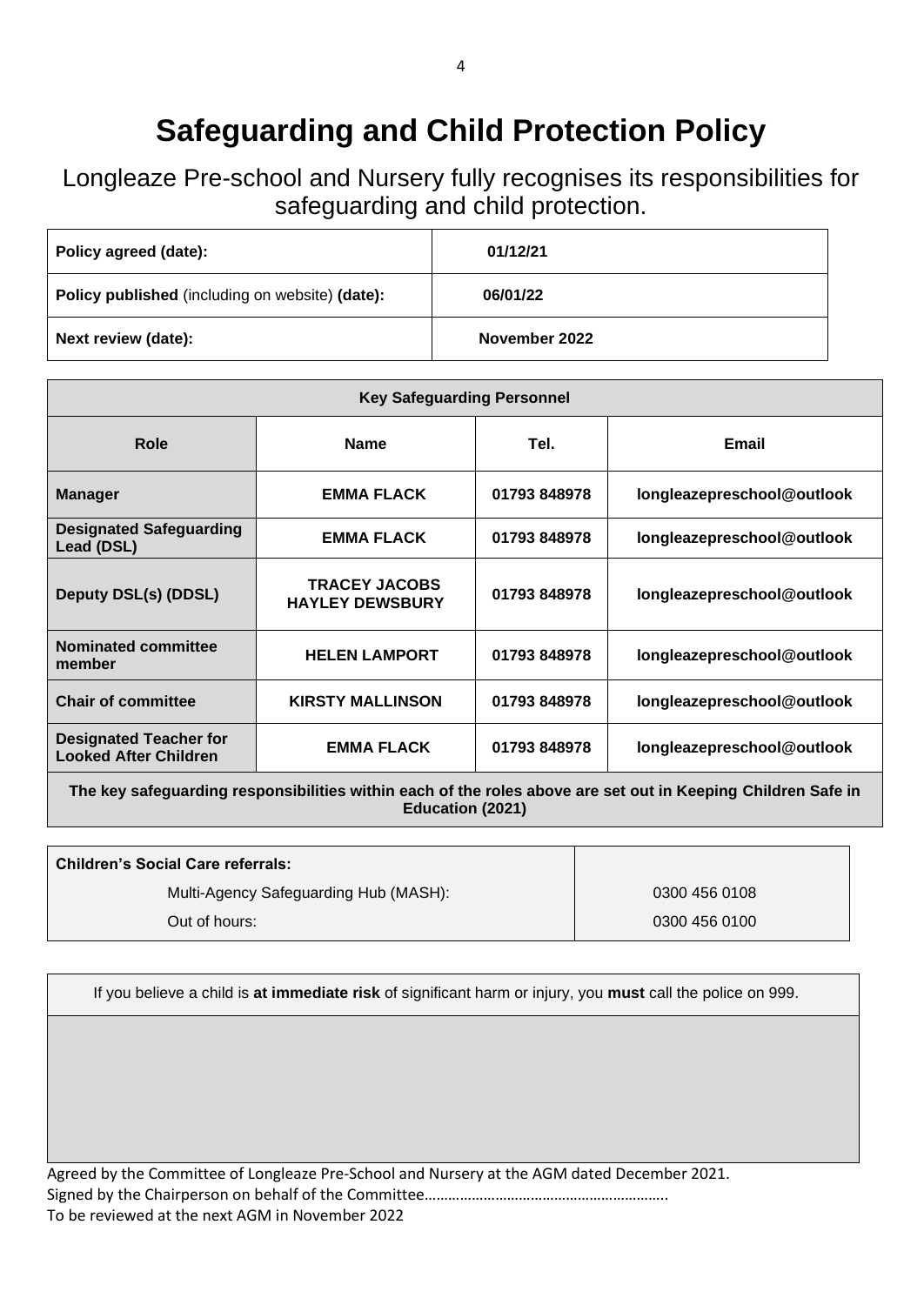# **Safeguarding and Child Protection Policy**

Longleaze Pre-school and Nursery fully recognises its responsibilities for safeguarding and child protection.

| Policy agreed (date):                                  | 01/12/21      |
|--------------------------------------------------------|---------------|
| <b>Policy published</b> (including on website) (date): | 06/01/22      |
| Next review (date):                                    | November 2022 |

| <b>Key Safeguarding Personnel</b>                             |                                                |              |                            |
|---------------------------------------------------------------|------------------------------------------------|--------------|----------------------------|
| Role                                                          | <b>Name</b>                                    | Tel.         | Email                      |
| <b>Manager</b>                                                | <b>EMMA FLACK</b>                              | 01793 848978 | longleazepreschool@outlook |
| <b>Designated Safeguarding</b><br>Lead (DSL)                  | <b>EMMA FLACK</b>                              | 01793 848978 | longleazepreschool@outlook |
| Deputy DSL(s) (DDSL)                                          | <b>TRACEY JACOBS</b><br><b>HAYLEY DEWSBURY</b> | 01793848978  | longleazepreschool@outlook |
| <b>Nominated committee</b><br>member                          | <b>HELEN LAMPORT</b>                           | 01793 848978 | longleazepreschool@outlook |
| <b>Chair of committee</b>                                     | <b>KIRSTY MALLINSON</b>                        | 01793 848978 | longleazepreschool@outlook |
| <b>Designated Teacher for</b><br><b>Looked After Children</b> | <b>EMMA FLACK</b>                              | 01793 848978 | longleazepreschool@outlook |

**The key safeguarding responsibilities within each of the roles above are set out in Keeping Children Safe in Education (2021)**

| <b>Children's Social Care referrals:</b> |               |
|------------------------------------------|---------------|
| Multi-Agency Safeguarding Hub (MASH):    | 0300 456 0108 |
| Out of hours:                            | 0300 456 0100 |

If you believe a child is **at immediate risk** of significant harm or injury, you **must** call the police on 999.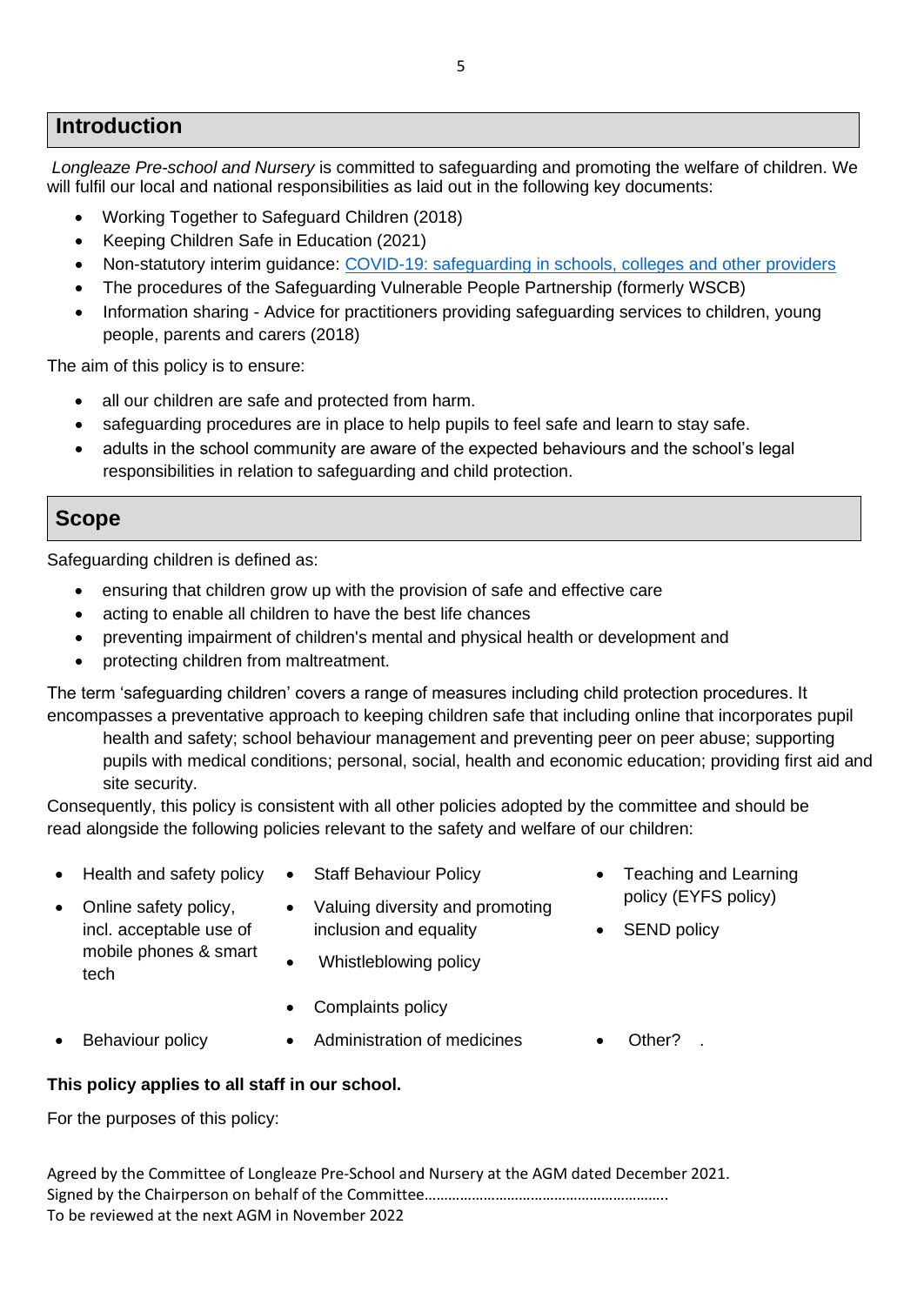# **Introduction**

*Longleaze Pre-school and Nursery* is committed to safeguarding and promoting the welfare of children. We will fulfil our local and national responsibilities as laid out in the following key documents:

- Working Together to Safeguard Children (2018)
- Keeping Children Safe in Education (2021)
- Non-statutory interim guidance: [COVID-19: safeguarding in schools, colleges and other](https://www.gov.uk/government/publications/covid-19-safeguarding-in-schools-colleges-and-other-providers/coronavirus-covid-19-safeguarding-in-schools-colleges-and-other-providers) providers
- [The procedures of the](http://www.proceduresonline.com/birmingham/scb/) Safeguarding Vulnerable People Partnership (formerly WSCB)
- Information sharing Advice for practitioners providing safeguarding services to children, young people, parents and carers (2018)

The aim of this policy is to ensure:

- all our children are safe and protected from harm.
- safeguarding procedures are in place to help pupils to feel safe and learn to stay safe.
- adults in the school community are aware of the expected behaviours and the school's legal responsibilities in relation to safeguarding and child protection.

# **Scope**

Safeguarding children is defined as:

- ensuring that children grow up with the provision of safe and effective care
- acting to enable all children to have the best life chances
- preventing impairment of children's mental and physical health or development and
- protecting children from maltreatment.

The term 'safeguarding children' covers a range of measures including child protection procedures. It encompasses a preventative approach to keeping children safe that including online that incorporates pupil

health and safety; school behaviour management and preventing peer on peer abuse; supporting pupils with medical conditions; personal, social, health and economic education; providing first aid and site security.

Consequently, this policy is consistent with all other policies adopted by the committee and should be read alongside the following policies relevant to the safety and welfare of our children:

- 
- Health and safety policy **Staff Behaviour Policy**

**This policy applies to all staff in our school.**

- Valuing diversity and promoting
- Online safety policy, incl. acceptable use of mobile phones & smart tech

For the purposes of this policy:

• Whistleblowing policy

inclusion and equality

- Complaints policy
- 
- Behaviour policy Administration of medicines Other? .
- Teaching and Learning policy (EYFS policy)
- **SEND policy** 
	-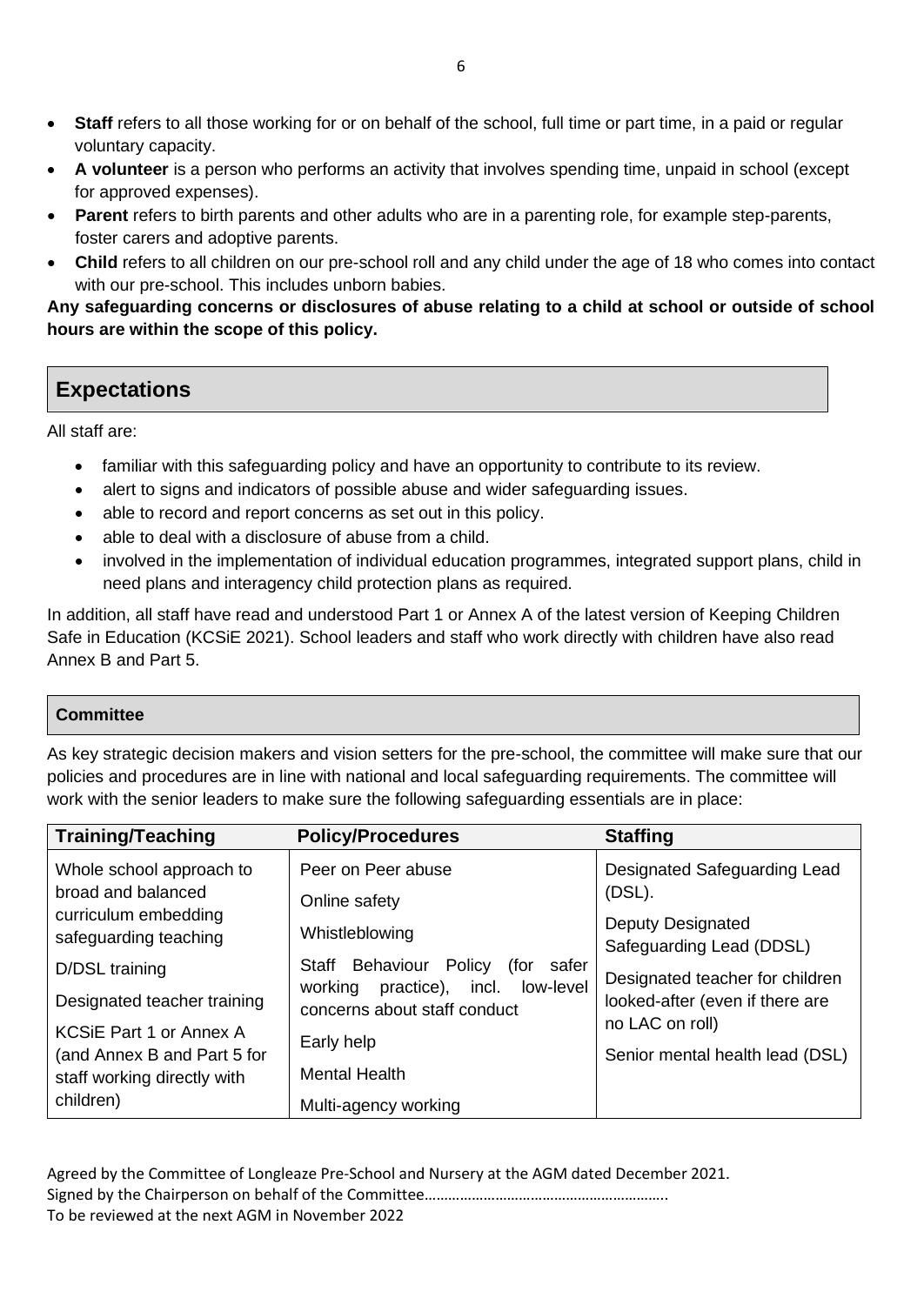- **Staff** refers to all those working for or on behalf of the school, full time or part time, in a paid or regular voluntary capacity.
- **A volunteer** is a person who performs an activity that involves spending time, unpaid in school (except for approved expenses).
- **Parent** refers to birth parents and other adults who are in a parenting role, for example step-parents, foster carers and adoptive parents.
- **Child** refers to all children on our pre-school roll and any child under the age of 18 who comes into contact with our pre-school. This includes unborn babies.

**Any safeguarding concerns or disclosures of abuse relating to a child at school or outside of school hours are within the scope of this policy.**

# **Expectations**

All staff are:

- familiar with this safeguarding policy and have an opportunity to contribute to its review.
- alert to signs and indicators of possible abuse and wider safeguarding issues.
- able to record and report concerns as set out in this policy.
- able to deal with a disclosure of abuse from a child.
- involved in the implementation of individual education programmes, integrated support plans, child in need plans and interagency child protection plans as required.

In addition, all staff have read and understood Part 1 or Annex A of the latest version of Keeping Children Safe in Education (KCSiE 2021). School leaders and staff who work directly with children have also read Annex B and Part 5.

### **Committee**

As key strategic decision makers and vision setters for the pre-school, the committee will make sure that our policies and procedures are in line with national and local safeguarding requirements. The committee will work with the senior leaders to make sure the following safeguarding essentials are in place:

| <b>Training/Teaching</b>                                               | <b>Policy/Procedures</b>                                                 | <b>Staffing</b>                               |
|------------------------------------------------------------------------|--------------------------------------------------------------------------|-----------------------------------------------|
| Whole school approach to<br>broad and balanced<br>curriculum embedding | Peer on Peer abuse<br>Online safety                                      | Designated Safeguarding Lead<br>$(DSL)$ .     |
| safeguarding teaching                                                  | Whistleblowing                                                           | Deputy Designated<br>Safeguarding Lead (DDSL) |
| D/DSL training                                                         | Behaviour Policy<br>Staff<br>(for safer                                  | Designated teacher for children               |
| Designated teacher training                                            | working practice),<br>incl.<br>low-level<br>concerns about staff conduct | looked-after (even if there are               |
| KCSiE Part 1 or Annex A                                                | Early help                                                               | no LAC on roll)                               |
| (and Annex B and Part 5 for<br>staff working directly with             | <b>Mental Health</b>                                                     | Senior mental health lead (DSL)               |
| children)                                                              | Multi-agency working                                                     |                                               |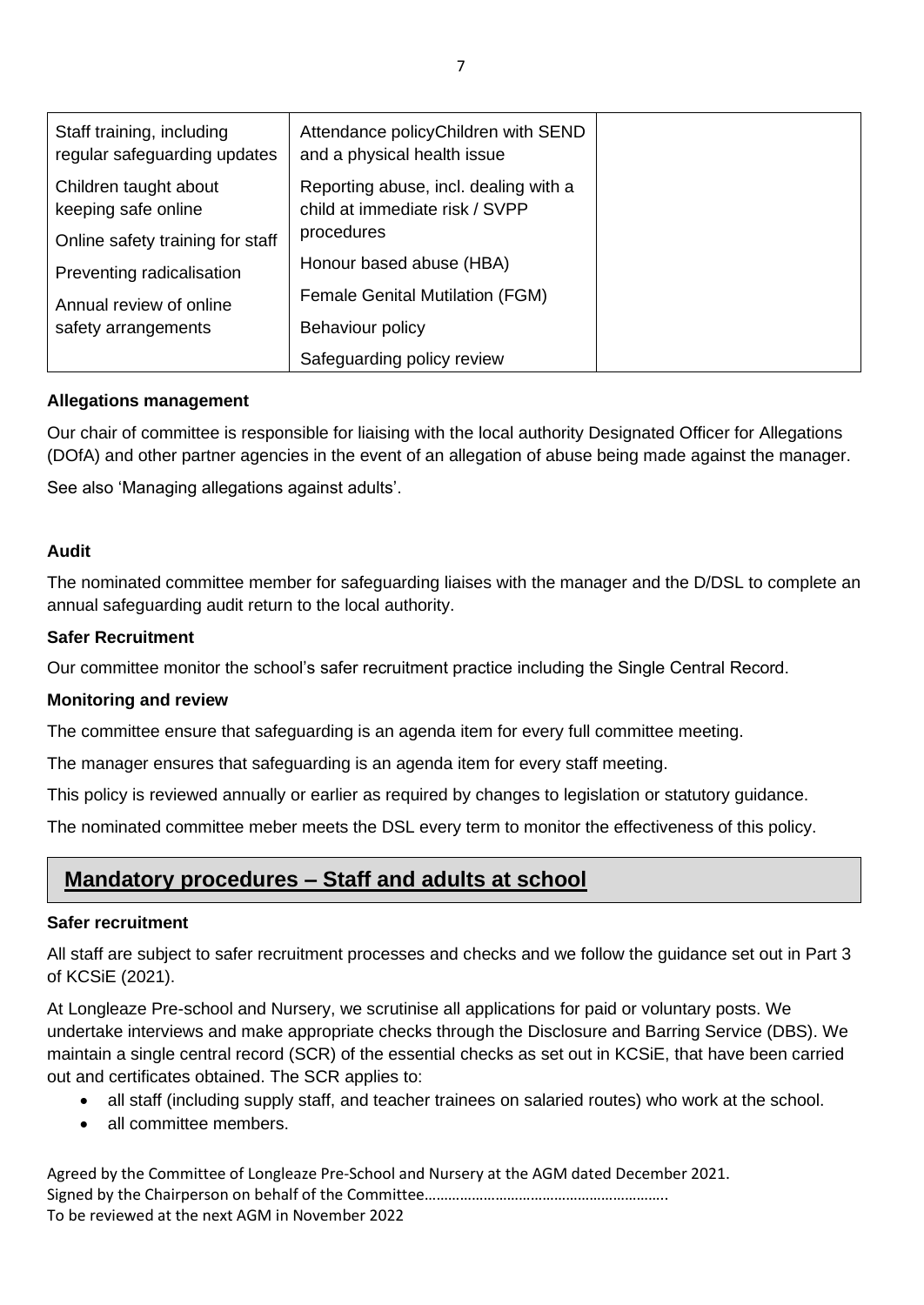| Staff training, including<br>regular safeguarding updates | Attendance policy Children with SEND<br>and a physical health issue     |
|-----------------------------------------------------------|-------------------------------------------------------------------------|
| Children taught about<br>keeping safe online              | Reporting abuse, incl. dealing with a<br>child at immediate risk / SVPP |
| Online safety training for staff                          | procedures                                                              |
| Preventing radicalisation                                 | Honour based abuse (HBA)                                                |
| Annual review of online                                   | <b>Female Genital Mutilation (FGM)</b>                                  |
| safety arrangements                                       | Behaviour policy                                                        |
|                                                           | Safeguarding policy review                                              |

### **Allegations management**

Our chair of committee is responsible for liaising with the local authority Designated Officer for Allegations (DOfA) and other partner agencies in the event of an allegation of abuse being made against the manager.

See also 'Managing allegations against adults'.

#### **Audit**

The nominated committee member for safeguarding liaises with the manager and the D/DSL to complete an annual safeguarding audit return to the local authority.

#### **Safer Recruitment**

Our committee monitor the school's safer recruitment practice including the Single Central Record.

#### **Monitoring and review**

The committee ensure that safeguarding is an agenda item for every full committee meeting.

The manager ensures that safeguarding is an agenda item for every staff meeting.

This policy is reviewed annually or earlier as required by changes to legislation or statutory guidance.

The nominated committee meber meets the DSL every term to monitor the effectiveness of this policy.

# **Mandatory procedures – Staff and adults at school**

#### **Safer recruitment**

All staff are subject to safer recruitment processes and checks and we follow the guidance set out in Part 3 of KCSiE (2021).

At Longleaze Pre-school and Nursery, we scrutinise all applications for paid or voluntary posts. We undertake interviews and make appropriate checks through the Disclosure and Barring Service (DBS). We maintain a single central record (SCR) of the essential checks as set out in KCSiE, that have been carried out and certificates obtained. The SCR applies to:

- all staff (including supply staff, and teacher trainees on salaried routes) who work at the school.
- all committee members.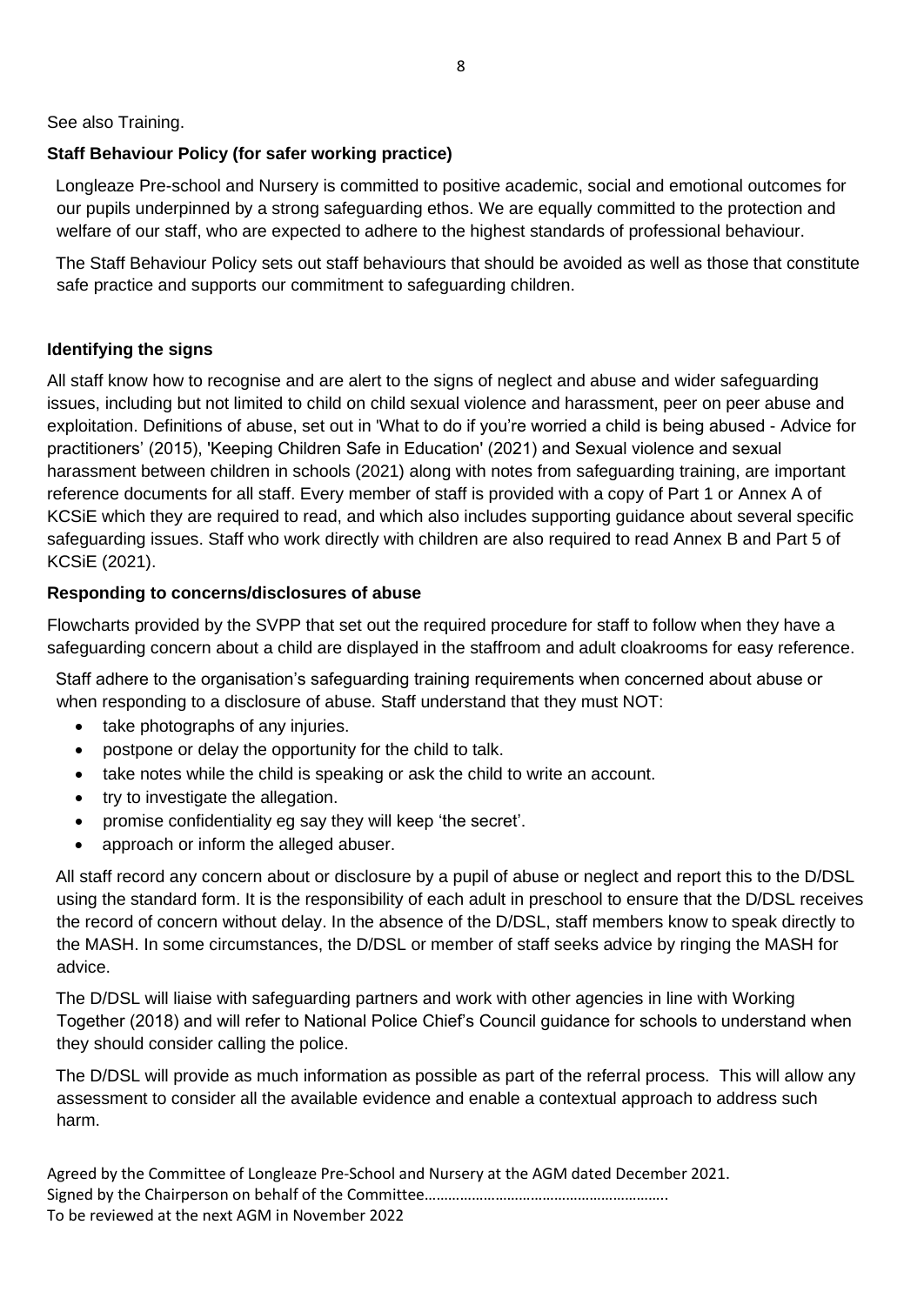See also Training.

# **Staff Behaviour Policy (for safer working practice)**

Longleaze Pre-school and Nursery is committed to positive academic, social and emotional outcomes for our pupils underpinned by a strong safeguarding ethos. We are equally committed to the protection and welfare of our staff, who are expected to adhere to the highest standards of professional behaviour.

The Staff Behaviour Policy sets out staff behaviours that should be avoided as well as those that constitute safe practice and supports our commitment to safeguarding children.

### **Identifying the signs**

All staff know how to recognise and are alert to the signs of neglect and abuse and wider safeguarding issues, including but not limited to child on child sexual violence and harassment, peer on peer abuse and exploitation. Definitions of abuse, set out in 'What to do if you're worried a child is being abused - Advice for practitioners' (2015), 'Keeping Children Safe in Education' (2021) and Sexual violence and sexual harassment between children in schools (2021) along with notes from safeguarding training, are important reference documents for all staff. Every member of staff is provided with a copy of Part 1 or Annex A of KCSiE which they are required to read, and which also includes supporting guidance about several specific safeguarding issues. Staff who work directly with children are also required to read Annex B and Part 5 of KCSiE (2021).

### **Responding to concerns/disclosures of abuse**

Flowcharts provided by the SVPP that set out the required procedure for staff to follow when they have a safeguarding concern about a child are displayed in the staffroom and adult cloakrooms for easy reference.

Staff adhere to the organisation's safeguarding training requirements when concerned about abuse or when responding to a disclosure of abuse. Staff understand that they must NOT:

- take photographs of any injuries.
- postpone or delay the opportunity for the child to talk.
- take notes while the child is speaking or ask the child to write an account.
- try to investigate the allegation.
- promise confidentiality eg say they will keep 'the secret'.
- approach or inform the alleged abuser.

All staff record any concern about or disclosure by a pupil of abuse or neglect and report this to the D/DSL using the standard form. It is the responsibility of each adult in preschool to ensure that the D/DSL receives the record of concern without delay. In the absence of the D/DSL, staff members know to speak directly to the MASH. In some circumstances, the D/DSL or member of staff seeks advice by ringing the MASH for advice.

The D/DSL will liaise with safeguarding partners and work with other agencies in line with Working Together (2018) and will refer to National Police Chief's Council guidance for schools to understand when they should consider calling the police.

The D/DSL will provide as much information as possible as part of the referral process. This will allow any assessment to consider all the available evidence and enable a contextual approach to address such harm.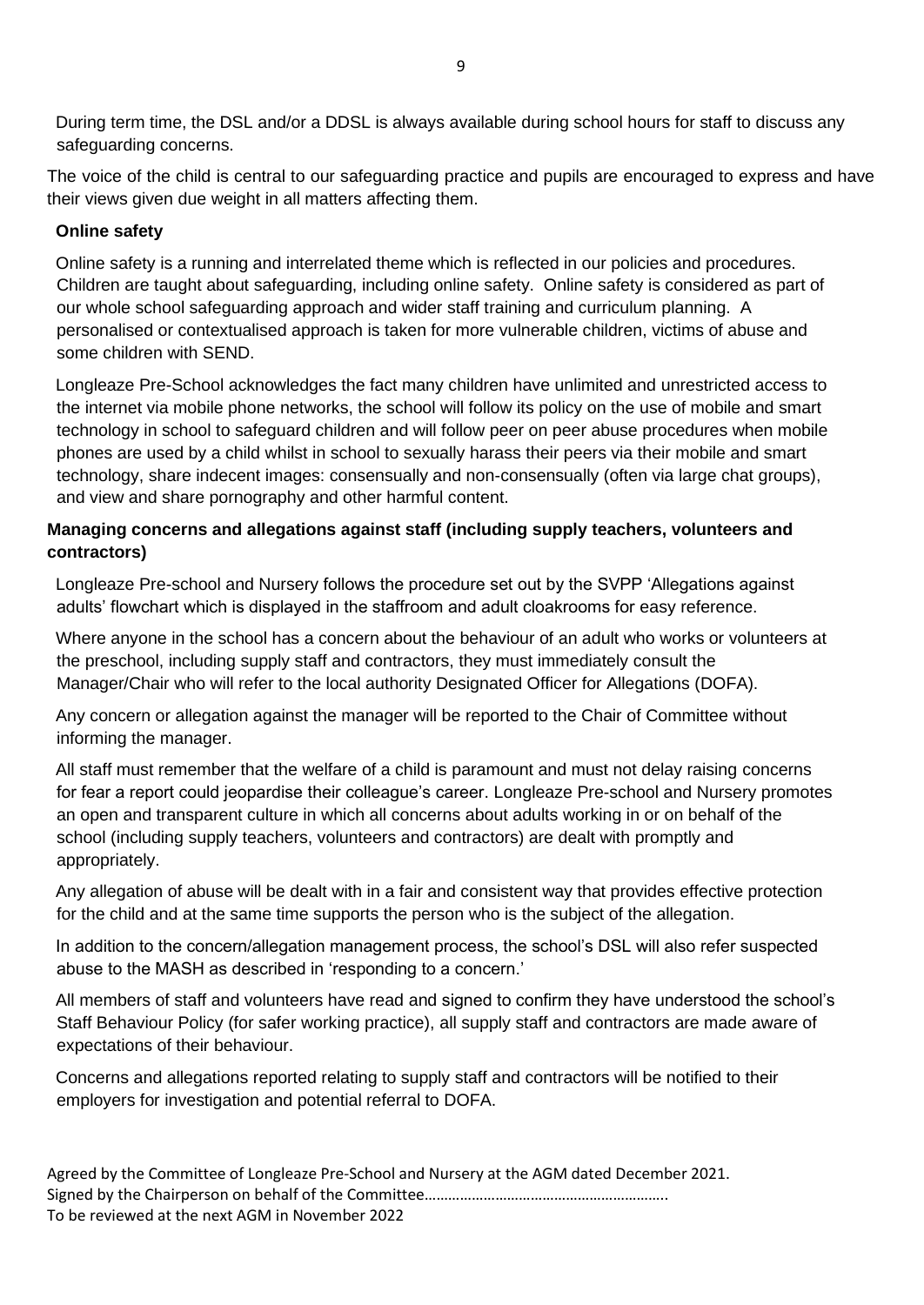During term time, the DSL and/or a DDSL is always available during school hours for staff to discuss any safeguarding concerns.

The voice of the child is central to our safeguarding practice and pupils are encouraged to express and have their views given due weight in all matters affecting them.

### **Online safety**

Online safety is a running and interrelated theme which is reflected in our policies and procedures. Children are taught about safeguarding, including online safety. Online safety is considered as part of our whole school safeguarding approach and wider staff training and curriculum planning. A personalised or contextualised approach is taken for more vulnerable children, victims of abuse and some children with SEND.

Longleaze Pre-School acknowledges the fact many children have unlimited and unrestricted access to the internet via mobile phone networks, the school will follow its policy on the use of mobile and smart technology in school to safeguard children and will follow peer on peer abuse procedures when mobile phones are used by a child whilst in school to sexually harass their peers via their mobile and smart technology, share indecent images: consensually and non-consensually (often via large chat groups), and view and share pornography and other harmful content.

### **Managing concerns and allegations against staff (including supply teachers, volunteers and contractors)**

Longleaze Pre-school and Nursery follows the procedure set out by the SVPP 'Allegations against adults' flowchart which is displayed in the staffroom and adult cloakrooms for easy reference.

Where anyone in the school has a concern about the behaviour of an adult who works or volunteers at the preschool, including supply staff and contractors, they must immediately consult the Manager/Chair who will refer to the local authority Designated Officer for Allegations (DOFA).

Any concern or allegation against the manager will be reported to the Chair of Committee without informing the manager.

All staff must remember that the welfare of a child is paramount and must not delay raising concerns for fear a report could jeopardise their colleague's career. Longleaze Pre-school and Nursery promotes an open and transparent culture in which all concerns about adults working in or on behalf of the school (including supply teachers, volunteers and contractors) are dealt with promptly and appropriately.

Any allegation of abuse will be dealt with in a fair and consistent way that provides effective protection for the child and at the same time supports the person who is the subject of the allegation.

In addition to the concern/allegation management process, the school's DSL will also refer suspected abuse to the MASH as described in 'responding to a concern.'

All members of staff and volunteers have read and signed to confirm they have understood the school's Staff Behaviour Policy (for safer working practice), all supply staff and contractors are made aware of expectations of their behaviour.

Concerns and allegations reported relating to supply staff and contractors will be notified to their employers for investigation and potential referral to DOFA.

| Agreed by the Committee of Longleaze Pre-School and Nursery at the AGM dated December 2021. |
|---------------------------------------------------------------------------------------------|
|                                                                                             |
| To be reviewed at the next AGM in November 2022                                             |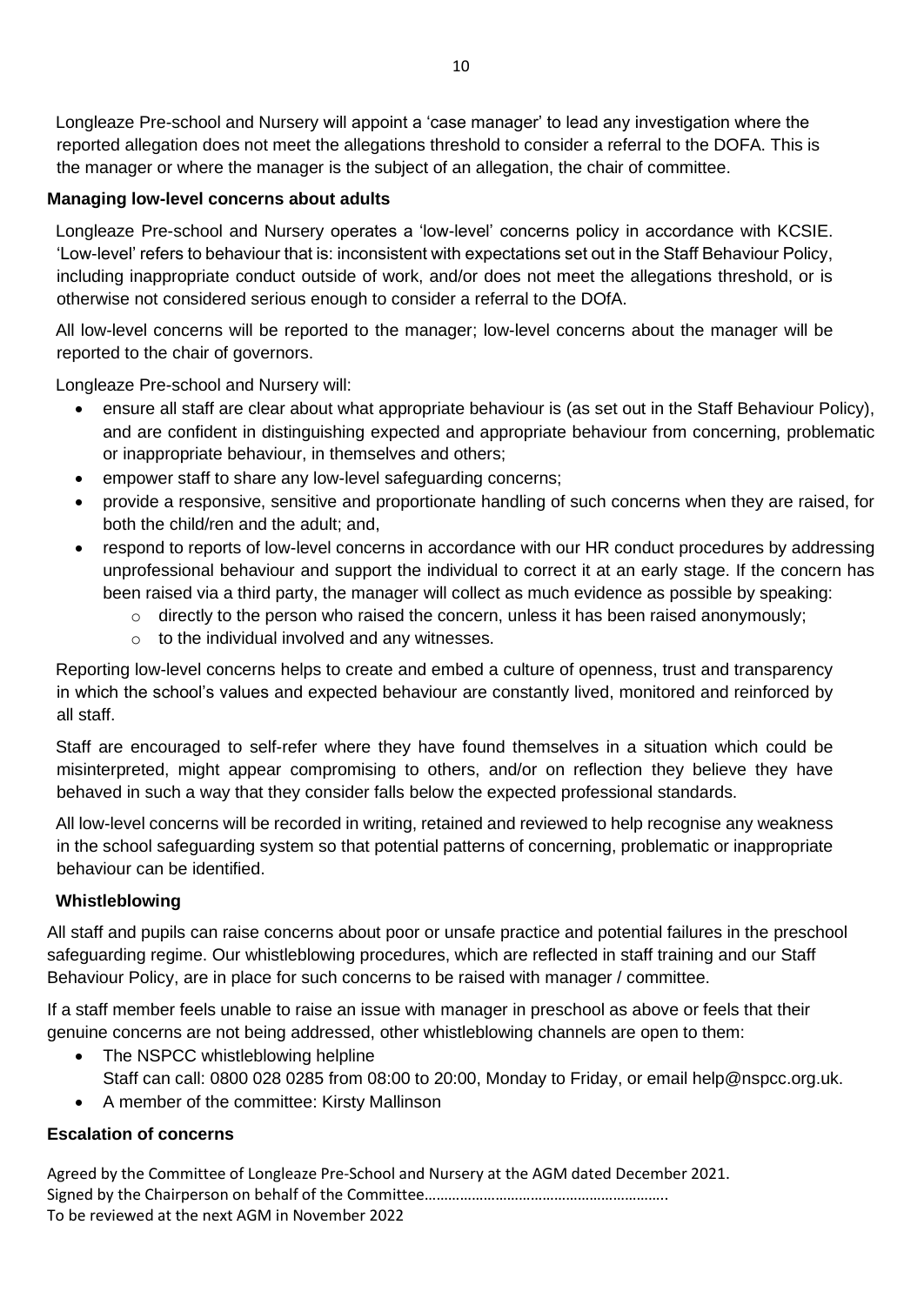Longleaze Pre-school and Nursery will appoint a 'case manager' to lead any investigation where the reported allegation does not meet the allegations threshold to consider a referral to the DOFA. This is the manager or where the manager is the subject of an allegation, the chair of committee.

### **Managing low-level concerns about adults**

Longleaze Pre-school and Nursery operates a 'low-level' concerns policy in accordance with KCSIE. 'Low-level' refers to behaviour that is: inconsistent with expectations set out in the Staff Behaviour Policy, including inappropriate conduct outside of work, and/or does not meet the allegations threshold, or is otherwise not considered serious enough to consider a referral to the DOfA.

All low-level concerns will be reported to the manager; low-level concerns about the manager will be reported to the chair of governors.

Longleaze Pre-school and Nursery will:

- ensure all staff are clear about what appropriate behaviour is (as set out in the Staff Behaviour Policy), and are confident in distinguishing expected and appropriate behaviour from concerning, problematic or inappropriate behaviour, in themselves and others;
- empower staff to share any low-level safeguarding concerns;
- provide a responsive, sensitive and proportionate handling of such concerns when they are raised, for both the child/ren and the adult; and,
- respond to reports of low-level concerns in accordance with our HR conduct procedures by addressing unprofessional behaviour and support the individual to correct it at an early stage. If the concern has been raised via a third party, the manager will collect as much evidence as possible by speaking:
	- o directly to the person who raised the concern, unless it has been raised anonymously;
	- o to the individual involved and any witnesses.

Reporting low-level concerns helps to create and embed a culture of openness, trust and transparency in which the school's values and expected behaviour are constantly lived, monitored and reinforced by all staff.

Staff are encouraged to self-refer where they have found themselves in a situation which could be misinterpreted, might appear compromising to others, and/or on reflection they believe they have behaved in such a way that they consider falls below the expected professional standards.

All low-level concerns will be recorded in writing, retained and reviewed to help recognise any weakness in the school safeguarding system so that potential patterns of concerning, problematic or inappropriate behaviour can be identified.

# **Whistleblowing**

All staff and pupils can raise concerns about poor or unsafe practice and potential failures in the preschool safeguarding regime. Our whistleblowing procedures, which are reflected in staff training and our Staff Behaviour Policy, are in place for such concerns to be raised with manager / committee.

If a staff member feels unable to raise an issue with manager in preschool as above or feels that their genuine concerns are not being addressed, other whistleblowing channels are open to them:

- The NSPCC whistleblowing helpline Staff can call: 0800 028 0285 from 08:00 to 20:00, Monday to Friday, or email help@nspcc.org.uk.
- A member of the committee: Kirsty Mallinson

# **Escalation of concerns**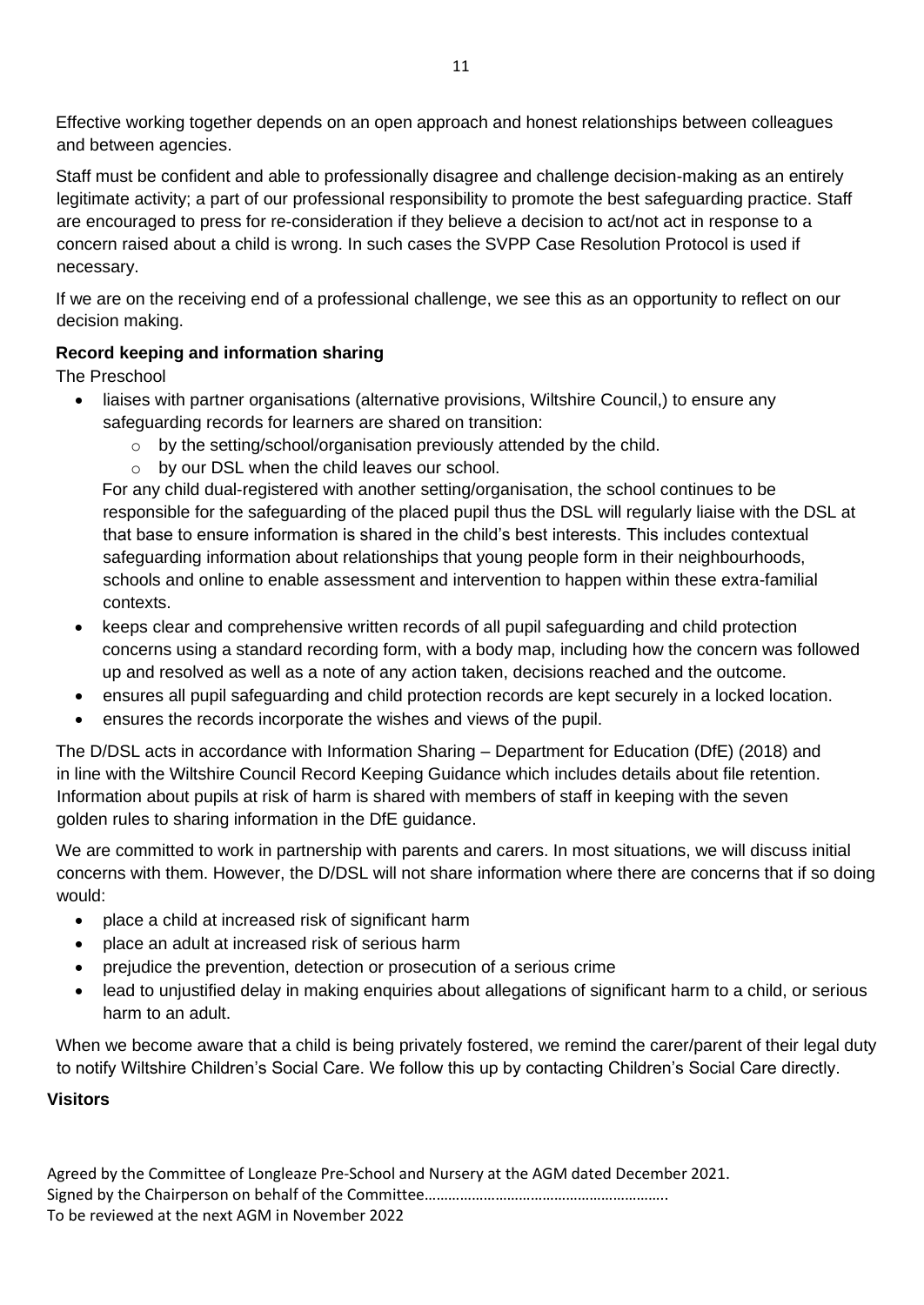Effective working together depends on an open approach and honest relationships between colleagues and between agencies.

Staff must be confident and able to professionally disagree and challenge decision-making as an entirely legitimate activity; a part of our professional responsibility to promote the best safeguarding practice. Staff are encouraged to press for re-consideration if they believe a decision to act/not act in response to a concern raised about a child is wrong. In such cases the SVPP Case Resolution Protocol is used if necessary.

If we are on the receiving end of a professional challenge, we see this as an opportunity to reflect on our decision making.

### **Record keeping and information sharing**

The Preschool

- liaises with partner organisations (alternative provisions, Wiltshire Council,) to ensure any safeguarding records for learners are shared on transition:
	- o by the setting/school/organisation previously attended by the child.
	- o by our DSL when the child leaves our school.

For any child dual-registered with another setting/organisation, the school continues to be responsible for the safeguarding of the placed pupil thus the DSL will regularly liaise with the DSL at that base to ensure information is shared in the child's best interests. This includes contextual safeguarding information about relationships that young people form in their neighbourhoods, schools and online to enable assessment and intervention to happen within these extra-familial contexts.

- keeps clear and comprehensive written records of all pupil safeguarding and child protection concerns using a standard recording form, with a body map, including how the concern was followed up and resolved as well as a note of any action taken, decisions reached and the outcome.
- ensures all pupil safeguarding and child protection records are kept securely in a locked location.
- ensures the records incorporate the wishes and views of the pupil.

The D/DSL acts in accordance with Information Sharing – Department for Education (DfE) (2018) and in line with the Wiltshire Council Record Keeping Guidance which includes details about file retention. Information about pupils at risk of harm is shared with members of staff in keeping with the seven golden rules to sharing information in the DfE guidance.

We are committed to work in partnership with parents and carers. In most situations, we will discuss initial concerns with them. However, the D/DSL will not share information where there are concerns that if so doing would:

- place a child at increased risk of significant harm
- place an adult at increased risk of serious harm
- prejudice the prevention, detection or prosecution of a serious crime
- lead to unjustified delay in making enquiries about allegations of significant harm to a child, or serious harm to an adult.

When we become aware that a child is being privately fostered, we remind the carer/parent of their legal duty to notify Wiltshire Children's Social Care. We follow this up by contacting Children's Social Care directly.

### **Visitors**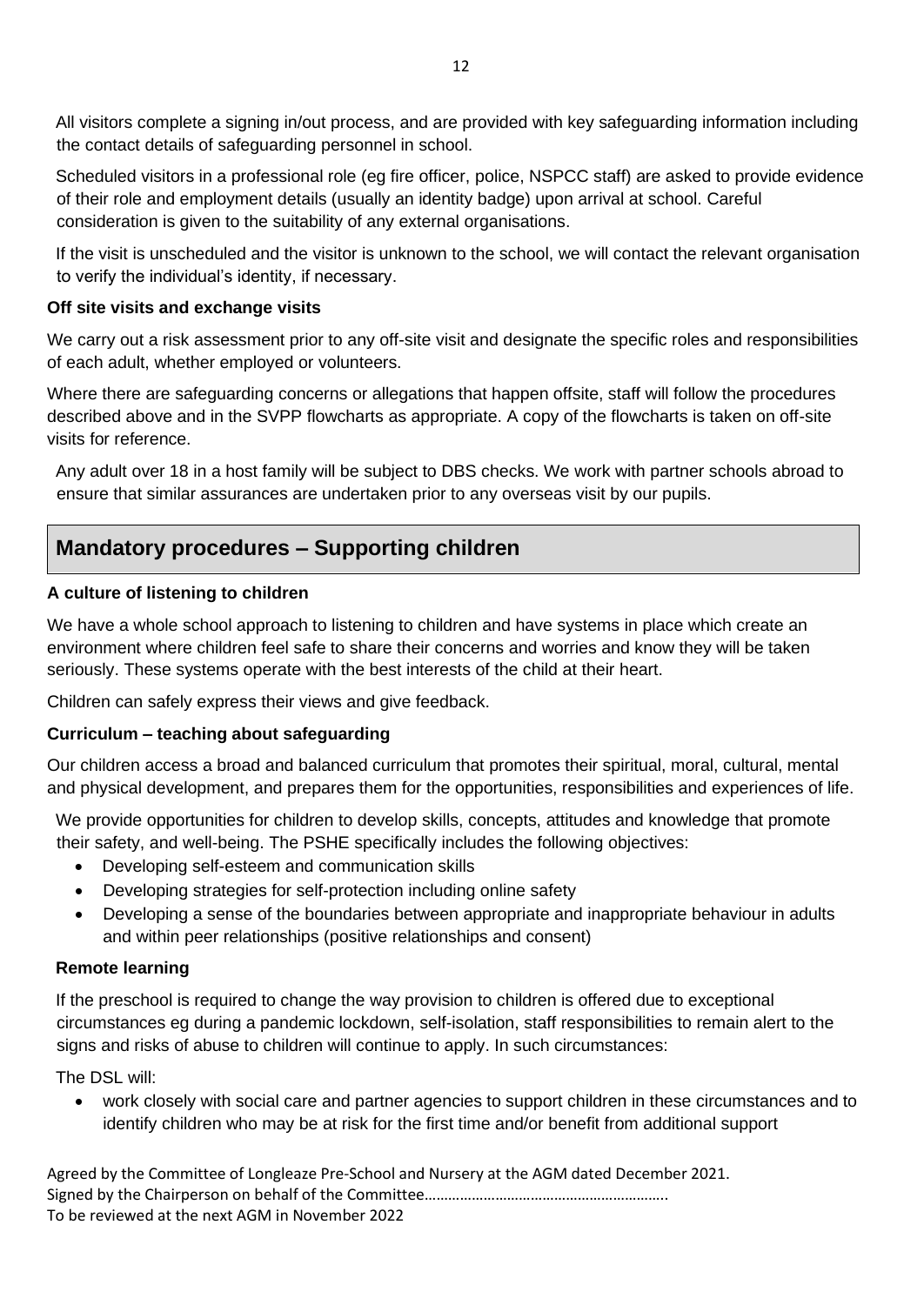All visitors complete a signing in/out process, and are provided with key safeguarding information including the contact details of safeguarding personnel in school.

Scheduled visitors in a professional role (eg fire officer, police, NSPCC staff) are asked to provide evidence of their role and employment details (usually an identity badge) upon arrival at school. Careful consideration is given to the suitability of any external organisations.

If the visit is unscheduled and the visitor is unknown to the school, we will contact the relevant organisation to verify the individual's identity, if necessary.

#### **Off site visits and exchange visits**

We carry out a risk assessment prior to any off-site visit and designate the specific roles and responsibilities of each adult, whether employed or volunteers.

Where there are safeguarding concerns or allegations that happen offsite, staff will follow the procedures described above and in the SVPP flowcharts as appropriate. A copy of the flowcharts is taken on off-site visits for reference.

Any adult over 18 in a host family will be subject to DBS checks. We work with partner schools abroad to ensure that similar assurances are undertaken prior to any overseas visit by our pupils.

# **Mandatory procedures – Supporting children**

#### **A culture of listening to children**

We have a whole school approach to listening to children and have systems in place which create an environment where children feel safe to share their concerns and worries and know they will be taken seriously. These systems operate with the best interests of the child at their heart.

Children can safely express their views and give feedback.

### **Curriculum – teaching about safeguarding**

Our children access a broad and balanced curriculum that promotes their spiritual, moral, cultural, mental and physical development, and prepares them for the opportunities, responsibilities and experiences of life.

We provide opportunities for children to develop skills, concepts, attitudes and knowledge that promote their safety, and well-being. The PSHE specifically includes the following objectives:

- Developing self-esteem and communication skills
- Developing strategies for self-protection including online safety
- Developing a sense of the boundaries between appropriate and inappropriate behaviour in adults and within peer relationships (positive relationships and consent)

#### **Remote learning**

If the preschool is required to change the way provision to children is offered due to exceptional circumstances eg during a pandemic lockdown, self-isolation, staff responsibilities to remain alert to the signs and risks of abuse to children will continue to apply. In such circumstances:

The DSL will:

• work closely with social care and partner agencies to support children in these circumstances and to identify children who may be at risk for the first time and/or benefit from additional support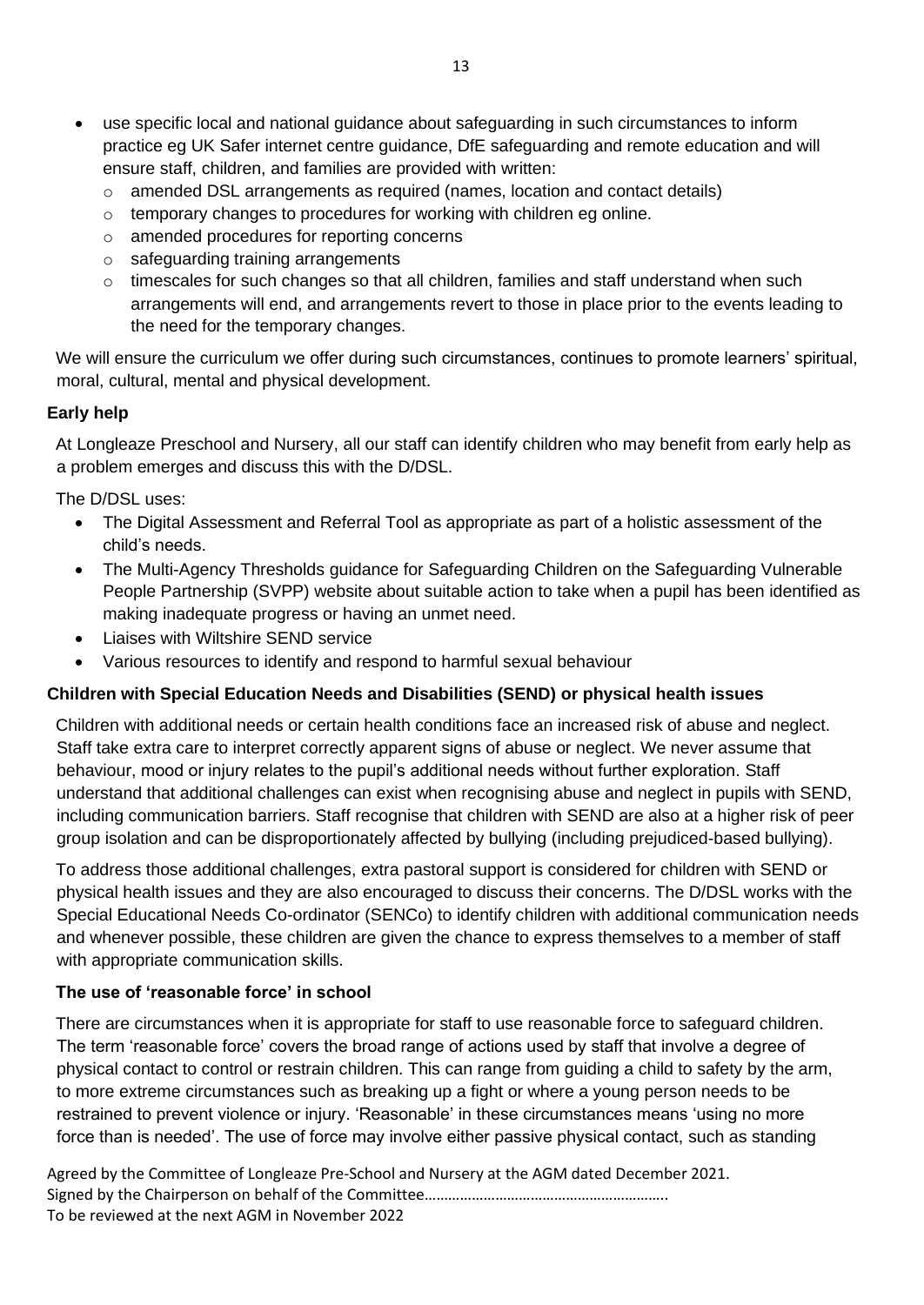- use specific local and national guidance about safeguarding in such circumstances to inform practice eg UK Safer internet centre guidance, DfE safeguarding and remote education and will ensure staff, children, and families are provided with written:
	- $\circ$  amended DSL arrangements as required (names, location and contact details)
	- o temporary changes to procedures for working with children eg online.
	- o amended procedures for reporting concerns
	- o safeguarding training arrangements
	- $\circ$  timescales for such changes so that all children, families and staff understand when such arrangements will end, and arrangements revert to those in place prior to the events leading to the need for the temporary changes.

We will ensure the curriculum we offer during such circumstances, continues to promote learners' spiritual, moral, cultural, mental and physical development.

### **Early help**

At Longleaze Preschool and Nursery, all our staff can identify children who may benefit from early help as a problem emerges and discuss this with the D/DSL.

The D/DSL uses:

- The Digital Assessment and Referral Tool as appropriate as part of a holistic assessment of the child's needs.
- The Multi-Agency Thresholds guidance for Safeguarding Children on the Safeguarding Vulnerable People Partnership (SVPP) website about suitable action to take when a pupil has been identified as making inadequate progress or having an unmet need.
- Liaises with Wiltshire SEND service
- Various resources to identify and respond to harmful sexual behaviour

# **Children with Special Education Needs and Disabilities (SEND) or physical health issues**

Children with additional needs or certain health conditions face an increased risk of abuse and neglect. Staff take extra care to interpret correctly apparent signs of abuse or neglect. We never assume that behaviour, mood or injury relates to the pupil's additional needs without further exploration. Staff understand that additional challenges can exist when recognising abuse and neglect in pupils with SEND, including communication barriers. Staff recognise that children with SEND are also at a higher risk of peer group isolation and can be disproportionately affected by bullying (including prejudiced-based bullying).

To address those additional challenges, extra pastoral support is considered for children with SEND or physical health issues and they are also encouraged to discuss their concerns. The D/DSL works with the Special Educational Needs Co-ordinator (SENCo) to identify children with additional communication needs and whenever possible, these children are given the chance to express themselves to a member of staff with appropriate communication skills.

### **The use of 'reasonable force' in school**

There are circumstances when it is appropriate for staff to use reasonable force to safeguard children. The term 'reasonable force' covers the broad range of actions used by staff that involve a degree of physical contact to control or restrain children. This can range from guiding a child to safety by the arm, to more extreme circumstances such as breaking up a fight or where a young person needs to be restrained to prevent violence or injury. 'Reasonable' in these circumstances means 'using no more force than is needed'. The use of force may involve either passive physical contact, such as standing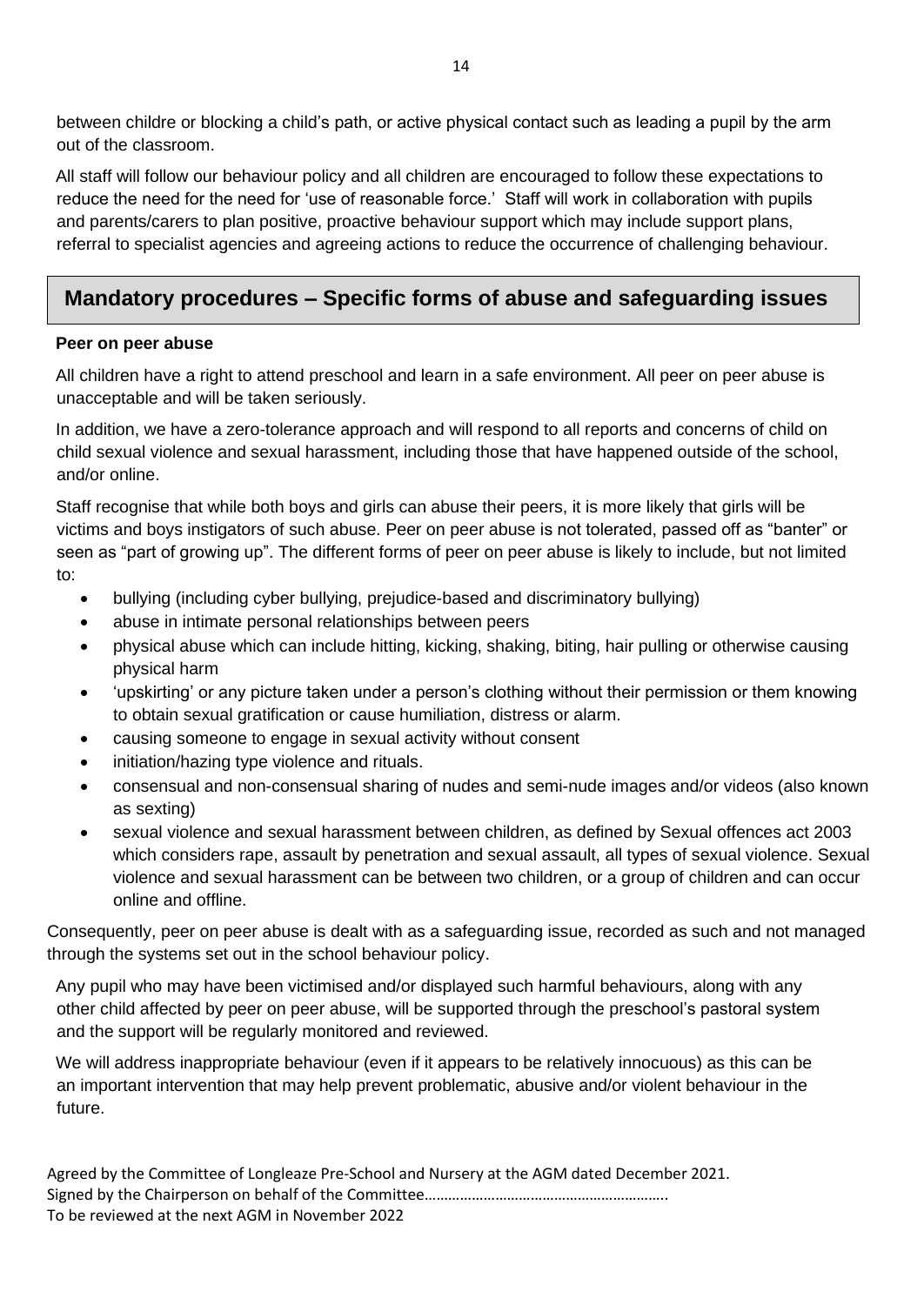between childre or blocking a child's path, or active physical contact such as leading a pupil by the arm out of the classroom.

All staff will follow our behaviour policy and all children are encouraged to follow these expectations to reduce the need for the need for 'use of reasonable force.' Staff will work in collaboration with pupils and parents/carers to plan positive, proactive behaviour support which may include support plans, referral to specialist agencies and agreeing actions to reduce the occurrence of challenging behaviour.

# **Mandatory procedures – Specific forms of abuse and safeguarding issues**

#### **Peer on peer abuse**

All children have a right to attend preschool and learn in a safe environment. All peer on peer abuse is unacceptable and will be taken seriously.

In addition, we have a zero-tolerance approach and will respond to all reports and concerns of child on child sexual violence and sexual harassment, including those that have happened outside of the school, and/or online.

Staff recognise that while both boys and girls can abuse their peers, it is more likely that girls will be victims and boys instigators of such abuse. Peer on peer abuse is not tolerated, passed off as "banter" or seen as "part of growing up". The different forms of peer on peer abuse is likely to include, but not limited to:

- bullying (including cyber bullying, prejudice-based and discriminatory bullying)
- abuse in intimate personal relationships between peers
- physical abuse which can include hitting, kicking, shaking, biting, hair pulling or otherwise causing physical harm
- 'upskirting' or any picture taken under a person's clothing without their permission or them knowing to obtain sexual gratification or cause humiliation, distress or alarm.
- causing someone to engage in sexual activity without consent
- initiation/hazing type violence and rituals.
- consensual and non-consensual sharing of nudes and semi-nude images and/or videos (also known as sexting)
- sexual violence and sexual harassment between children, as defined by Sexual offences act 2003 which considers rape, assault by penetration and sexual assault, all types of sexual violence. Sexual violence and sexual harassment can be between two children, or a group of children and can occur online and offline.

Consequently, peer on peer abuse is dealt with as a safeguarding issue, recorded as such and not managed through the systems set out in the school behaviour policy.

Any pupil who may have been victimised and/or displayed such harmful behaviours, along with any other child affected by peer on peer abuse, will be supported through the preschool's pastoral system and the support will be regularly monitored and reviewed.

We will address inappropriate behaviour (even if it appears to be relatively innocuous) as this can be an important intervention that may help prevent problematic, abusive and/or violent behaviour in the future.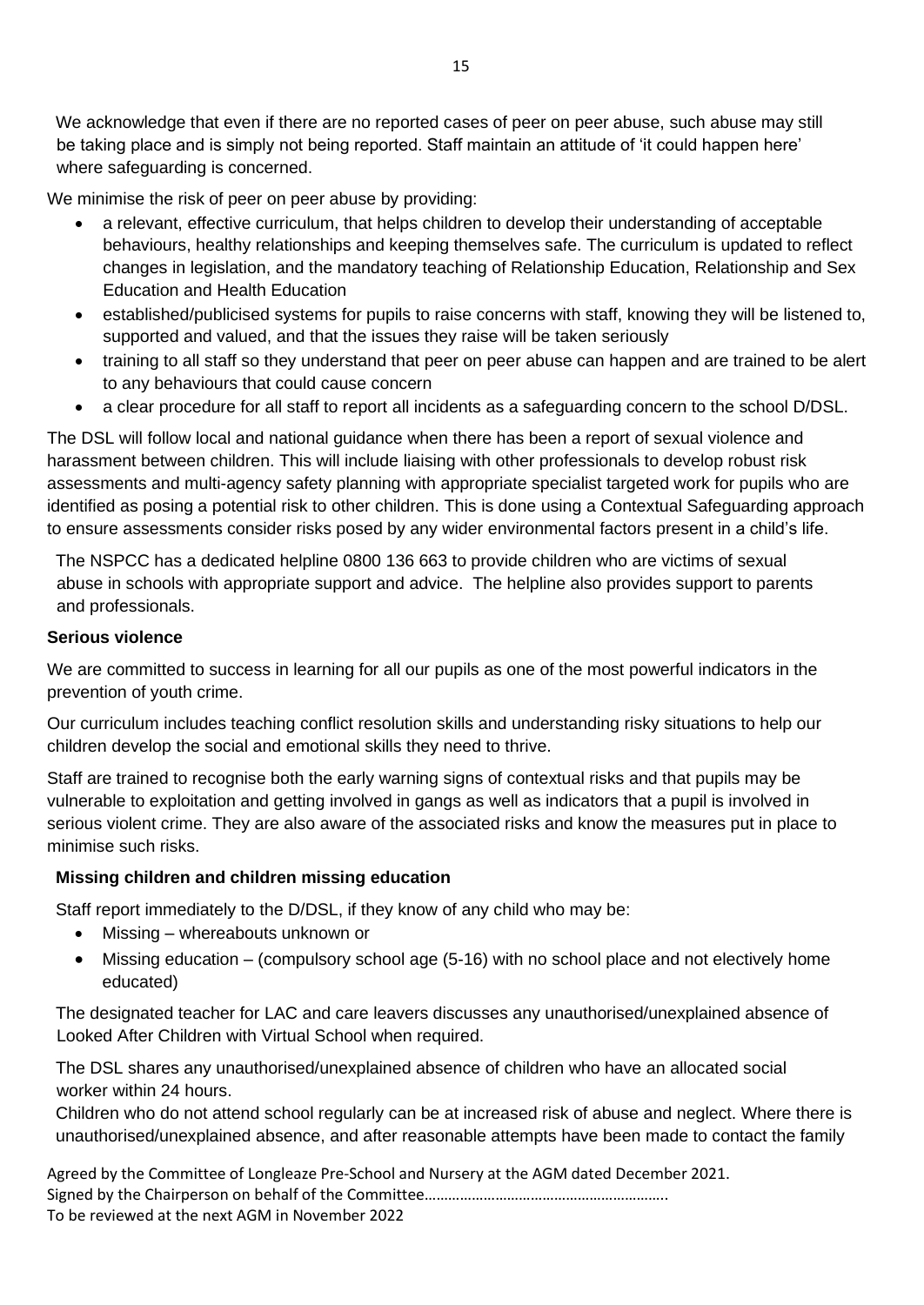We acknowledge that even if there are no reported cases of peer on peer abuse, such abuse may still be taking place and is simply not being reported. Staff maintain an attitude of 'it could happen here' where safeguarding is concerned.

We minimise the risk of peer on peer abuse by providing:

- a relevant, effective curriculum, that helps children to develop their understanding of acceptable behaviours, healthy relationships and keeping themselves safe. The curriculum is updated to reflect changes in legislation, and the mandatory teaching of Relationship Education, Relationship and Sex Education and Health Education
- established/publicised systems for pupils to raise concerns with staff, knowing they will be listened to, supported and valued, and that the issues they raise will be taken seriously
- training to all staff so they understand that peer on peer abuse can happen and are trained to be alert to any behaviours that could cause concern
- a clear procedure for all staff to report all incidents as a safeguarding concern to the school D/DSL.

The DSL will follow local and national guidance when there has been a report of sexual violence and harassment between children. This will include liaising with other professionals to develop robust risk assessments and multi-agency safety planning with appropriate specialist targeted work for pupils who are identified as posing a potential risk to other children. This is done using a Contextual Safeguarding approach to ensure assessments consider risks posed by any wider environmental factors present in a child's life.

The NSPCC has a dedicated helpline 0800 136 663 to provide children who are victims of sexual abuse in schools with appropriate support and advice. The helpline also provides support to parents and professionals.

#### **Serious violence**

We are committed to success in learning for all our pupils as one of the most powerful indicators in the prevention of youth crime.

Our curriculum includes teaching conflict resolution skills and understanding risky situations to help our children develop the social and emotional skills they need to thrive.

Staff are trained to recognise both the early warning signs of contextual risks and that pupils may be vulnerable to exploitation and getting involved in gangs as well as indicators that a pupil is involved in serious violent crime. They are also aware of the associated risks and know the measures put in place to minimise such risks.

### **Missing children and children missing education**

Staff report immediately to the D/DSL, if they know of any child who may be:

- Missing whereabouts unknown or
- Missing education (compulsory school age (5-16) with no school place and not electively home educated)

The designated teacher for LAC and care leavers discusses any unauthorised/unexplained absence of Looked After Children with Virtual School when required.

The DSL shares any unauthorised/unexplained absence of children who have an allocated social worker within 24 hours.

Children who do not attend school regularly can be at increased risk of abuse and neglect. Where there is unauthorised/unexplained absence, and after reasonable attempts have been made to contact the family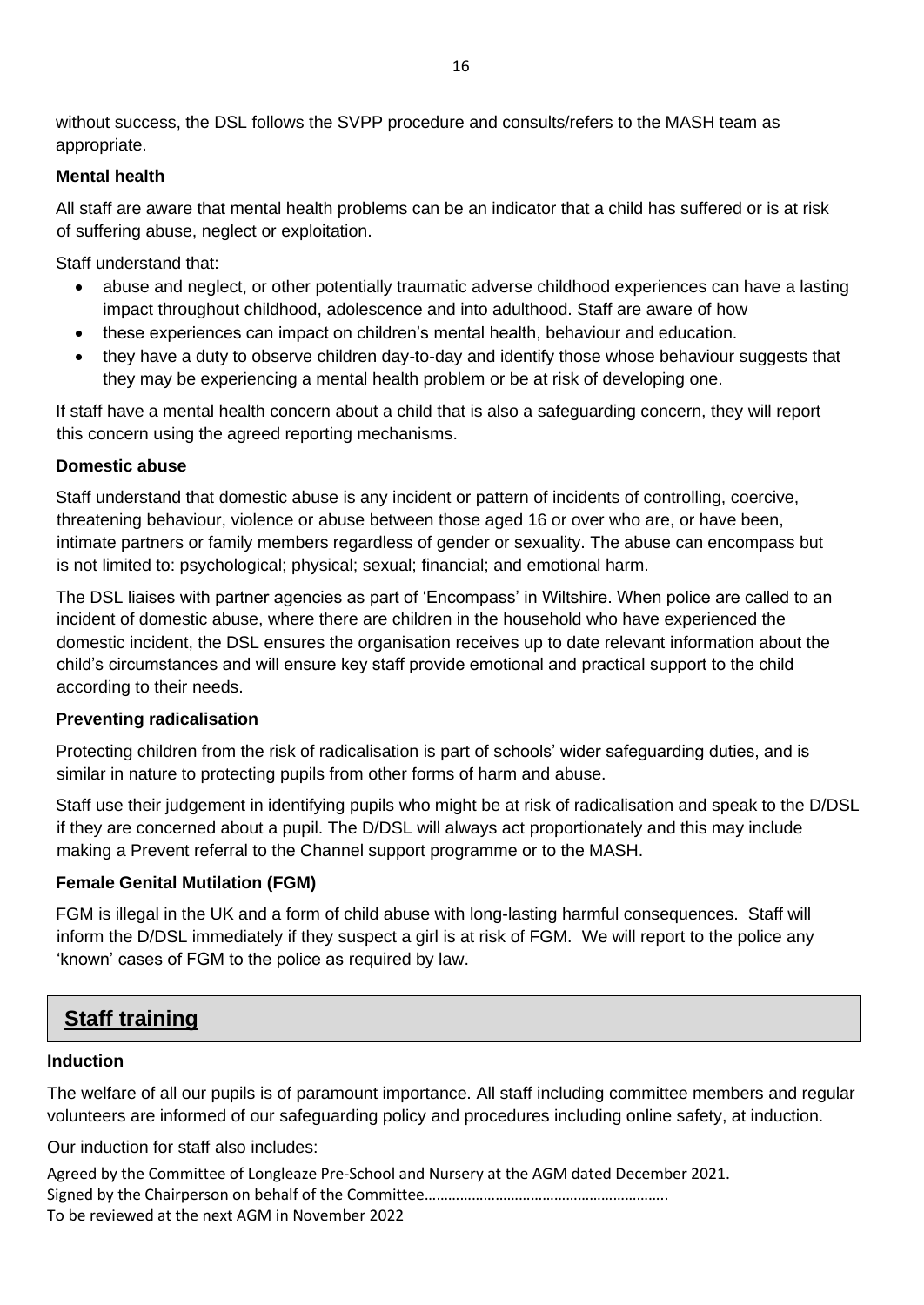without success, the DSL follows the SVPP procedure and consults/refers to the MASH team as appropriate.

### **Mental health**

All staff are aware that mental health problems can be an indicator that a child has suffered or is at risk of suffering abuse, neglect or exploitation.

Staff understand that:

- abuse and neglect, or other potentially traumatic adverse childhood experiences can have a lasting impact throughout childhood, adolescence and into adulthood. Staff are aware of how
- these experiences can impact on children's mental health, behaviour and education.
- they have a duty to observe children day-to-day and identify those whose behaviour suggests that they may be experiencing a mental health problem or be at risk of developing one.

If staff have a mental health concern about a child that is also a safeguarding concern, they will report this concern using the agreed reporting mechanisms.

### **Domestic abuse**

Staff understand that domestic abuse is any incident or pattern of incidents of controlling, coercive, threatening behaviour, violence or abuse between those aged 16 or over who are, or have been, intimate partners or family members regardless of gender or sexuality. The abuse can encompass but is not limited to: psychological; physical; sexual; financial; and emotional harm.

The DSL liaises with partner agencies as part of 'Encompass' in Wiltshire. When police are called to an incident of domestic abuse, where there are children in the household who have experienced the domestic incident, the DSL ensures the organisation receives up to date relevant information about the child's circumstances and will ensure key staff provide emotional and practical support to the child according to their needs.

# **Preventing radicalisation**

Protecting children from the risk of radicalisation is part of schools' wider safeguarding duties, and is similar in nature to protecting pupils from other forms of harm and abuse.

Staff use their judgement in identifying pupils who might be at risk of radicalisation and speak to the D/DSL if they are concerned about a pupil. The D/DSL will always act proportionately and this may include making a Prevent referral to the Channel support programme or to the MASH.

# **Female Genital Mutilation (FGM)**

FGM is illegal in the UK and a form of child abuse with long-lasting harmful consequences. Staff will inform the D/DSL immediately if they suspect a girl is at risk of FGM. We will report to the police any 'known' cases of FGM to the police as required by law.

# **Staff training**

### **Induction**

The welfare of all our pupils is of paramount importance. All staff including committee members and regular volunteers are informed of our safeguarding policy and procedures including online safety, at induction.

Our induction for staff also includes: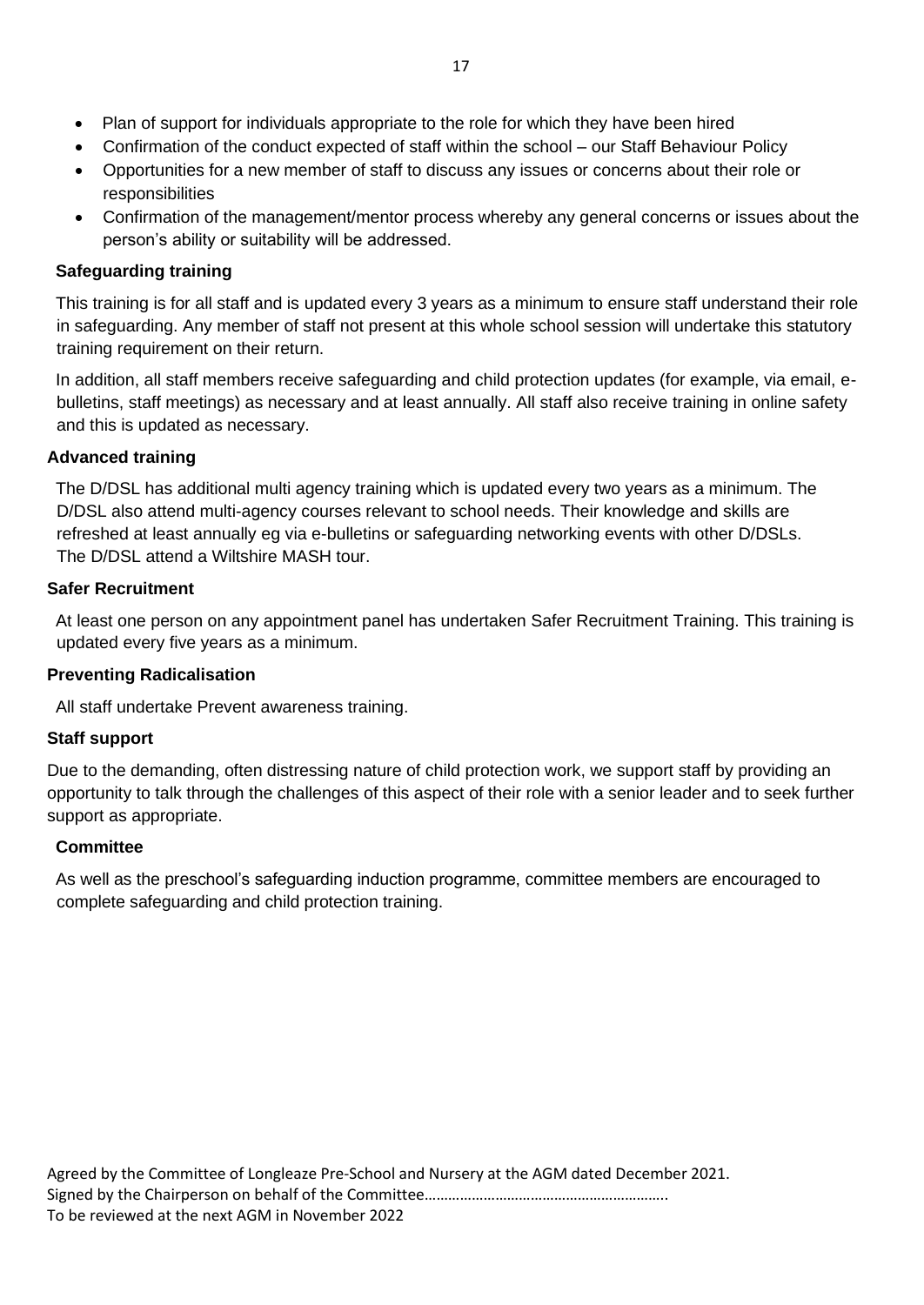- Plan of support for individuals appropriate to the role for which they have been hired
- Confirmation of the conduct expected of staff within the school our Staff Behaviour Policy
- Opportunities for a new member of staff to discuss any issues or concerns about their role or responsibilities
- Confirmation of the management/mentor process whereby any general concerns or issues about the person's ability or suitability will be addressed.

#### **Safeguarding training**

This training is for all staff and is updated every 3 years as a minimum to ensure staff understand their role in safeguarding. Any member of staff not present at this whole school session will undertake this statutory training requirement on their return.

In addition, all staff members receive safeguarding and child protection updates (for example, via email, ebulletins, staff meetings) as necessary and at least annually. All staff also receive training in online safety and this is updated as necessary.

#### **Advanced training**

The D/DSL has additional multi agency training which is updated every two years as a minimum. The D/DSL also attend multi-agency courses relevant to school needs. Their knowledge and skills are refreshed at least annually eg via e-bulletins or safeguarding networking events with other D/DSLs. The D/DSL attend a Wiltshire MASH tour.

#### **Safer Recruitment**

At least one person on any appointment panel has undertaken Safer Recruitment Training. This training is updated every five years as a minimum.

### **Preventing Radicalisation**

All staff undertake Prevent awareness training.

### **Staff support**

Due to the demanding, often distressing nature of child protection work, we support staff by providing an opportunity to talk through the challenges of this aspect of their role with a senior leader and to seek further support as appropriate.

#### **Committee**

As well as the preschool's safeguarding induction programme, committee members are encouraged to complete safeguarding and child protection training.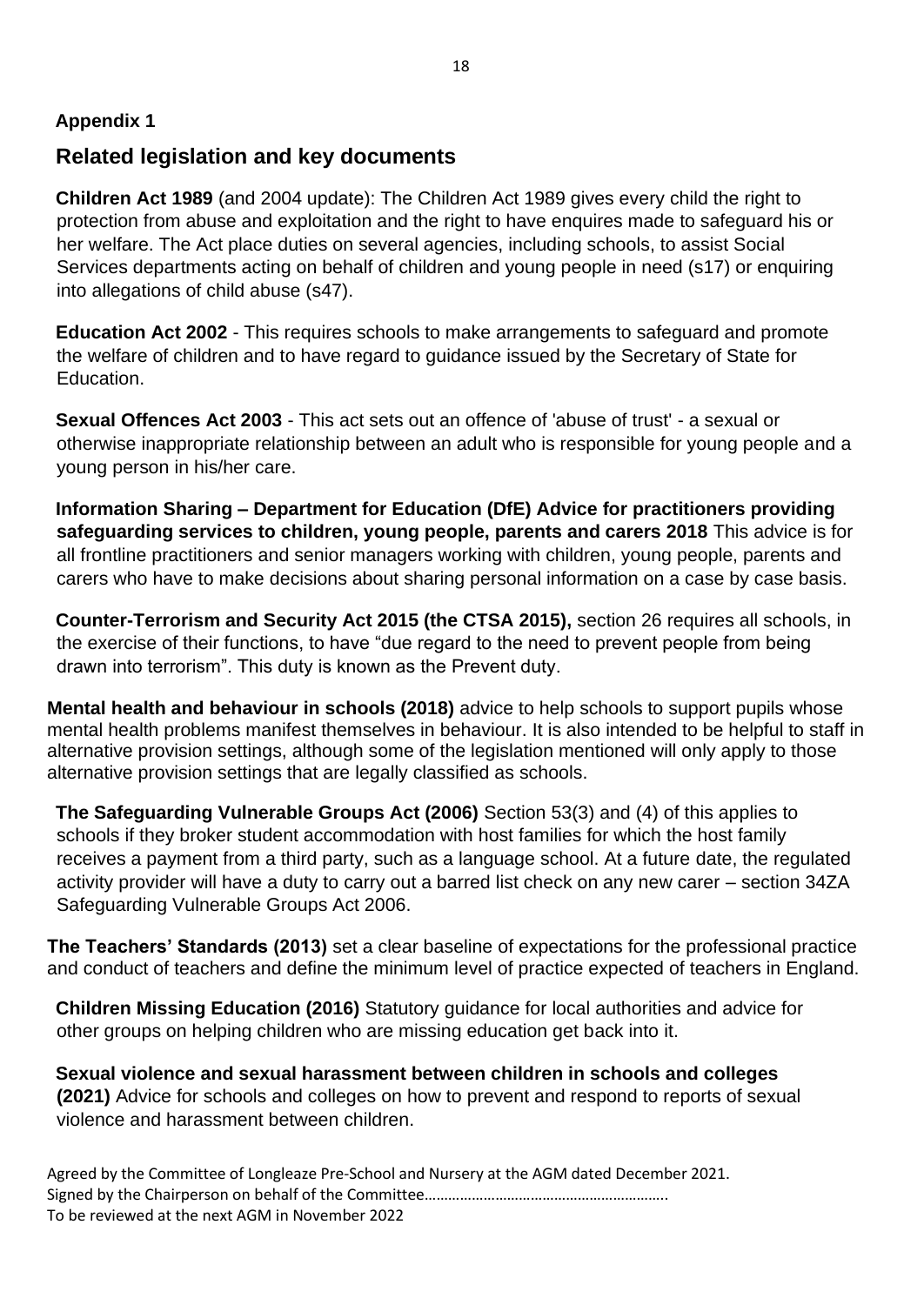# **Appendix 1**

# **Related legislation and key documents**

**Children Act 1989** (and 2004 update): The Children Act 1989 gives every child the right to protection from abuse and exploitation and the right to have enquires made to safeguard his or her welfare. The Act place duties on several agencies, including schools, to assist Social Services departments acting on behalf of children and young people in need (s17) or enquiring into allegations of child abuse (s47).

**Education Act 2002** - This requires schools to make arrangements to safeguard and promote the welfare of children and to have regard to guidance issued by the Secretary of State for Education.

**Sexual Offences Act 2003** - This act sets out an offence of 'abuse of trust' - a sexual or otherwise inappropriate relationship between an adult who is responsible for young people and a young person in his/her care.

**Information Sharing – Department for Education (DfE) Advice for practitioners providing safeguarding services to children, young people, parents and carers 2018** This advice is for all frontline practitioners and senior managers working with children, young people, parents and carers who have to make decisions about sharing personal information on a case by case basis.

**Counter-Terrorism and Security Act 2015 (the CTSA 2015),** section 26 requires all schools, in the exercise of their functions, to have "due regard to the need to prevent people from being drawn into terrorism". This duty is known as the Prevent duty.

**Mental health and behaviour in schools (2018)** advice to help schools to support pupils whose mental health problems manifest themselves in behaviour. It is also intended to be helpful to staff in alternative provision settings, although some of the legislation mentioned will only apply to those alternative provision settings that are legally classified as schools.

**The Safeguarding Vulnerable Groups Act (2006)** Section 53(3) and (4) of this applies to schools if they broker student accommodation with host families for which the host family receives a payment from a third party, such as a language school. At a future date, the regulated activity provider will have a duty to carry out a barred list check on any new carer – section 34ZA Safeguarding Vulnerable Groups Act 2006.

**The Teachers' Standards (2013)** set a clear baseline of expectations for the professional practice and conduct of teachers and define the minimum level of practice expected of teachers in England.

**Children Missing Education (2016)** Statutory guidance for local authorities and advice for other groups on helping children who are missing education get back into it.

**Sexual violence and sexual harassment between children in schools and colleges (2021)** Advice for schools and colleges on how to prevent and respond to reports of sexual violence and harassment between children.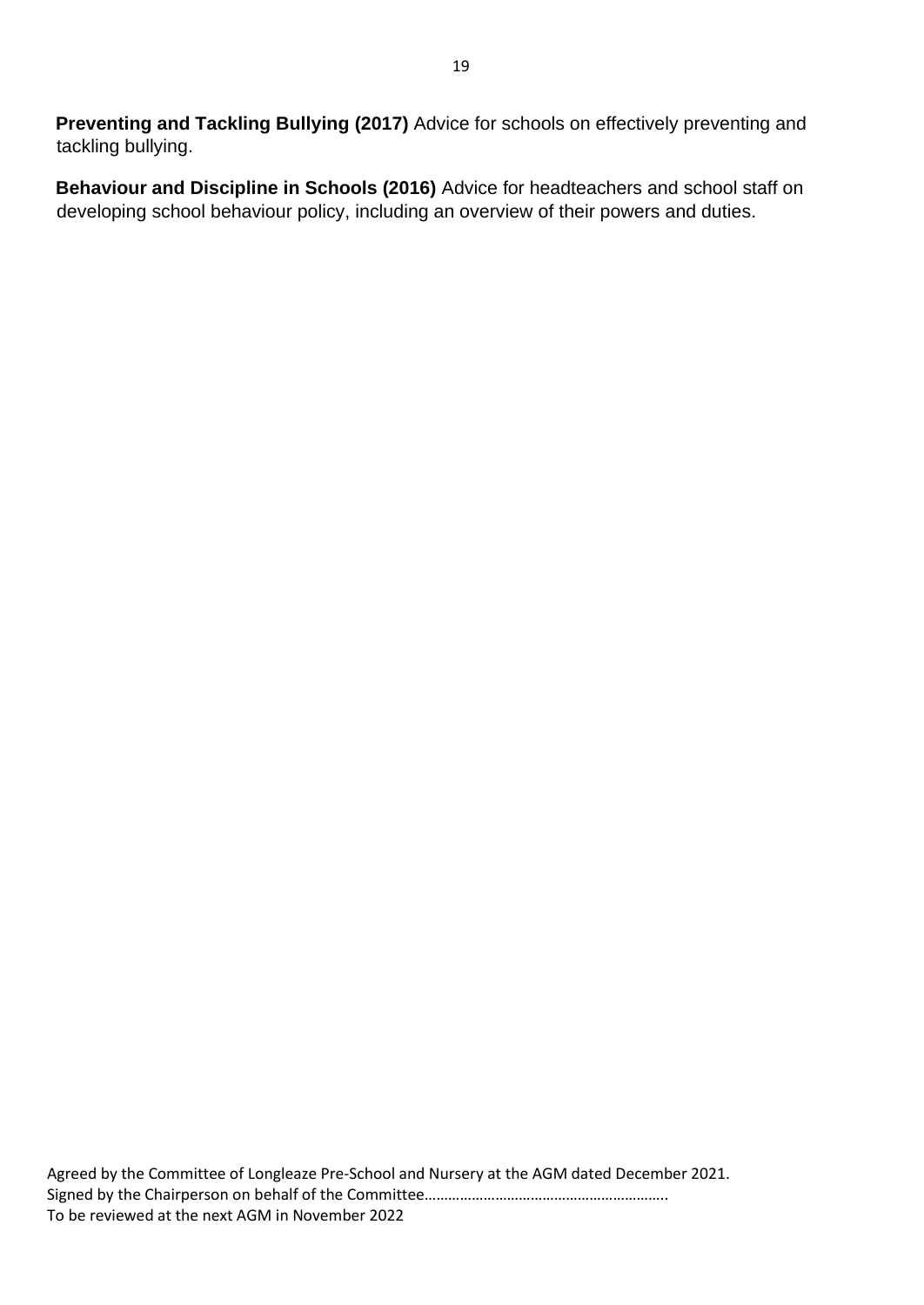**Preventing and Tackling Bullying (2017)** Advice for schools on effectively preventing and tackling bullying.

**Behaviour and Discipline in Schools (2016)** Advice for headteachers and school staff on developing school behaviour policy, including an overview of their powers and duties.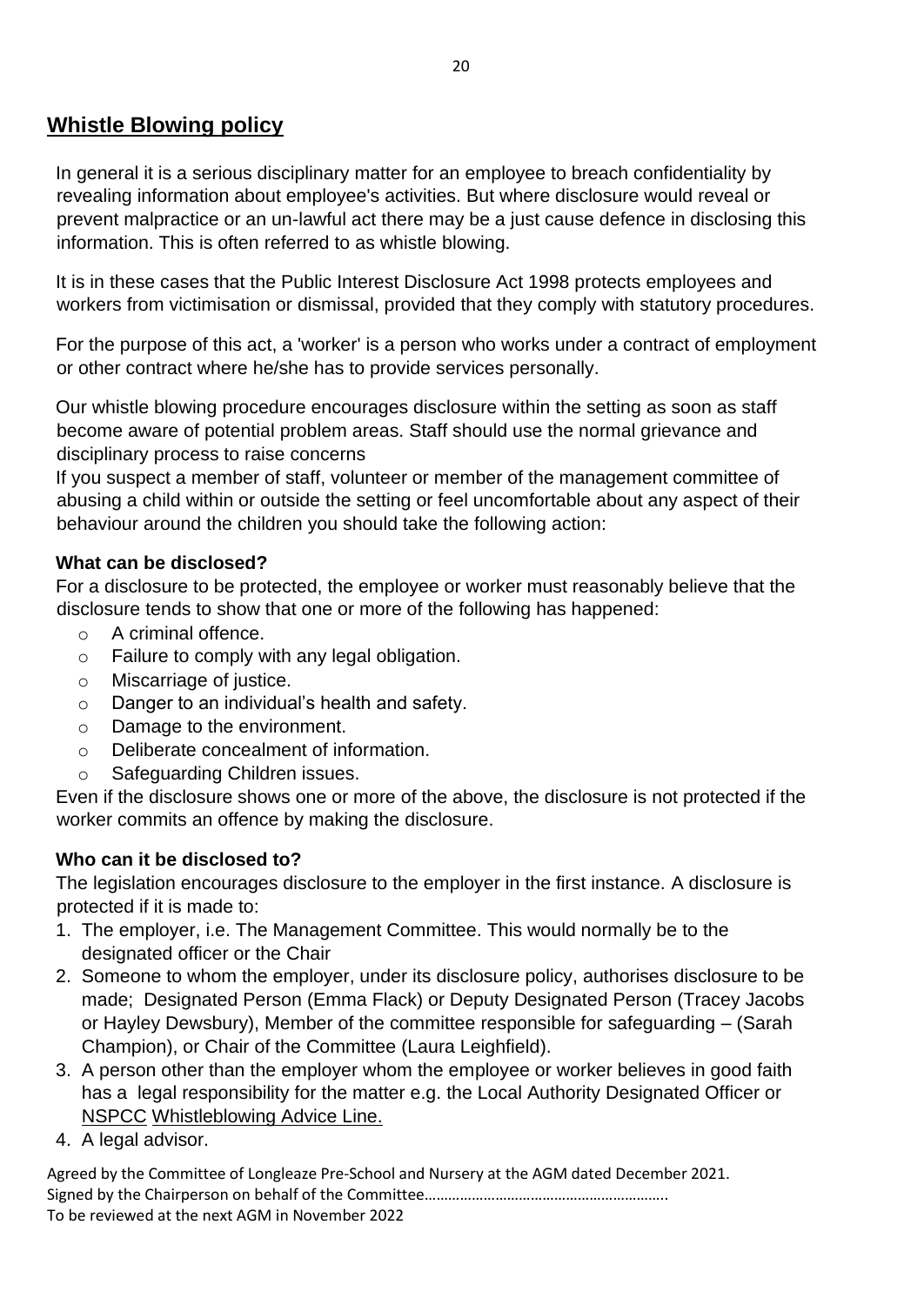# **Whistle Blowing policy**

In general it is a serious disciplinary matter for an employee to breach confidentiality by revealing information about employee's activities. But where disclosure would reveal or prevent malpractice or an un-lawful act there may be a just cause defence in disclosing this information. This is often referred to as whistle blowing.

It is in these cases that the Public Interest Disclosure Act 1998 protects employees and workers from victimisation or dismissal, provided that they comply with statutory procedures.

For the purpose of this act, a 'worker' is a person who works under a contract of employment or other contract where he/she has to provide services personally.

Our whistle blowing procedure encourages disclosure within the setting as soon as staff become aware of potential problem areas. Staff should use the normal grievance and disciplinary process to raise concerns

If you suspect a member of staff, volunteer or member of the management committee of abusing a child within or outside the setting or feel uncomfortable about any aspect of their behaviour around the children you should take the following action:

# **What can be disclosed?**

For a disclosure to be protected, the employee or worker must reasonably believe that the disclosure tends to show that one or more of the following has happened:

- o A criminal offence.
- o Failure to comply with any legal obligation.
- o Miscarriage of justice.
- o Danger to an individual's health and safety.
- o Damage to the environment.
- o Deliberate concealment of information.
- o Safeguarding Children issues.

Even if the disclosure shows one or more of the above, the disclosure is not protected if the worker commits an offence by making the disclosure.

# **Who can it be disclosed to?**

The legislation encourages disclosure to the employer in the first instance. A disclosure is protected if it is made to:

- 1. The employer, i.e. The Management Committee. This would normally be to the designated officer or the Chair
- 2. Someone to whom the employer, under its disclosure policy, authorises disclosure to be made; Designated Person (Emma Flack) or Deputy Designated Person (Tracey Jacobs or Hayley Dewsbury), Member of the committee responsible for safeguarding – (Sarah Champion), or Chair of the Committee (Laura Leighfield).
- 3. A person other than the employer whom the employee or worker believes in good faith has a legal responsibility for the matter e.g. the Local Authority Designated Officer or [NSPCC](https://www.nspcc.org.uk/what-you-can-do/report-abuse/dedicated-helplines/whistleblowing-advice-line/) [Whistleblowing Advice Line.](https://www.nspcc.org.uk/what-you-can-do/report-abuse/dedicated-helplines/whistleblowing-advice-line/)
- 4. A legal advisor.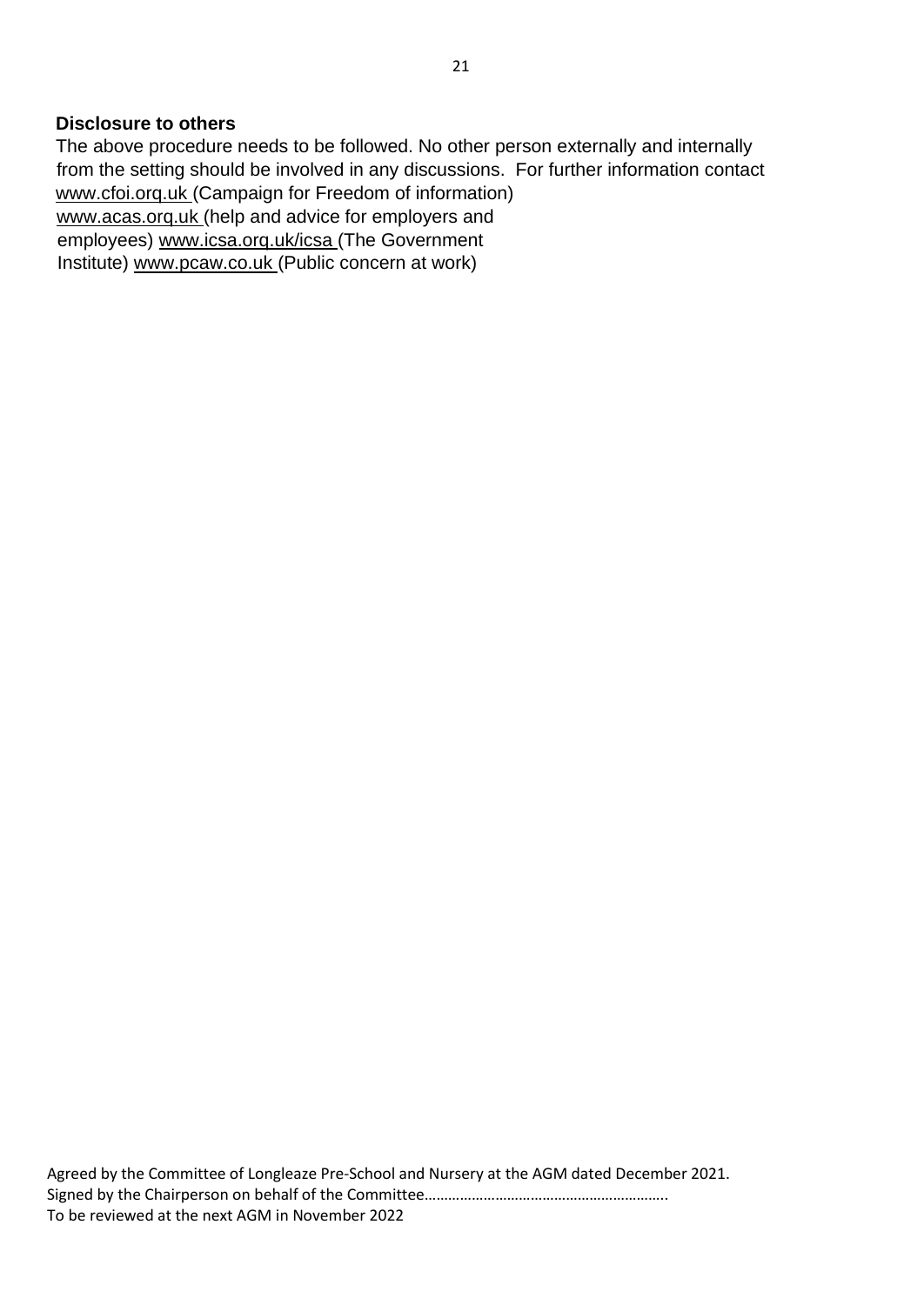### **Disclosure to others**

The above procedure needs to be followed. No other person externally and internally from the setting should be involved in any discussions. For further information contact www.cfoi.orq.uk (Campaign for Freedom of information) [www.acas.orq.uk](http://www.acas.orq.uk/) [\(h](http://www.acas.orq.uk/)elp and advice for employers and employees) [www.icsa.orq.uk/icsa](http://www.icsa.orq.uk/icsa) [\(T](http://www.icsa.orq.uk/icsa)he Government Institute) [www.pcaw.co.uk](http://www.pcaw.co.uk/) [\(P](http://www.pcaw.co.uk/)ublic concern at work)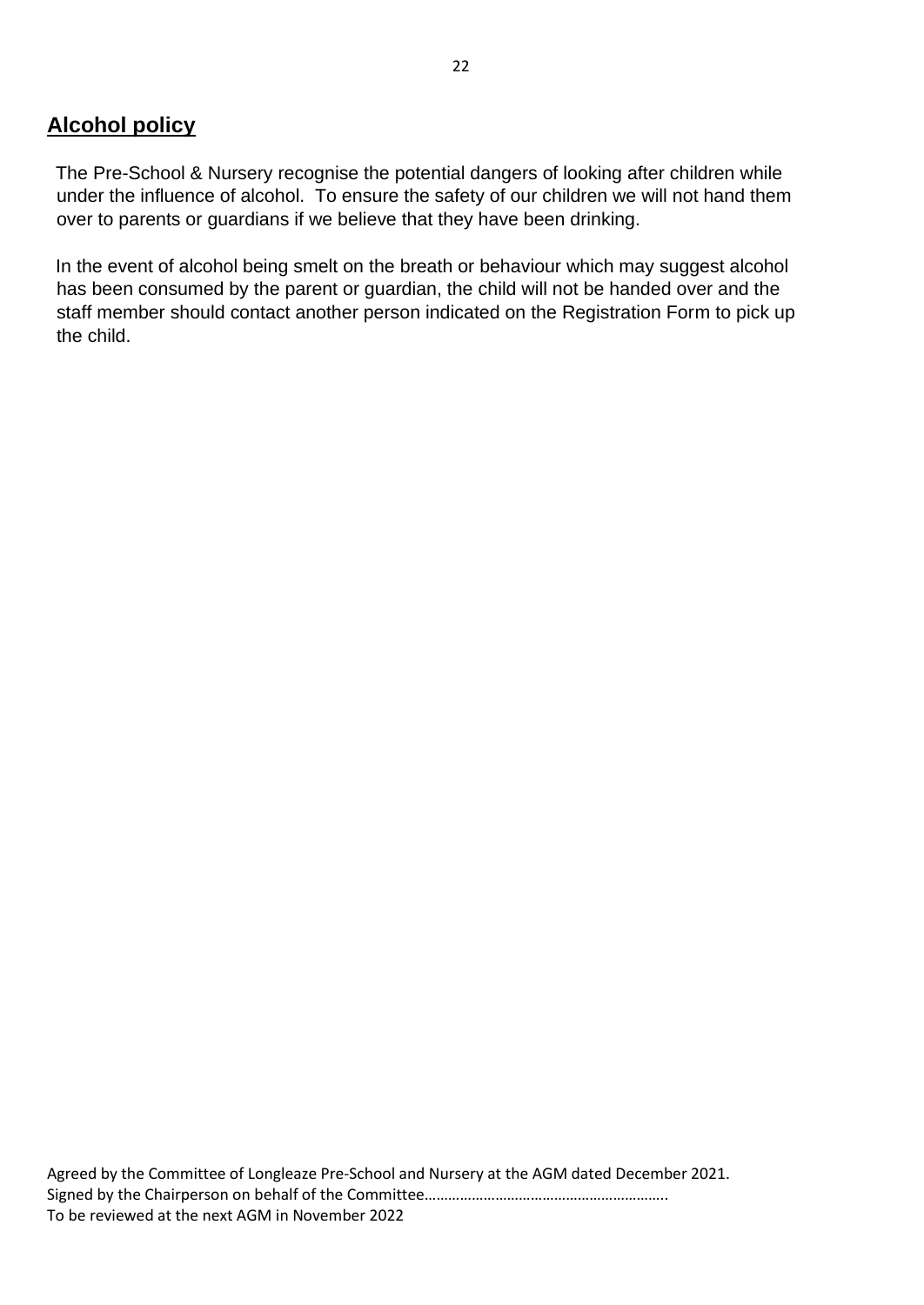# **Alcohol policy**

The Pre-School & Nursery recognise the potential dangers of looking after children while under the influence of alcohol. To ensure the safety of our children we will not hand them over to parents or guardians if we believe that they have been drinking.

In the event of alcohol being smelt on the breath or behaviour which may suggest alcohol has been consumed by the parent or guardian, the child will not be handed over and the staff member should contact another person indicated on the Registration Form to pick up the child.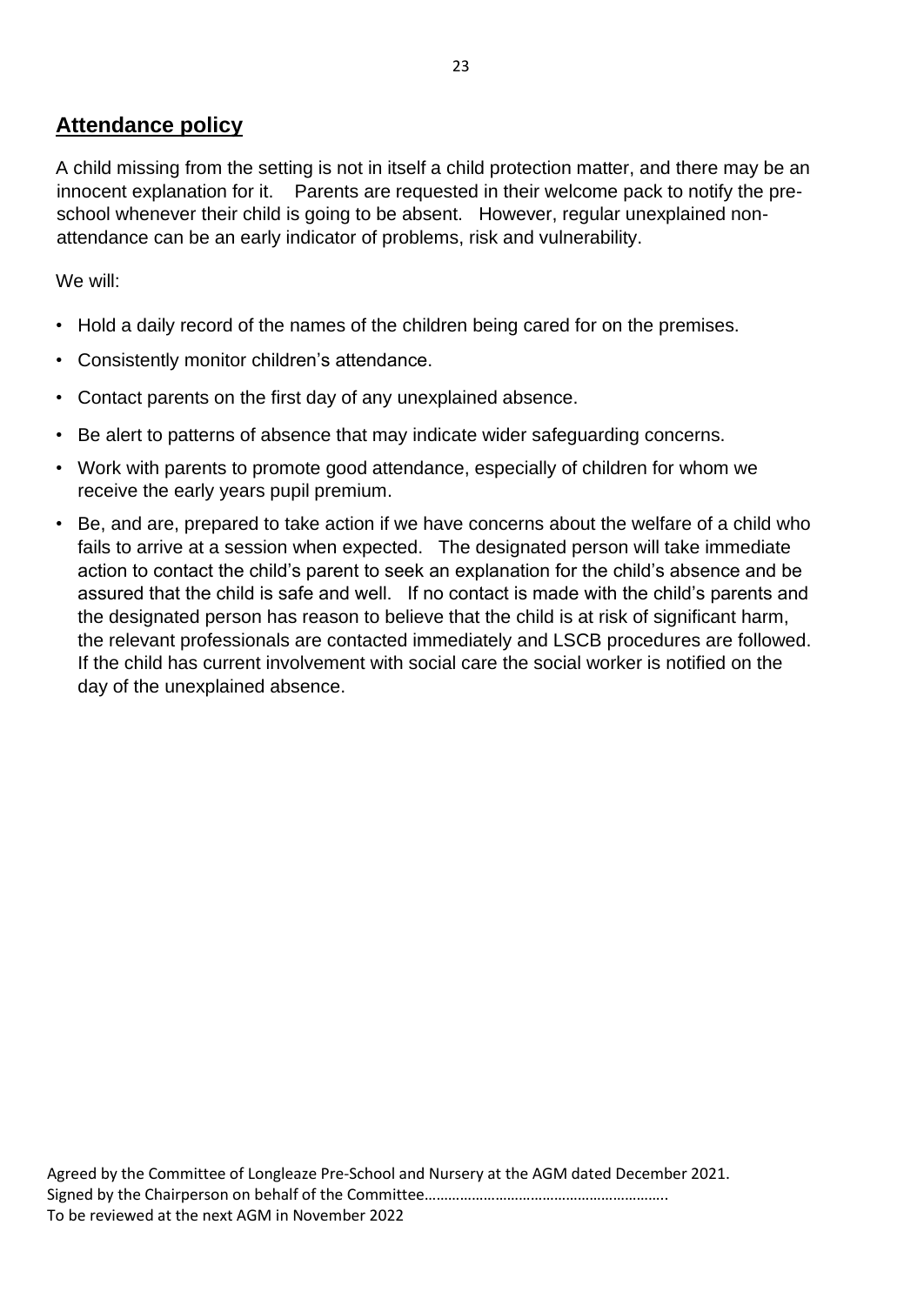# **Attendance policy**

A child missing from the setting is not in itself a child protection matter, and there may be an innocent explanation for it. Parents are requested in their welcome pack to notify the preschool whenever their child is going to be absent. However, regular unexplained nonattendance can be an early indicator of problems, risk and vulnerability.

We will:

- Hold a daily record of the names of the children being cared for on the premises.
- Consistently monitor children's attendance.
- Contact parents on the first day of any unexplained absence.
- Be alert to patterns of absence that may indicate wider safeguarding concerns.
- Work with parents to promote good attendance, especially of children for whom we receive the early years pupil premium.
- Be, and are, prepared to take action if we have concerns about the welfare of a child who fails to arrive at a session when expected. The designated person will take immediate action to contact the child's parent to seek an explanation for the child's absence and be assured that the child is safe and well. If no contact is made with the child's parents and the designated person has reason to believe that the child is at risk of significant harm, the relevant professionals are contacted immediately and LSCB procedures are followed. If the child has current involvement with social care the social worker is notified on the day of the unexplained absence.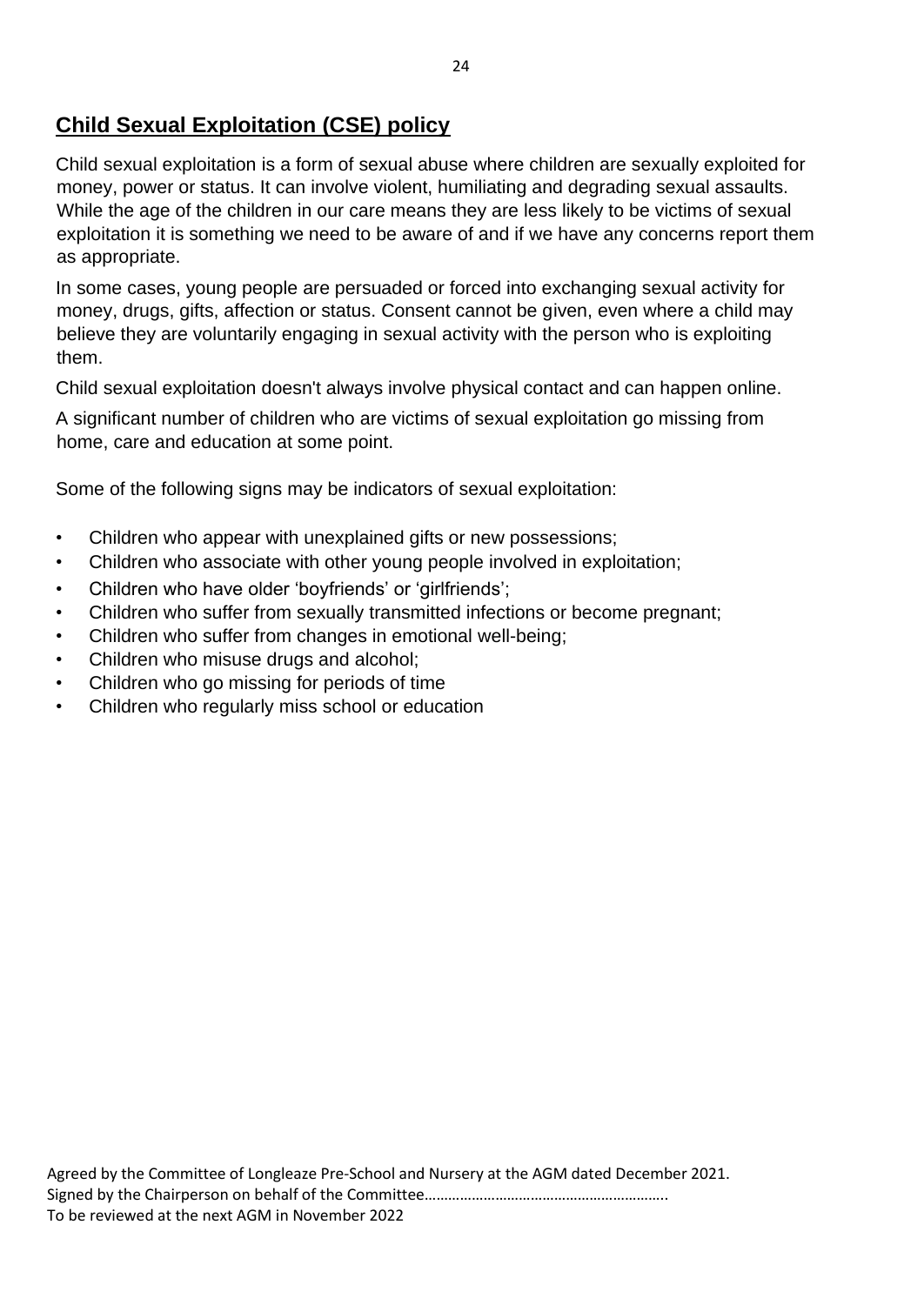# **Child Sexual Exploitation (CSE) policy**

Child sexual exploitation is a form of sexual abuse where children are sexually exploited for money, power or status. It can involve violent, humiliating and degrading sexual assaults. While the age of the children in our care means they are less likely to be victims of sexual exploitation it is something we need to be aware of and if we have any concerns report them as appropriate.

In some cases, young people are persuaded or forced into exchanging sexual activity for money, drugs, gifts, affection or status. Consent cannot be given, even where a child may believe they are voluntarily engaging in sexual activity with the person who is exploiting them.

Child sexual exploitation doesn't always involve physical contact and can happen online.

A significant number of children who are victims of sexual exploitation go missing from home, care and education at some point.

Some of the following signs may be indicators of sexual exploitation:

- Children who appear with unexplained gifts or new possessions;
- Children who associate with other young people involved in exploitation;
- Children who have older 'boyfriends' or 'girlfriends';
- Children who suffer from sexually transmitted infections or become pregnant;
- Children who suffer from changes in emotional well-being;
- Children who misuse drugs and alcohol;
- Children who go missing for periods of time
- Children who regularly miss school or education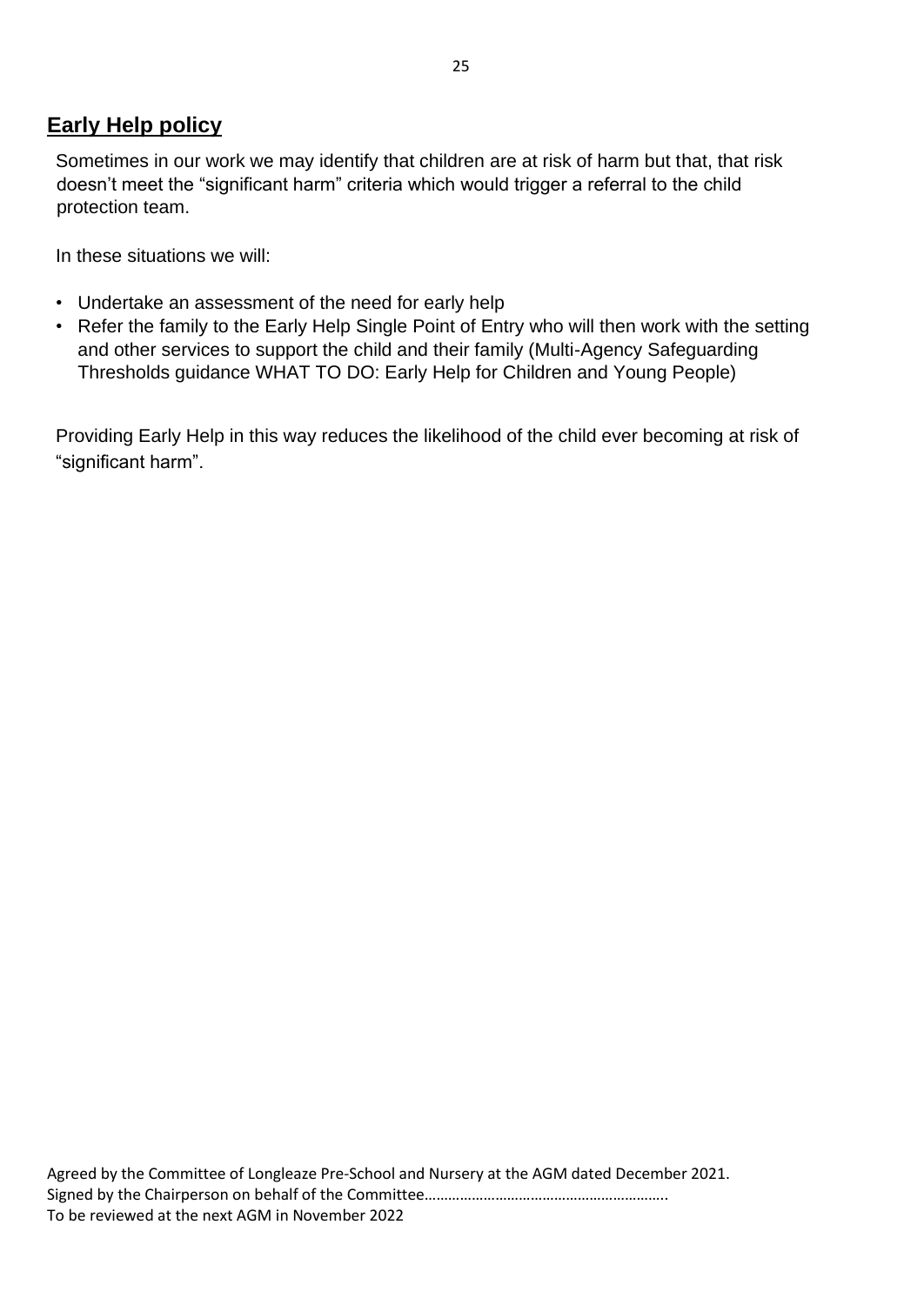# **Early Help policy**

Sometimes in our work we may identify that children are at risk of harm but that, that risk doesn't meet the "significant harm" criteria which would trigger a referral to the child protection team.

In these situations we will:

- Undertake an assessment of the need for early help
- Refer the family to the Early Help Single Point of Entry who will then work with the setting and other services to support the child and their family (Multi-Agency Safeguarding Thresholds guidance WHAT TO DO: Early Help for Children and Young People)

Providing Early Help in this way reduces the likelihood of the child ever becoming at risk of "significant harm".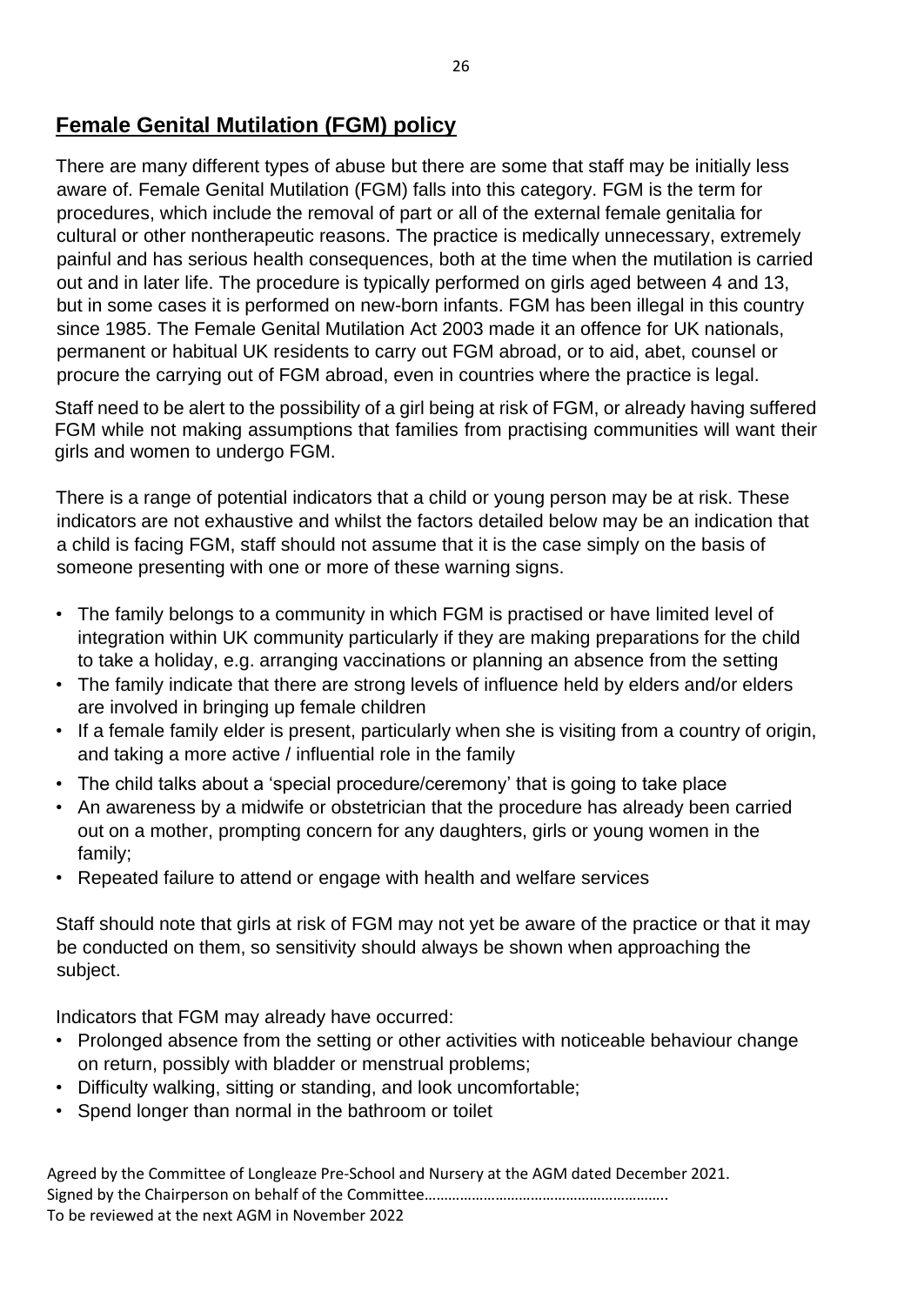# **Female Genital Mutilation (FGM) policy**

There are many different types of abuse but there are some that staff may be initially less aware of. Female Genital Mutilation (FGM) falls into this category. FGM is the term for procedures, which include the removal of part or all of the external female genitalia for cultural or other nontherapeutic reasons. The practice is medically unnecessary, extremely painful and has serious health consequences, both at the time when the mutilation is carried out and in later life. The procedure is typically performed on girls aged between 4 and 13, but in some cases it is performed on new-born infants. FGM has been illegal in this country since 1985. The Female Genital Mutilation Act 2003 made it an offence for UK nationals, permanent or habitual UK residents to carry out FGM abroad, or to aid, abet, counsel or procure the carrying out of FGM abroad, even in countries where the practice is legal.

Staff need to be alert to the possibility of a girl being at risk of FGM, or already having suffered FGM while not making assumptions that families from practising communities will want their girls and women to undergo FGM.

There is a range of potential indicators that a child or young person may be at risk. These indicators are not exhaustive and whilst the factors detailed below may be an indication that a child is facing FGM, staff should not assume that it is the case simply on the basis of someone presenting with one or more of these warning signs.

- The family belongs to a community in which FGM is practised or have limited level of integration within UK community particularly if they are making preparations for the child to take a holiday, e.g. arranging vaccinations or planning an absence from the setting
- The family indicate that there are strong levels of influence held by elders and/or elders are involved in bringing up female children
- If a female family elder is present, particularly when she is visiting from a country of origin, and taking a more active / influential role in the family
- The child talks about a 'special procedure/ceremony' that is going to take place
- An awareness by a midwife or obstetrician that the procedure has already been carried out on a mother, prompting concern for any daughters, girls or young women in the family;
- Repeated failure to attend or engage with health and welfare services

Staff should note that girls at risk of FGM may not yet be aware of the practice or that it may be conducted on them, so sensitivity should always be shown when approaching the subject.

Indicators that FGM may already have occurred:

- Prolonged absence from the setting or other activities with noticeable behaviour change on return, possibly with bladder or menstrual problems;
- Difficulty walking, sitting or standing, and look uncomfortable;
- Spend longer than normal in the bathroom or toilet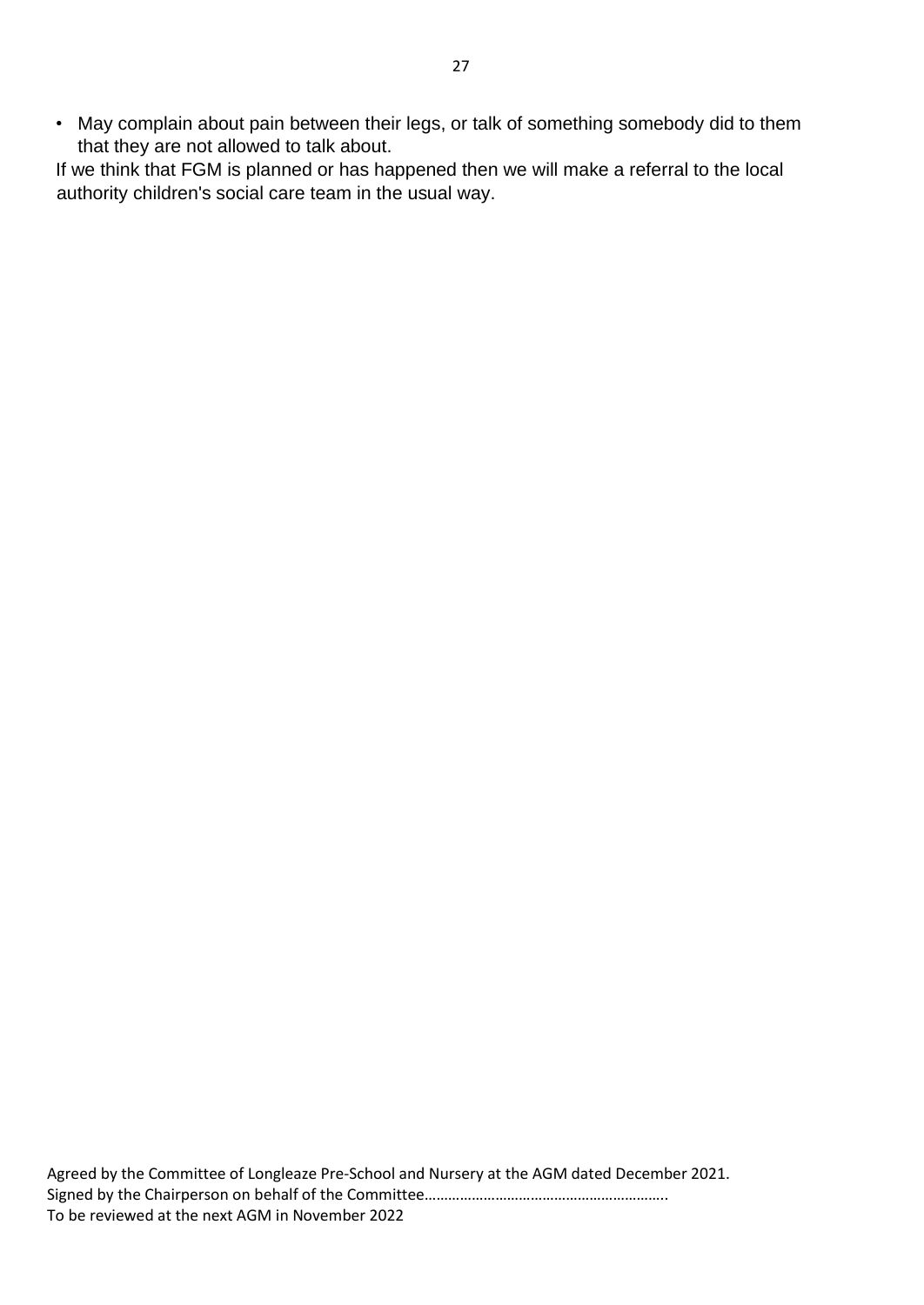If we think that FGM is planned or has happened then we will make a referral to the local authority children's social care team in the usual way.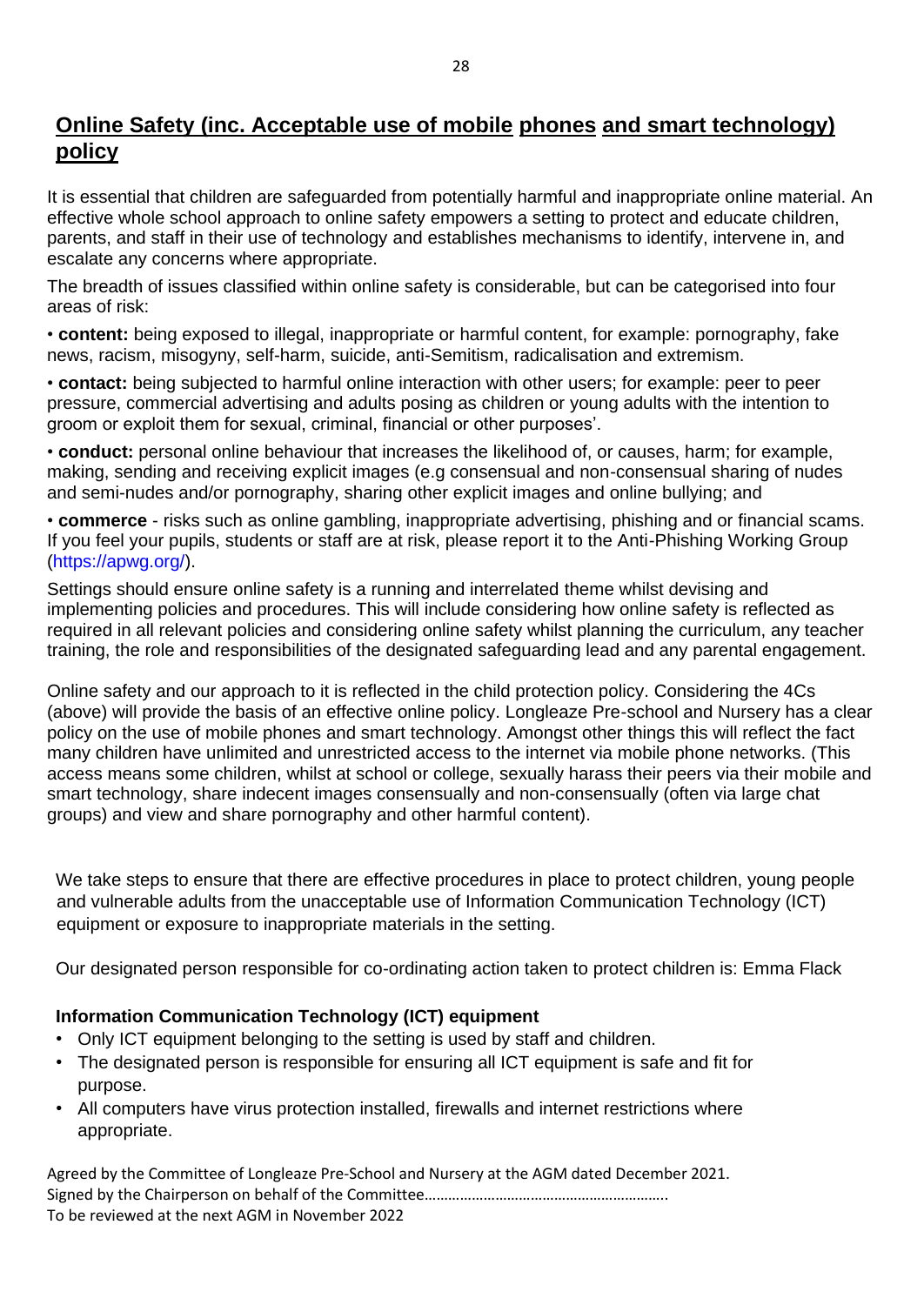# **Online Safety (inc. Acceptable use of mobile phones and smart technology) policy**

It is essential that children are safeguarded from potentially harmful and inappropriate online material. An effective whole school approach to online safety empowers a setting to protect and educate children, parents, and staff in their use of technology and establishes mechanisms to identify, intervene in, and escalate any concerns where appropriate.

The breadth of issues classified within online safety is considerable, but can be categorised into four areas of risk:

• **content:** being exposed to illegal, inappropriate or harmful content, for example: pornography, fake news, racism, misogyny, self-harm, suicide, anti-Semitism, radicalisation and extremism.

• **contact:** being subjected to harmful online interaction with other users; for example: peer to peer pressure, commercial advertising and adults posing as children or young adults with the intention to groom or exploit them for sexual, criminal, financial or other purposes'.

• **conduct:** personal online behaviour that increases the likelihood of, or causes, harm; for example, making, sending and receiving explicit images (e.g consensual and non-consensual sharing of nudes and semi-nudes and/or pornography, sharing other explicit images and online bullying; and

• **commerce** - risks such as online gambling, inappropriate advertising, phishing and or financial scams. If you feel your pupils, students or staff are at risk, please report it to the Anti-Phishing Working Group (https://apwg.org/).

Settings should ensure online safety is a running and interrelated theme whilst devising and implementing policies and procedures. This will include considering how online safety is reflected as required in all relevant policies and considering online safety whilst planning the curriculum, any teacher training, the role and responsibilities of the designated safeguarding lead and any parental engagement.

Online safety and our approach to it is reflected in the child protection policy. Considering the 4Cs (above) will provide the basis of an effective online policy. Longleaze Pre-school and Nursery has a clear policy on the use of mobile phones and smart technology. Amongst other things this will reflect the fact many children have unlimited and unrestricted access to the internet via mobile phone networks. (This access means some children, whilst at school or college, sexually harass their peers via their mobile and smart technology, share indecent images consensually and non-consensually (often via large chat groups) and view and share pornography and other harmful content).

We take steps to ensure that there are effective procedures in place to protect children, young people and vulnerable adults from the unacceptable use of Information Communication Technology (ICT) equipment or exposure to inappropriate materials in the setting.

Our designated person responsible for co-ordinating action taken to protect children is: Emma Flack

### **Information Communication Technology (ICT) equipment**

- Only ICT equipment belonging to the setting is used by staff and children.
- The designated person is responsible for ensuring all ICT equipment is safe and fit for purpose.
- All computers have virus protection installed, firewalls and internet restrictions where appropriate.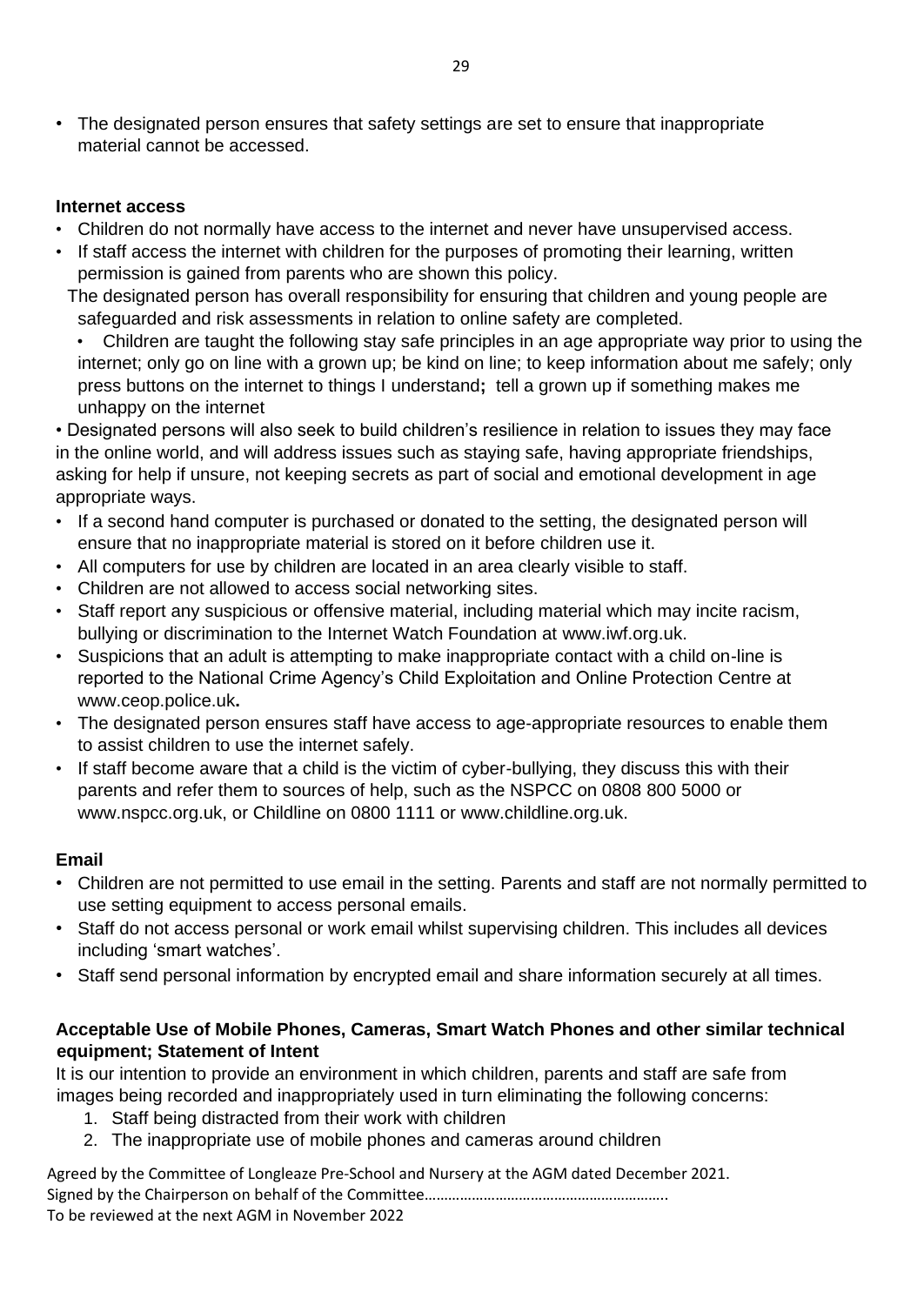• The designated person ensures that safety settings are set to ensure that inappropriate material cannot be accessed.

### **Internet access**

- Children do not normally have access to the internet and never have unsupervised access.
- If staff access the internet with children for the purposes of promoting their learning, written permission is gained from parents who are shown this policy.
	- The designated person has overall responsibility for ensuring that children and young people are safeguarded and risk assessments in relation to online safety are completed.
	- Children are taught the following stay safe principles in an age appropriate way prior to using the internet; only go on line with a grown up; be kind on line; to keep information about me safely; only press buttons on the internet to things I understand**;** tell a grown up if something makes me unhappy on the internet
- Designated persons will also seek to build children's resilience in relation to issues they may face in the online world, and will address issues such as staying safe, having appropriate friendships, asking for help if unsure, not keeping secrets as part of social and emotional development in age appropriate ways.
- If a second hand computer is purchased or donated to the setting, the designated person will ensure that no inappropriate material is stored on it before children use it.
- All computers for use by children are located in an area clearly visible to staff.
- Children are not allowed to access social networking sites.
- Staff report any suspicious or offensive material, including material which may incite racism, bullying or discrimination to the Internet Watch Foundation at [www.iwf.org.uk.](http://www.iwf.org.uk/)
- Suspicions that an adult is attempting to make inappropriate contact with a child on-line is reported to the National Crime Agency's Child Exploitation and Online Protection Centre at [www.ceop.police.uk](http://www.ceop.police.uk/)**[.](http://www.ceop.police.uk/)**
- The designated person ensures staff have access to age-appropriate resources to enable them to assist children to use the internet safely.
- If staff become aware that a child is the victim of cyber-bullying, they discuss this with their parents and refer them to sources of help, such as the NSPCC on 0808 800 5000 or www.nspcc.org.uk, or Childline on 0800 1111 or www.childline.org.uk.

# **Email**

- Children are not permitted to use email in the setting. Parents and staff are not normally permitted to use setting equipment to access personal emails.
- Staff do not access personal or work email whilst supervising children. This includes all devices including 'smart watches'.
- Staff send personal information by encrypted email and share information securely at all times.

### **Acceptable Use of Mobile Phones, Cameras, Smart Watch Phones and other similar technical equipment; Statement of Intent**

It is our intention to provide an environment in which children, parents and staff are safe from images being recorded and inappropriately used in turn eliminating the following concerns:

- 1. Staff being distracted from their work with children
- 2. The inappropriate use of mobile phones and cameras around children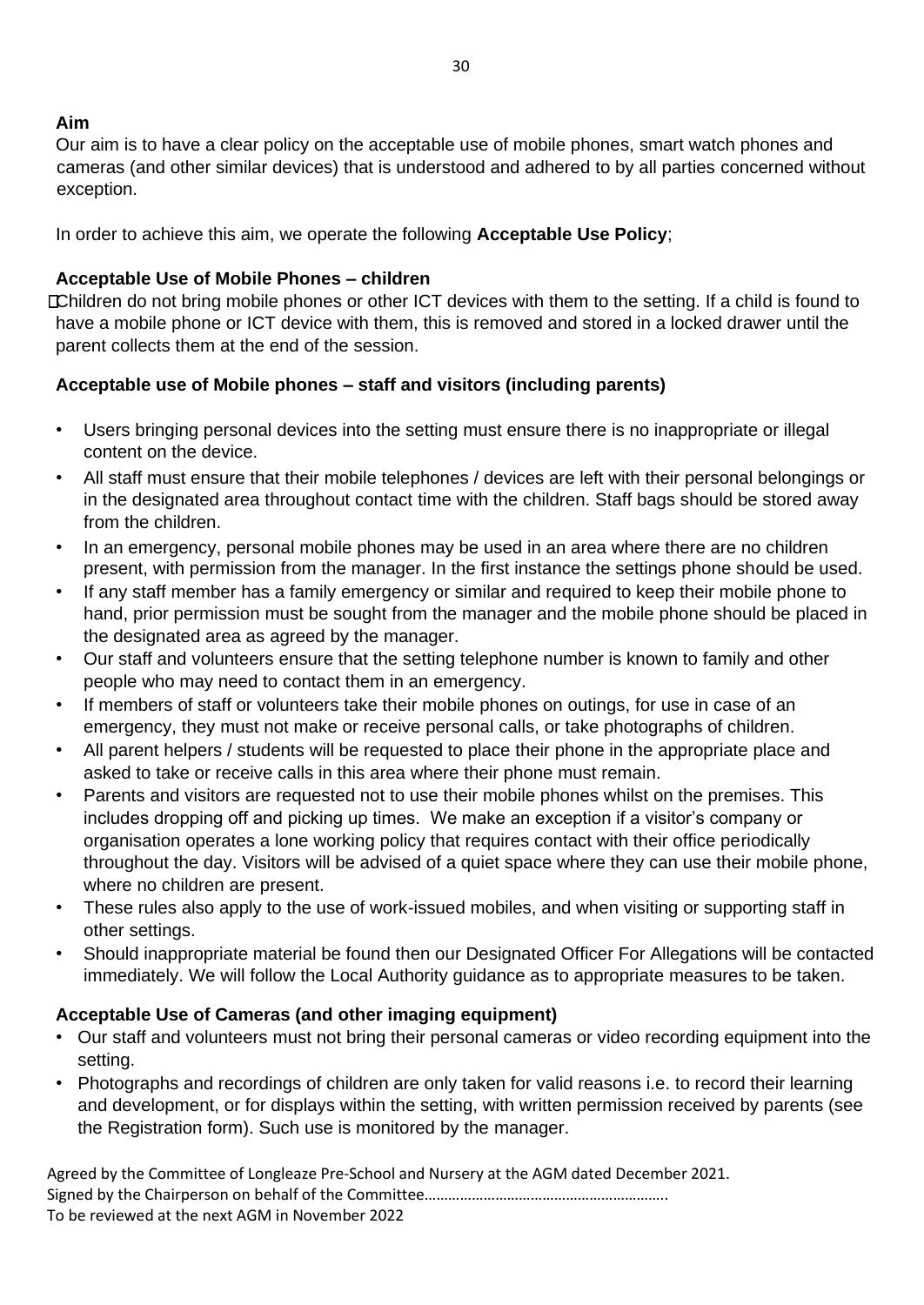# **Aim**

Our aim is to have a clear policy on the acceptable use of mobile phones, smart watch phones and cameras (and other similar devices) that is understood and adhered to by all parties concerned without exception.

In order to achieve this aim, we operate the following **Acceptable Use Policy**;

# **Acceptable Use of Mobile Phones – children**

Children do not bring mobile phones or other ICT devices with them to the setting. If a child is found to have a mobile phone or ICT device with them, this is removed and stored in a locked drawer until the parent collects them at the end of the session.

# **Acceptable use of Mobile phones – staff and visitors (including parents)**

- Users bringing personal devices into the setting must ensure there is no inappropriate or illegal content on the device.
- All staff must ensure that their mobile telephones / devices are left with their personal belongings or in the designated area throughout contact time with the children. Staff bags should be stored away from the children.
- In an emergency, personal mobile phones may be used in an area where there are no children present, with permission from the manager. In the first instance the settings phone should be used.
- If any staff member has a family emergency or similar and required to keep their mobile phone to hand, prior permission must be sought from the manager and the mobile phone should be placed in the designated area as agreed by the manager.
- Our staff and volunteers ensure that the setting telephone number is known to family and other people who may need to contact them in an emergency.
- If members of staff or volunteers take their mobile phones on outings, for use in case of an emergency, they must not make or receive personal calls, or take photographs of children.
- All parent helpers / students will be requested to place their phone in the appropriate place and asked to take or receive calls in this area where their phone must remain.
- Parents and visitors are requested not to use their mobile phones whilst on the premises. This includes dropping off and picking up times. We make an exception if a visitor's company or organisation operates a lone working policy that requires contact with their office periodically throughout the day. Visitors will be advised of a quiet space where they can use their mobile phone, where no children are present.
- These rules also apply to the use of work-issued mobiles, and when visiting or supporting staff in other settings.
- Should inappropriate material be found then our Designated Officer For Allegations will be contacted immediately. We will follow the Local Authority guidance as to appropriate measures to be taken.

# **Acceptable Use of Cameras (and other imaging equipment)**

- Our staff and volunteers must not bring their personal cameras or video recording equipment into the setting.
- Photographs and recordings of children are only taken for valid reasons i.e. to record their learning and development, or for displays within the setting, with written permission received by parents (see the Registration form). Such use is monitored by the manager.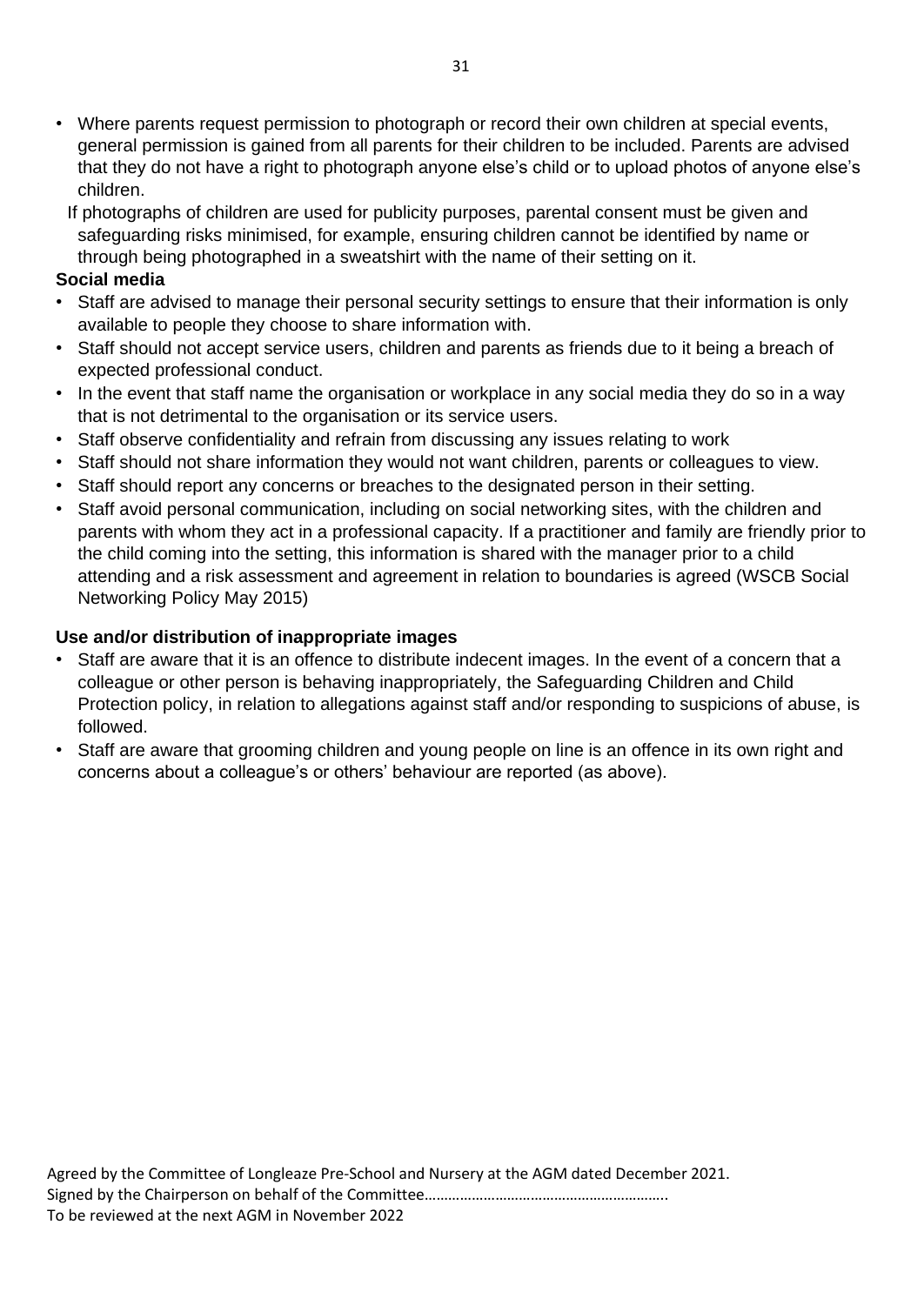- Where parents request permission to photograph or record their own children at special events, general permission is gained from all parents for their children to be included. Parents are advised that they do not have a right to photograph anyone else's child or to upload photos of anyone else's children.
	- If photographs of children are used for publicity purposes, parental consent must be given and safeguarding risks minimised, for example, ensuring children cannot be identified by name or through being photographed in a sweatshirt with the name of their setting on it.

### **Social media**

- Staff are advised to manage their personal security settings to ensure that their information is only available to people they choose to share information with.
- Staff should not accept service users, children and parents as friends due to it being a breach of expected professional conduct.
- In the event that staff name the organisation or workplace in any social media they do so in a way that is not detrimental to the organisation or its service users.
- Staff observe confidentiality and refrain from discussing any issues relating to work
- Staff should not share information they would not want children, parents or colleagues to view.
- Staff should report any concerns or breaches to the designated person in their setting.
- Staff avoid personal communication, including on social networking sites, with the children and parents with whom they act in a professional capacity. If a practitioner and family are friendly prior to the child coming into the setting, this information is shared with the manager prior to a child attending and a risk assessment and agreement in relation to boundaries is agreed (WSCB Social Networking Policy May 2015)

# **Use and/or distribution of inappropriate images**

- Staff are aware that it is an offence to distribute indecent images. In the event of a concern that a colleague or other person is behaving inappropriately, the Safeguarding Children and Child Protection policy, in relation to allegations against staff and/or responding to suspicions of abuse, is followed.
- Staff are aware that grooming children and young people on line is an offence in its own right and concerns about a colleague's or others' behaviour are reported (as above).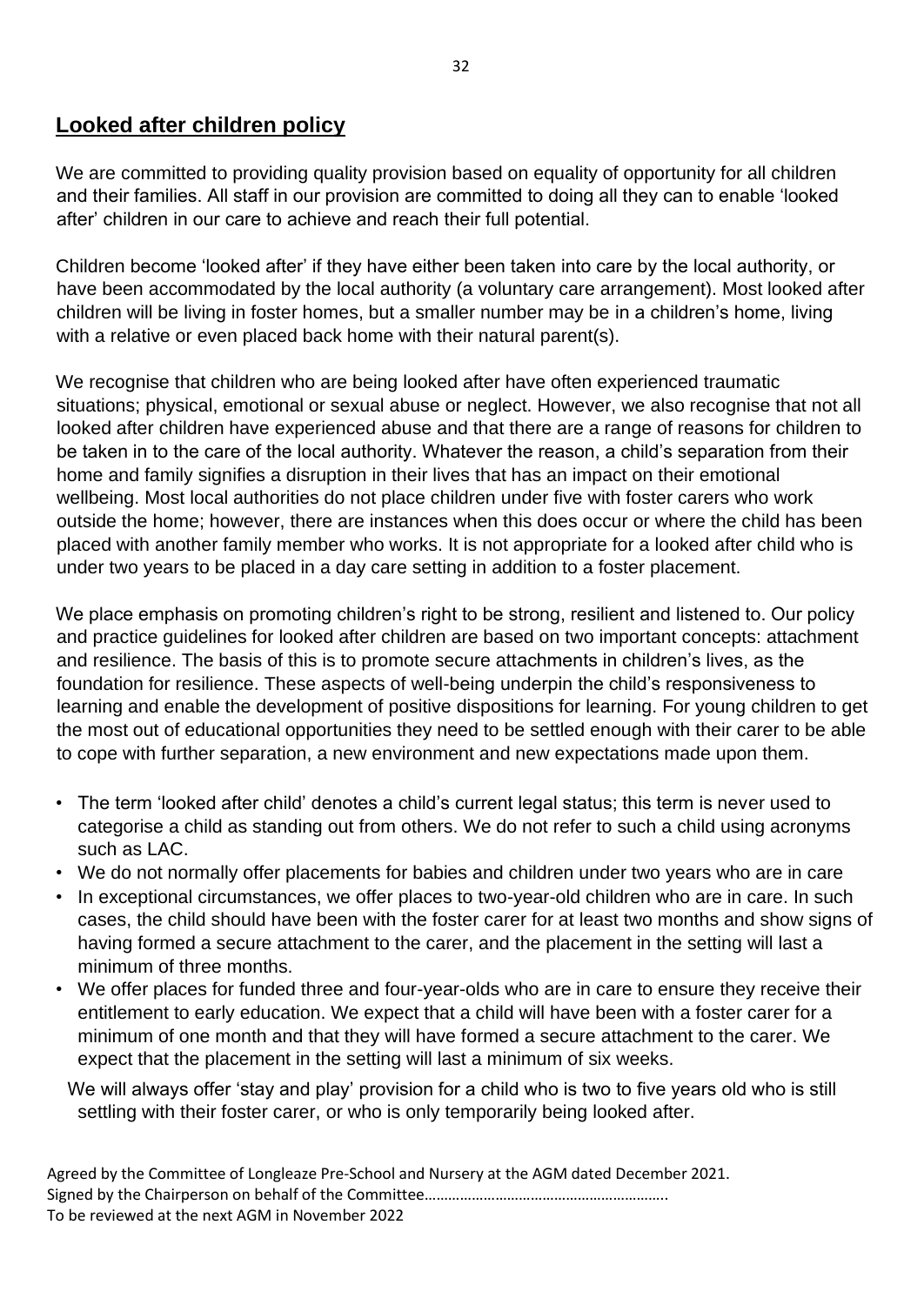# **Looked after children policy**

We are committed to providing quality provision based on equality of opportunity for all children and their families. All staff in our provision are committed to doing all they can to enable 'looked after' children in our care to achieve and reach their full potential.

Children become 'looked after' if they have either been taken into care by the local authority, or have been accommodated by the local authority (a voluntary care arrangement). Most looked after children will be living in foster homes, but a smaller number may be in a children's home, living with a relative or even placed back home with their natural parent(s).

We recognise that children who are being looked after have often experienced traumatic situations; physical, emotional or sexual abuse or neglect. However, we also recognise that not all looked after children have experienced abuse and that there are a range of reasons for children to be taken in to the care of the local authority. Whatever the reason, a child's separation from their home and family signifies a disruption in their lives that has an impact on their emotional wellbeing. Most local authorities do not place children under five with foster carers who work outside the home; however, there are instances when this does occur or where the child has been placed with another family member who works. It is not appropriate for a looked after child who is under two years to be placed in a day care setting in addition to a foster placement.

We place emphasis on promoting children's right to be strong, resilient and listened to. Our policy and practice guidelines for looked after children are based on two important concepts: attachment and resilience. The basis of this is to promote secure attachments in children's lives, as the foundation for resilience. These aspects of well-being underpin the child's responsiveness to learning and enable the development of positive dispositions for learning. For young children to get the most out of educational opportunities they need to be settled enough with their carer to be able to cope with further separation, a new environment and new expectations made upon them.

- The term 'looked after child' denotes a child's current legal status; this term is never used to categorise a child as standing out from others. We do not refer to such a child using acronyms such as LAC.
- We do not normally offer placements for babies and children under two years who are in care
- In exceptional circumstances, we offer places to two-year-old children who are in care. In such cases, the child should have been with the foster carer for at least two months and show signs of having formed a secure attachment to the carer, and the placement in the setting will last a minimum of three months.
- We offer places for funded three and four-year-olds who are in care to ensure they receive their entitlement to early education. We expect that a child will have been with a foster carer for a minimum of one month and that they will have formed a secure attachment to the carer. We expect that the placement in the setting will last a minimum of six weeks.

We will always offer 'stay and play' provision for a child who is two to five years old who is still settling with their foster carer, or who is only temporarily being looked after.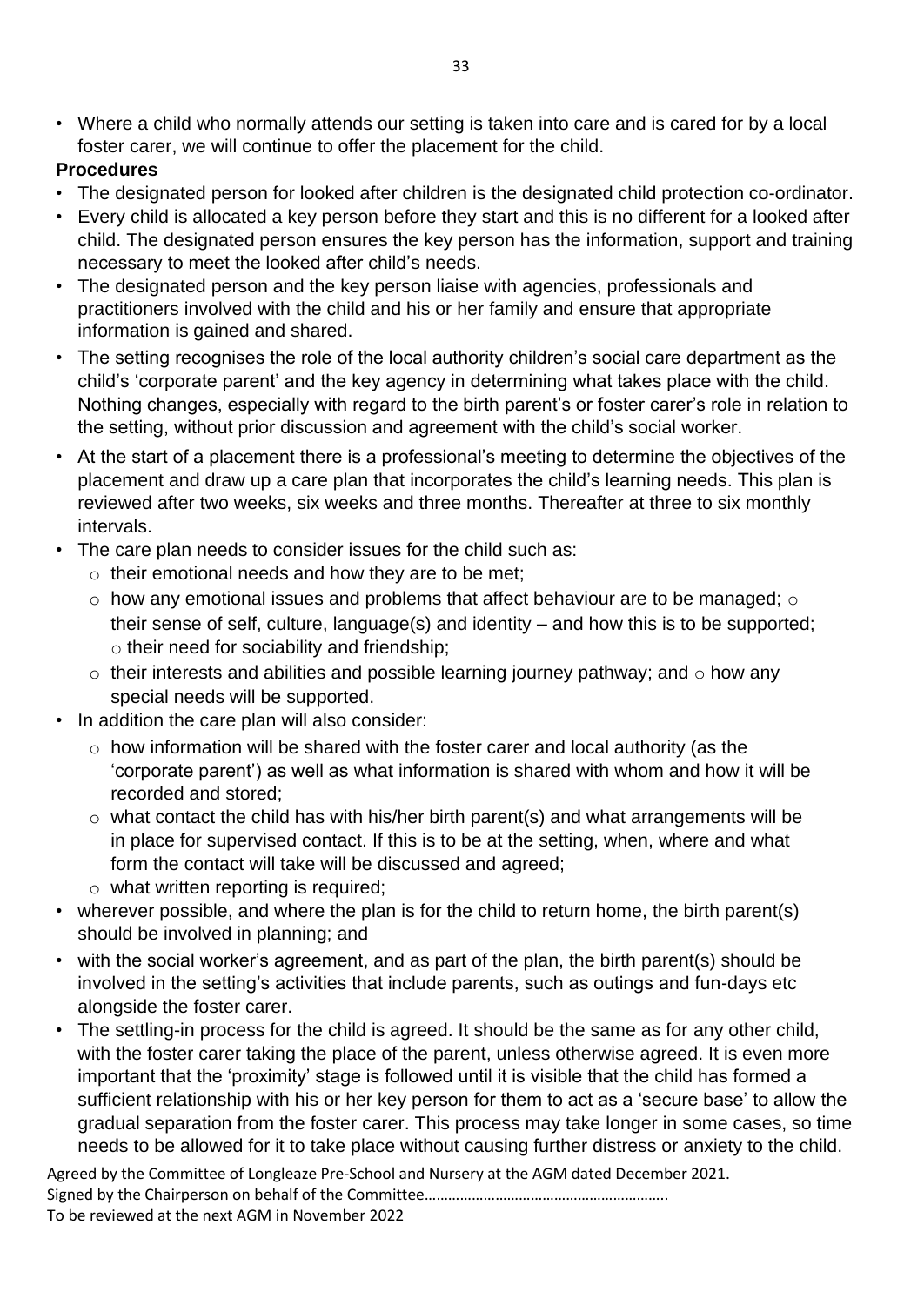• Where a child who normally attends our setting is taken into care and is cared for by a local foster carer, we will continue to offer the placement for the child.

# **Procedures**

- The designated person for looked after children is the designated child protection co-ordinator.
- Every child is allocated a key person before they start and this is no different for a looked after child. The designated person ensures the key person has the information, support and training necessary to meet the looked after child's needs.
- The designated person and the key person liaise with agencies, professionals and practitioners involved with the child and his or her family and ensure that appropriate information is gained and shared.
- The setting recognises the role of the local authority children's social care department as the child's 'corporate parent' and the key agency in determining what takes place with the child. Nothing changes, especially with regard to the birth parent's or foster carer's role in relation to the setting, without prior discussion and agreement with the child's social worker.
- At the start of a placement there is a professional's meeting to determine the objectives of the placement and draw up a care plan that incorporates the child's learning needs. This plan is reviewed after two weeks, six weeks and three months. Thereafter at three to six monthly intervals.
- The care plan needs to consider issues for the child such as:
	- $\circ$  their emotional needs and how they are to be met;
	- $\circ$  how any emotional issues and problems that affect behaviour are to be managed;  $\circ$ their sense of self, culture, language(s) and identity – and how this is to be supported; o their need for sociability and friendship;
	- $\circ$  their interests and abilities and possible learning journey pathway; and  $\circ$  how any special needs will be supported.
- In addition the care plan will also consider:
	- $\circ$  how information will be shared with the foster carer and local authority (as the 'corporate parent') as well as what information is shared with whom and how it will be recorded and stored;
	- $\circ$  what contact the child has with his/her birth parent(s) and what arrangements will be in place for supervised contact. If this is to be at the setting, when, where and what form the contact will take will be discussed and agreed;
	- $\circ$  what written reporting is required;
- wherever possible, and where the plan is for the child to return home, the birth parent(s) should be involved in planning; and
- with the social worker's agreement, and as part of the plan, the birth parent(s) should be involved in the setting's activities that include parents, such as outings and fun-days etc alongside the foster carer.
- The settling-in process for the child is agreed. It should be the same as for any other child, with the foster carer taking the place of the parent, unless otherwise agreed. It is even more important that the 'proximity' stage is followed until it is visible that the child has formed a sufficient relationship with his or her key person for them to act as a 'secure base' to allow the gradual separation from the foster carer. This process may take longer in some cases, so time needs to be allowed for it to take place without causing further distress or anxiety to the child.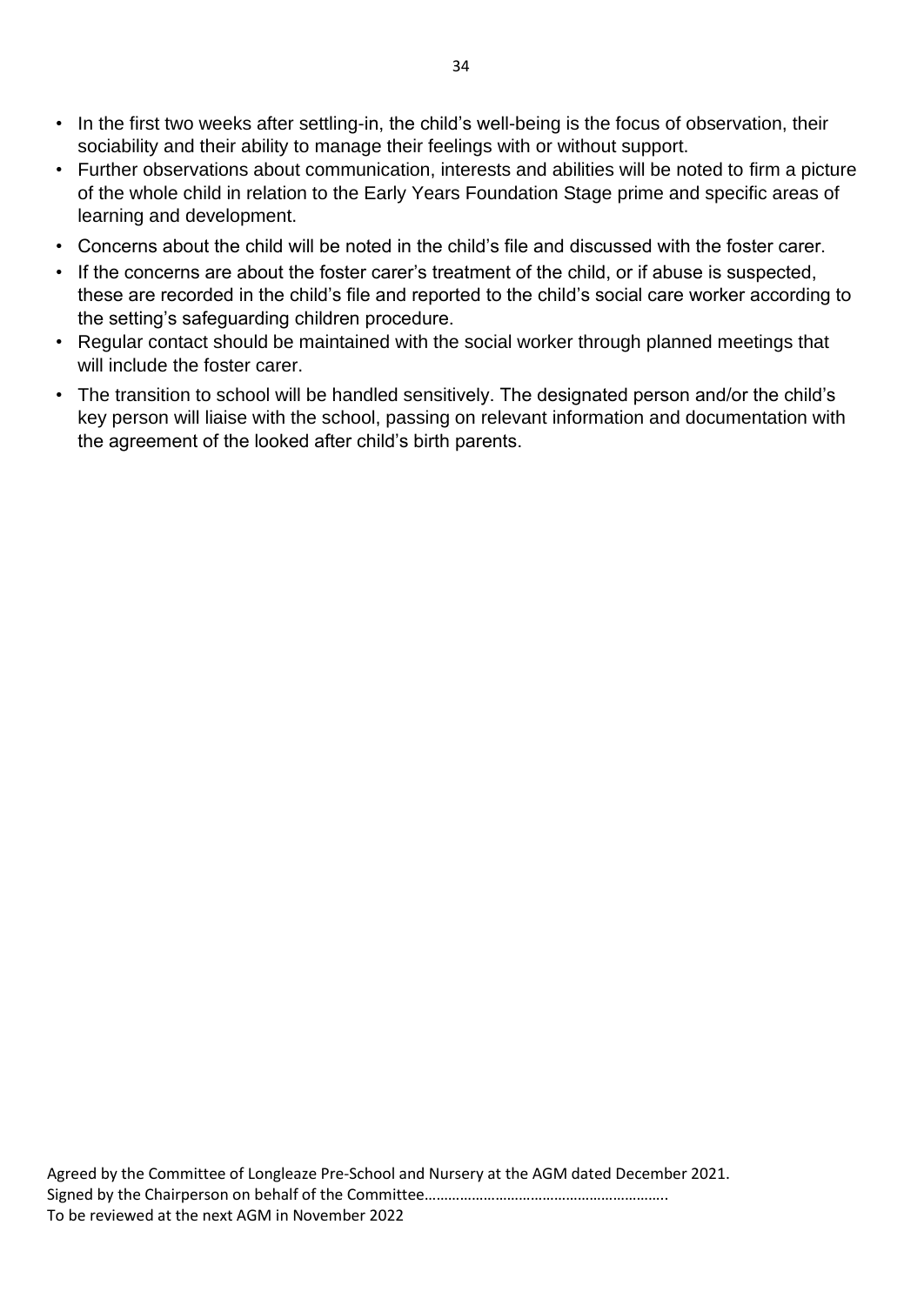- In the first two weeks after settling-in, the child's well-being is the focus of observation, their sociability and their ability to manage their feelings with or without support.
- Further observations about communication, interests and abilities will be noted to firm a picture of the whole child in relation to the Early Years Foundation Stage prime and specific areas of learning and development.
- Concerns about the child will be noted in the child's file and discussed with the foster carer.
- If the concerns are about the foster carer's treatment of the child, or if abuse is suspected, these are recorded in the child's file and reported to the child's social care worker according to the setting's safeguarding children procedure.
- Regular contact should be maintained with the social worker through planned meetings that will include the foster carer.
- The transition to school will be handled sensitively. The designated person and/or the child's key person will liaise with the school, passing on relevant information and documentation with the agreement of the looked after child's birth parents.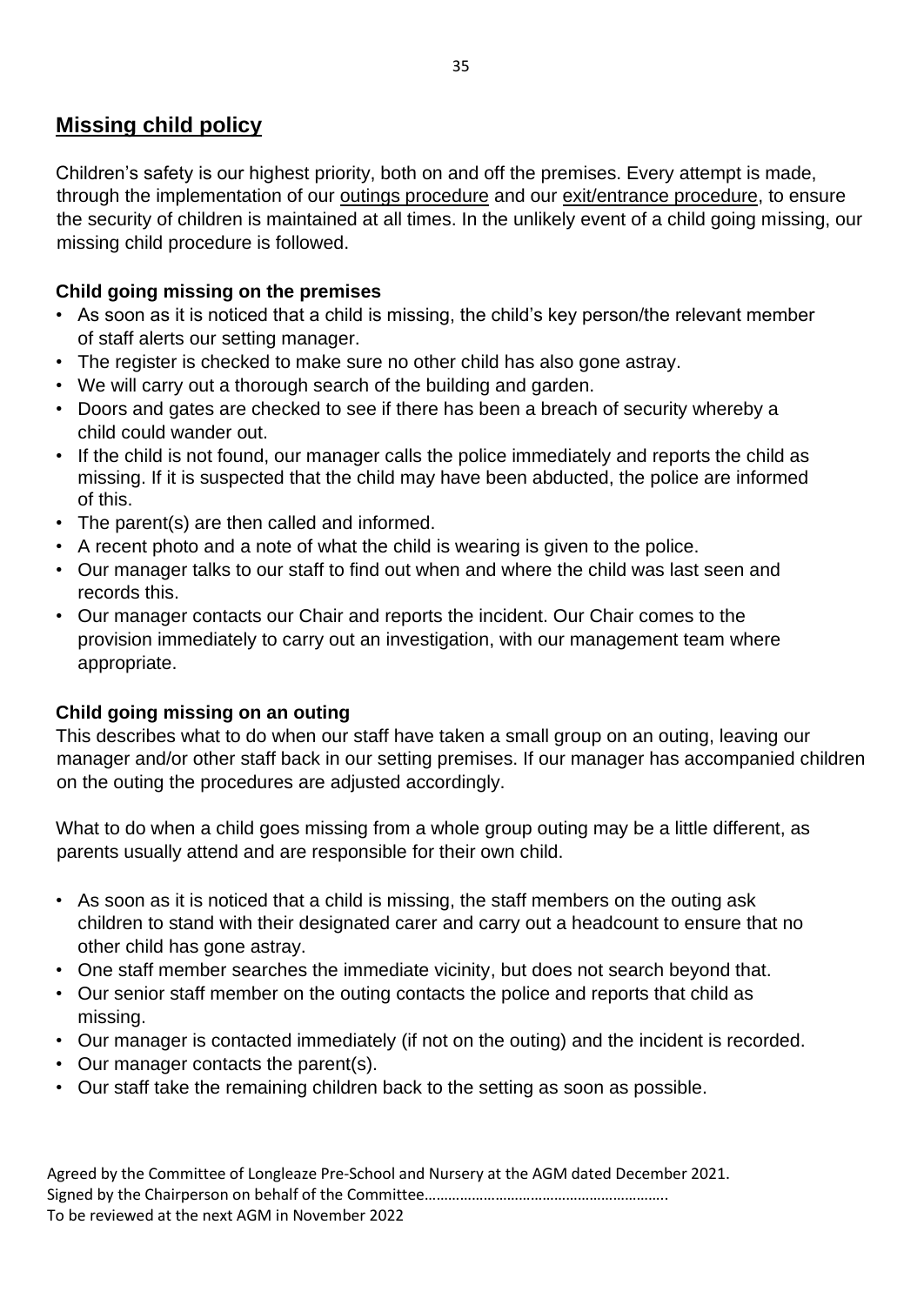# **Missing child policy**

Children's safety is our highest priority, both on and off the premises. Every attempt is made, through the implementation of our outings procedure and our exit/entrance procedure, to ensure the security of children is maintained at all times. In the unlikely event of a child going missing, our missing child procedure is followed.

# **Child going missing on the premises**

- As soon as it is noticed that a child is missing, the child's key person/the relevant member of staff alerts our setting manager.
- The register is checked to make sure no other child has also gone astray.
- We will carry out a thorough search of the building and garden.
- Doors and gates are checked to see if there has been a breach of security whereby a child could wander out.
- If the child is not found, our manager calls the police immediately and reports the child as missing. If it is suspected that the child may have been abducted, the police are informed of this.
- The parent(s) are then called and informed.
- A recent photo and a note of what the child is wearing is given to the police.
- Our manager talks to our staff to find out when and where the child was last seen and records this.
- Our manager contacts our Chair and reports the incident. Our Chair comes to the provision immediately to carry out an investigation, with our management team where appropriate.

# **Child going missing on an outing**

This describes what to do when our staff have taken a small group on an outing, leaving our manager and/or other staff back in our setting premises. If our manager has accompanied children on the outing the procedures are adjusted accordingly.

What to do when a child goes missing from a whole group outing may be a little different, as parents usually attend and are responsible for their own child.

- As soon as it is noticed that a child is missing, the staff members on the outing ask children to stand with their designated carer and carry out a headcount to ensure that no other child has gone astray.
- One staff member searches the immediate vicinity, but does not search beyond that.
- Our senior staff member on the outing contacts the police and reports that child as missing.
- Our manager is contacted immediately (if not on the outing) and the incident is recorded.
- Our manager contacts the parent(s).
- Our staff take the remaining children back to the setting as soon as possible.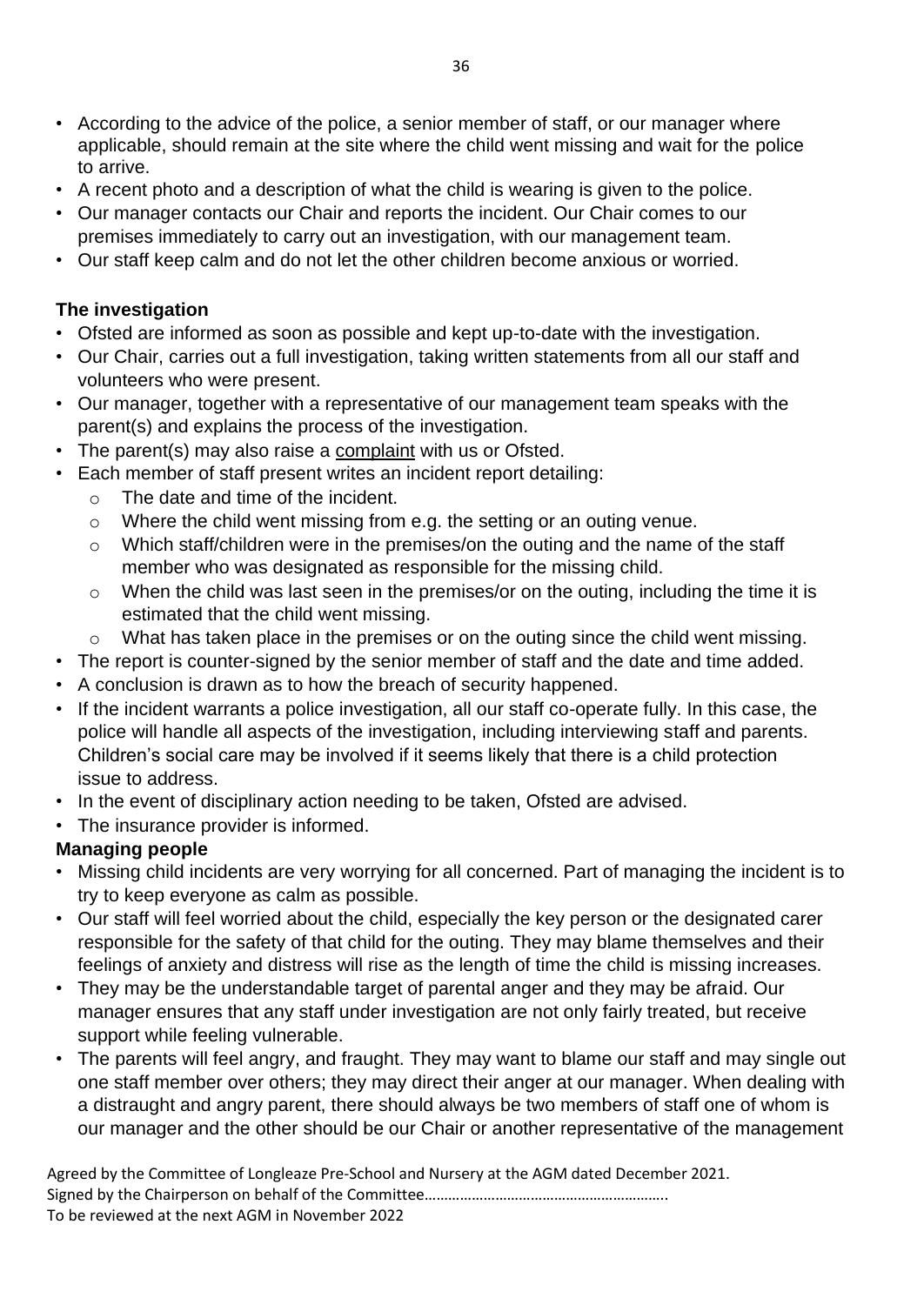- According to the advice of the police, a senior member of staff, or our manager where applicable, should remain at the site where the child went missing and wait for the police to arrive.
- A recent photo and a description of what the child is wearing is given to the police.
- Our manager contacts our Chair and reports the incident. Our Chair comes to our premises immediately to carry out an investigation, with our management team.
- Our staff keep calm and do not let the other children become anxious or worried.

# **The investigation**

- Ofsted are informed as soon as possible and kept up-to-date with the investigation.
- Our Chair, carries out a full investigation, taking written statements from all our staff and volunteers who were present.
- Our manager, together with a representative of our management team speaks with the parent(s) and explains the process of the investigation.
- The parent(s) may also raise a complaint with us or Ofsted.
- Each member of staff present writes an incident report detailing:
	- o The date and time of the incident.
	- o Where the child went missing from e.g. the setting or an outing venue.
	- o Which staff/children were in the premises/on the outing and the name of the staff member who was designated as responsible for the missing child.
	- o When the child was last seen in the premises/or on the outing, including the time it is estimated that the child went missing.
	- o What has taken place in the premises or on the outing since the child went missing.
- The report is counter-signed by the senior member of staff and the date and time added.
- A conclusion is drawn as to how the breach of security happened.
- If the incident warrants a police investigation, all our staff co-operate fully. In this case, the police will handle all aspects of the investigation, including interviewing staff and parents. Children's social care may be involved if it seems likely that there is a child protection issue to address.
- In the event of disciplinary action needing to be taken, Ofsted are advised.
- The insurance provider is informed.

# **Managing people**

- Missing child incidents are very worrying for all concerned. Part of managing the incident is to try to keep everyone as calm as possible.
- Our staff will feel worried about the child, especially the key person or the designated carer responsible for the safety of that child for the outing. They may blame themselves and their feelings of anxiety and distress will rise as the length of time the child is missing increases.
- They may be the understandable target of parental anger and they may be afraid. Our manager ensures that any staff under investigation are not only fairly treated, but receive support while feeling vulnerable.
- The parents will feel angry, and fraught. They may want to blame our staff and may single out one staff member over others; they may direct their anger at our manager. When dealing with a distraught and angry parent, there should always be two members of staff one of whom is our manager and the other should be our Chair or another representative of the management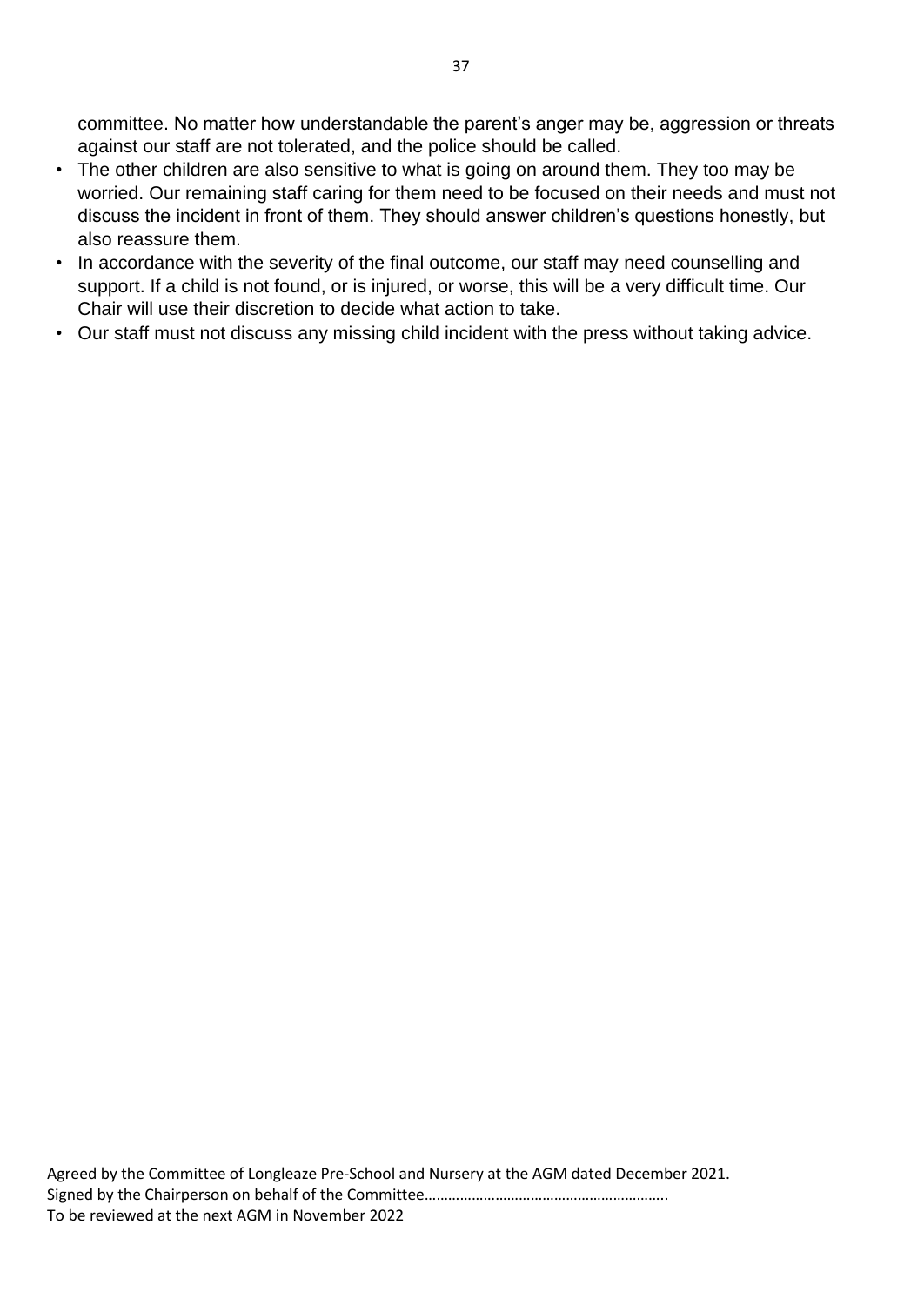committee. No matter how understandable the parent's anger may be, aggression or threats against our staff are not tolerated, and the police should be called.

- The other children are also sensitive to what is going on around them. They too may be worried. Our remaining staff caring for them need to be focused on their needs and must not discuss the incident in front of them. They should answer children's questions honestly, but also reassure them.
- In accordance with the severity of the final outcome, our staff may need counselling and support. If a child is not found, or is injured, or worse, this will be a very difficult time. Our Chair will use their discretion to decide what action to take.
- Our staff must not discuss any missing child incident with the press without taking advice.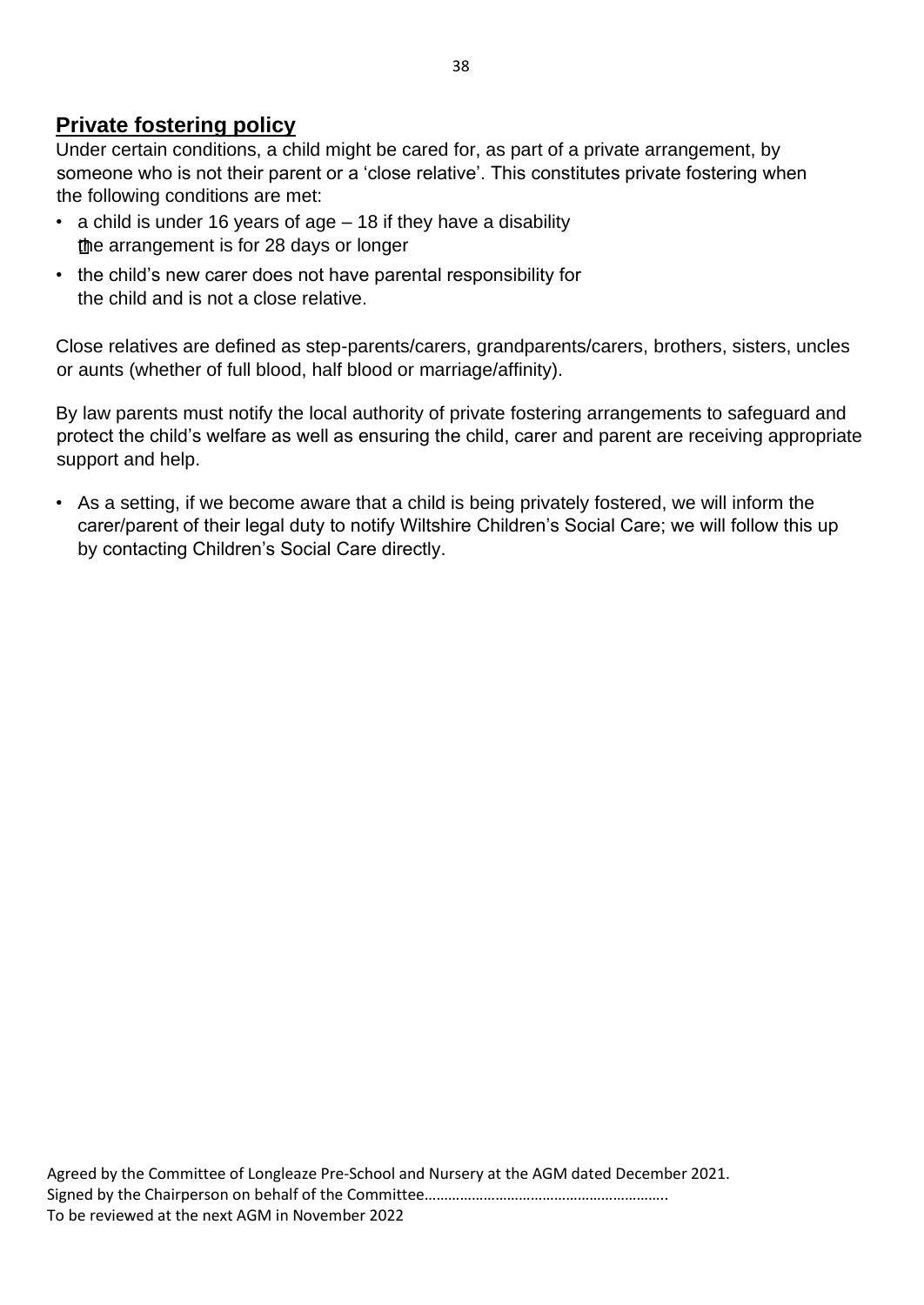# **Private fostering policy**

Under certain conditions, a child might be cared for, as part of a private arrangement, by someone who is not their parent or a 'close relative'. This constitutes private fostering when the following conditions are met:

- a child is under 16 years of age 18 if they have a disability the arrangement is for 28 days or longer
- the child's new carer does not have parental responsibility for the child and is not a close relative.

Close relatives are defined as step-parents/carers, grandparents/carers, brothers, sisters, uncles or aunts (whether of full blood, half blood or marriage/affinity).

By law parents must notify the local authority of private fostering arrangements to safeguard and protect the child's welfare as well as ensuring the child, carer and parent are receiving appropriate support and help.

• As a setting, if we become aware that a child is being privately fostered, we will inform the carer/parent of their legal duty to notify Wiltshire Children's Social Care; we will follow this up by contacting Children's Social Care directly.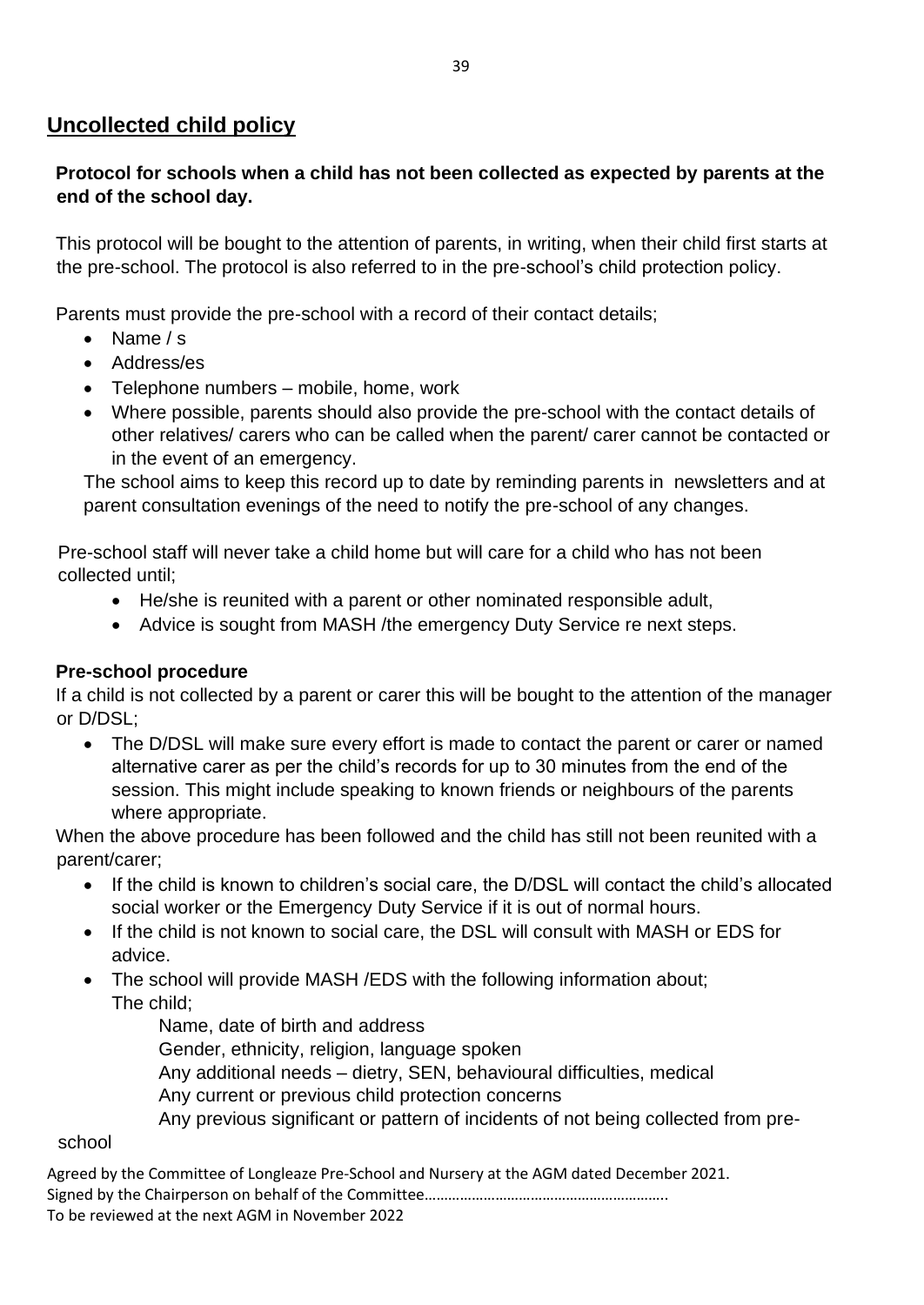# **Uncollected child policy**

# **Protocol for schools when a child has not been collected as expected by parents at the end of the school day.**

This protocol will be bought to the attention of parents, in writing, when their child first starts at the pre-school. The protocol is also referred to in the pre-school's child protection policy.

Parents must provide the pre-school with a record of their contact details;

- Name / s
- Address/es
- Telephone numbers mobile, home, work
- Where possible, parents should also provide the pre-school with the contact details of other relatives/ carers who can be called when the parent/ carer cannot be contacted or in the event of an emergency.

The school aims to keep this record up to date by reminding parents in newsletters and at parent consultation evenings of the need to notify the pre-school of any changes.

Pre-school staff will never take a child home but will care for a child who has not been collected until;

- He/she is reunited with a parent or other nominated responsible adult,
- Advice is sought from MASH /the emergency Duty Service re next steps.

# **Pre-school procedure**

If a child is not collected by a parent or carer this will be bought to the attention of the manager or D/DSL;

• The D/DSL will make sure every effort is made to contact the parent or carer or named alternative carer as per the child's records for up to 30 minutes from the end of the session. This might include speaking to known friends or neighbours of the parents where appropriate.

When the above procedure has been followed and the child has still not been reunited with a parent/carer;

- If the child is known to children's social care, the D/DSL will contact the child's allocated social worker or the Emergency Duty Service if it is out of normal hours.
- If the child is not known to social care, the DSL will consult with MASH or EDS for advice.
- The school will provide MASH /EDS with the following information about; The child;

Name, date of birth and address Gender, ethnicity, religion, language spoken Any additional needs – dietry, SEN, behavioural difficulties, medical Any current or previous child protection concerns Any previous significant or pattern of incidents of not being collected from pre-

school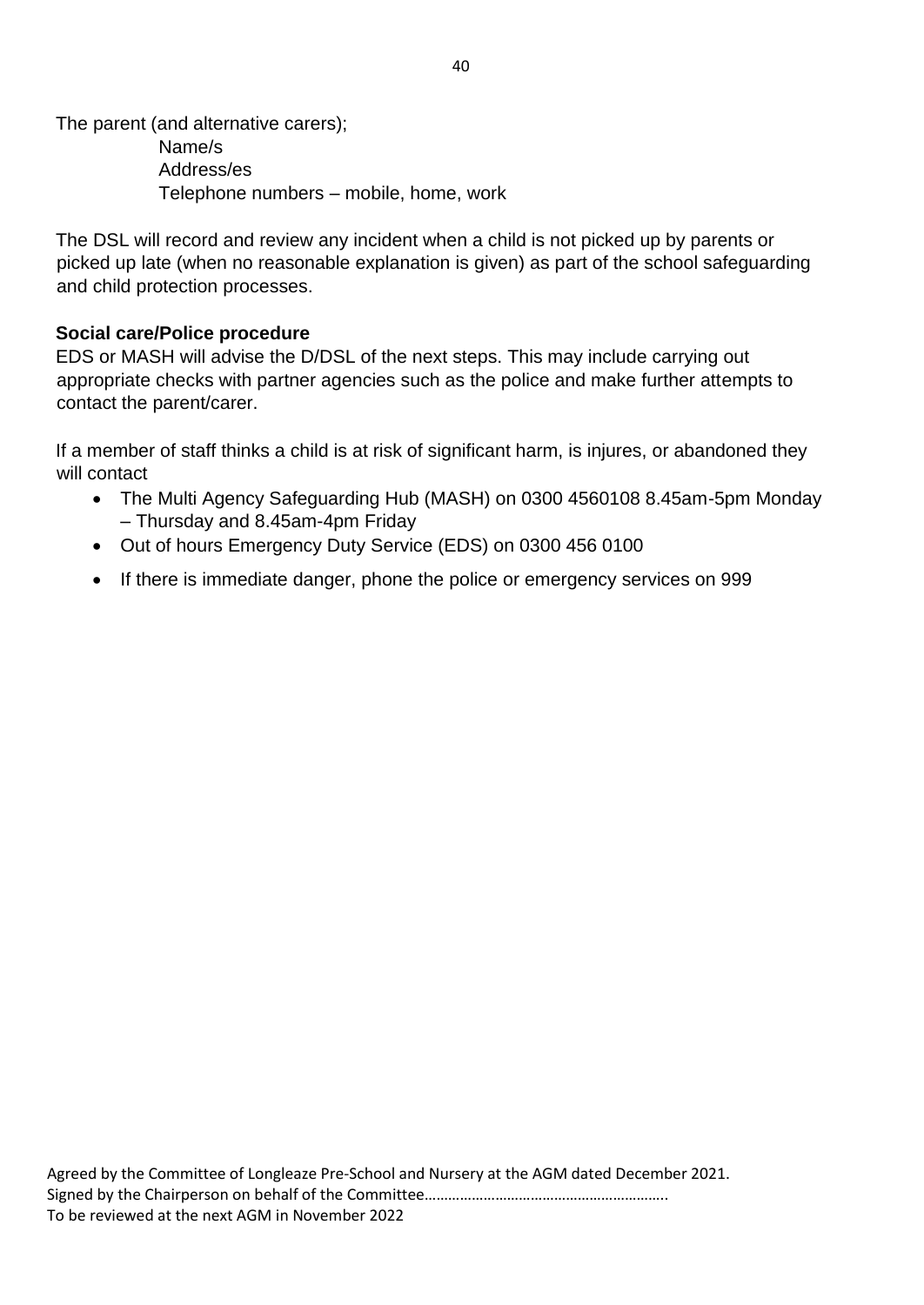The parent (and alternative carers); Name/s Address/es Telephone numbers – mobile, home, work

The DSL will record and review any incident when a child is not picked up by parents or picked up late (when no reasonable explanation is given) as part of the school safeguarding and child protection processes.

# **Social care/Police procedure**

EDS or MASH will advise the D/DSL of the next steps. This may include carrying out appropriate checks with partner agencies such as the police and make further attempts to contact the parent/carer.

If a member of staff thinks a child is at risk of significant harm, is injures, or abandoned they will contact

- The Multi Agency Safeguarding Hub (MASH) on 0300 4560108 8.45am-5pm Monday – Thursday and 8.45am-4pm Friday
- Out of hours Emergency Duty Service (EDS) on 0300 456 0100
- If there is immediate danger, phone the police or emergency services on 999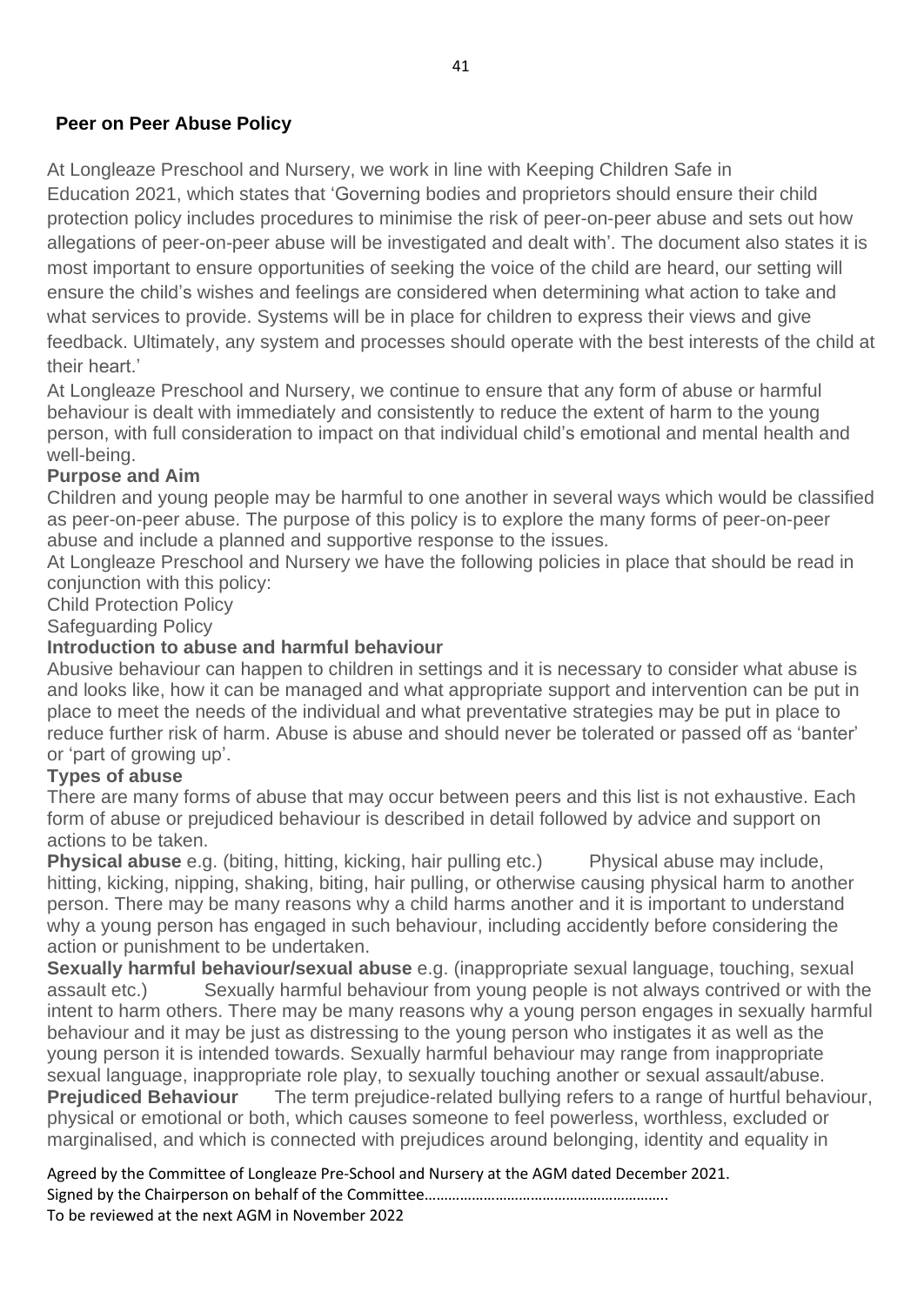# **Peer on Peer Abuse Policy**

At Longleaze Preschool and Nursery, we work in line with Keeping Children Safe in Education 2021, which states that 'Governing bodies and proprietors should ensure their child protection policy includes procedures to minimise the risk of peer-on-peer abuse and sets out how allegations of peer-on-peer abuse will be investigated and dealt with'. The document also states it is most important to ensure opportunities of seeking the voice of the child are heard, our setting will ensure the child's wishes and feelings are considered when determining what action to take and what services to provide. Systems will be in place for children to express their views and give feedback. Ultimately, any system and processes should operate with the best interests of the child at their heart.'

At Longleaze Preschool and Nursery, we continue to ensure that any form of abuse or harmful behaviour is dealt with immediately and consistently to reduce the extent of harm to the young person, with full consideration to impact on that individual child's emotional and mental health and well-being.

# **Purpose and Aim**

Children and young people may be harmful to one another in several ways which would be classified as peer-on-peer abuse. The purpose of this policy is to explore the many forms of peer-on-peer abuse and include a planned and supportive response to the issues.

At Longleaze Preschool and Nursery we have the following policies in place that should be read in conjunction with this policy:

Child Protection Policy

Safeguarding Policy

### **Introduction to abuse and harmful behaviour**

Abusive behaviour can happen to children in settings and it is necessary to consider what abuse is and looks like, how it can be managed and what appropriate support and intervention can be put in place to meet the needs of the individual and what preventative strategies may be put in place to reduce further risk of harm. Abuse is abuse and should never be tolerated or passed off as 'banter' or 'part of growing up'.

# **Types of abuse**

There are many forms of abuse that may occur between peers and this list is not exhaustive. Each form of abuse or prejudiced behaviour is described in detail followed by advice and support on actions to be taken.

**Physical abuse** e.g. (biting, hitting, kicking, hair pulling etc.) Physical abuse may include, hitting, kicking, nipping, shaking, biting, hair pulling, or otherwise causing physical harm to another person. There may be many reasons why a child harms another and it is important to understand why a young person has engaged in such behaviour, including accidently before considering the action or punishment to be undertaken.

**Sexually harmful behaviour/sexual abuse** e.g. (inappropriate sexual language, touching, sexual assault etc.) Sexually harmful behaviour from young people is not always contrived or with the intent to harm others. There may be many reasons why a young person engages in sexually harmful behaviour and it may be just as distressing to the young person who instigates it as well as the young person it is intended towards. Sexually harmful behaviour may range from inappropriate sexual language, inappropriate role play, to sexually touching another or sexual assault/abuse. **Prejudiced Behaviour** The term prejudice-related bullying refers to a range of hurtful behaviour, physical or emotional or both, which causes someone to feel powerless, worthless, excluded or marginalised, and which is connected with prejudices around belonging, identity and equality in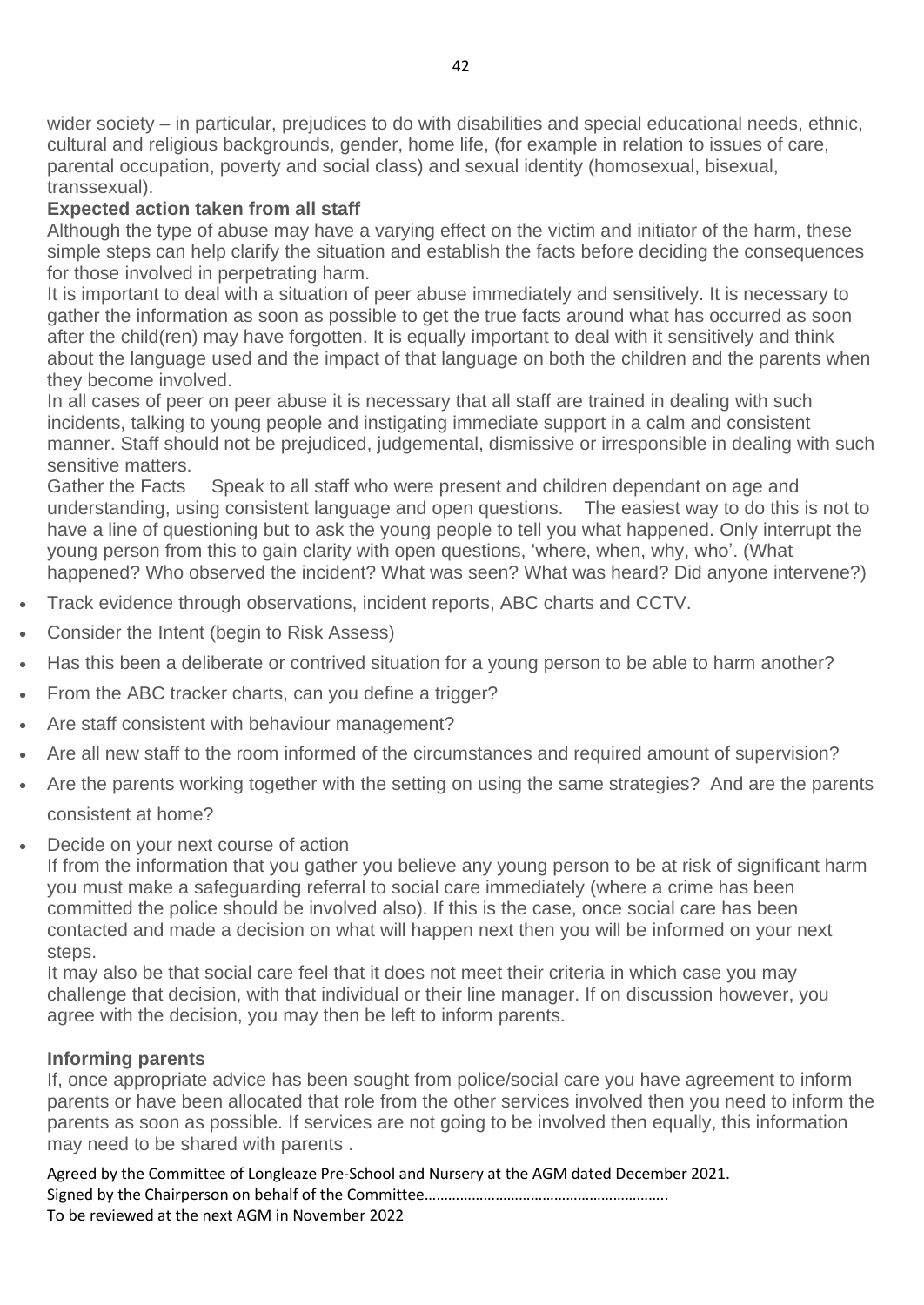wider society – in particular, prejudices to do with disabilities and special educational needs, ethnic, cultural and religious backgrounds, gender, home life, (for example in relation to issues of care, parental occupation, poverty and social class) and sexual identity (homosexual, bisexual, transsexual).

# **Expected action taken from all staff**

Although the type of abuse may have a varying effect on the victim and initiator of the harm, these simple steps can help clarify the situation and establish the facts before deciding the consequences for those involved in perpetrating harm.

It is important to deal with a situation of peer abuse immediately and sensitively. It is necessary to gather the information as soon as possible to get the true facts around what has occurred as soon after the child(ren) may have forgotten. It is equally important to deal with it sensitively and think about the language used and the impact of that language on both the children and the parents when they become involved.

In all cases of peer on peer abuse it is necessary that all staff are trained in dealing with such incidents, talking to young people and instigating immediate support in a calm and consistent manner. Staff should not be prejudiced, judgemental, dismissive or irresponsible in dealing with such sensitive matters.

Gather the Facts Speak to all staff who were present and children dependant on age and understanding, using consistent language and open questions. The easiest way to do this is not to have a line of questioning but to ask the young people to tell you what happened. Only interrupt the young person from this to gain clarity with open questions, 'where, when, why, who'. (What happened? Who observed the incident? What was seen? What was heard? Did anyone intervene?)

- Track evidence through observations, incident reports, ABC charts and CCTV.
- Consider the Intent (begin to Risk Assess)
- Has this been a deliberate or contrived situation for a young person to be able to harm another?
- From the ABC tracker charts, can you define a trigger?
- Are staff consistent with behaviour management?
- Are all new staff to the room informed of the circumstances and required amount of supervision?
- Are the parents working together with the setting on using the same strategies? And are the parents consistent at home?
- Decide on your next course of action

If from the information that you gather you believe any young person to be at risk of significant harm you must make a safeguarding referral to social care immediately (where a crime has been committed the police should be involved also). If this is the case, once social care has been contacted and made a decision on what will happen next then you will be informed on your next steps.

It may also be that social care feel that it does not meet their criteria in which case you may challenge that decision, with that individual or their line manager. If on discussion however, you agree with the decision, you may then be left to inform parents.

# **Informing parents**

If, once appropriate advice has been sought from police/social care you have agreement to inform parents or have been allocated that role from the other services involved then you need to inform the parents as soon as possible. If services are not going to be involved then equally, this information may need to be shared with parents .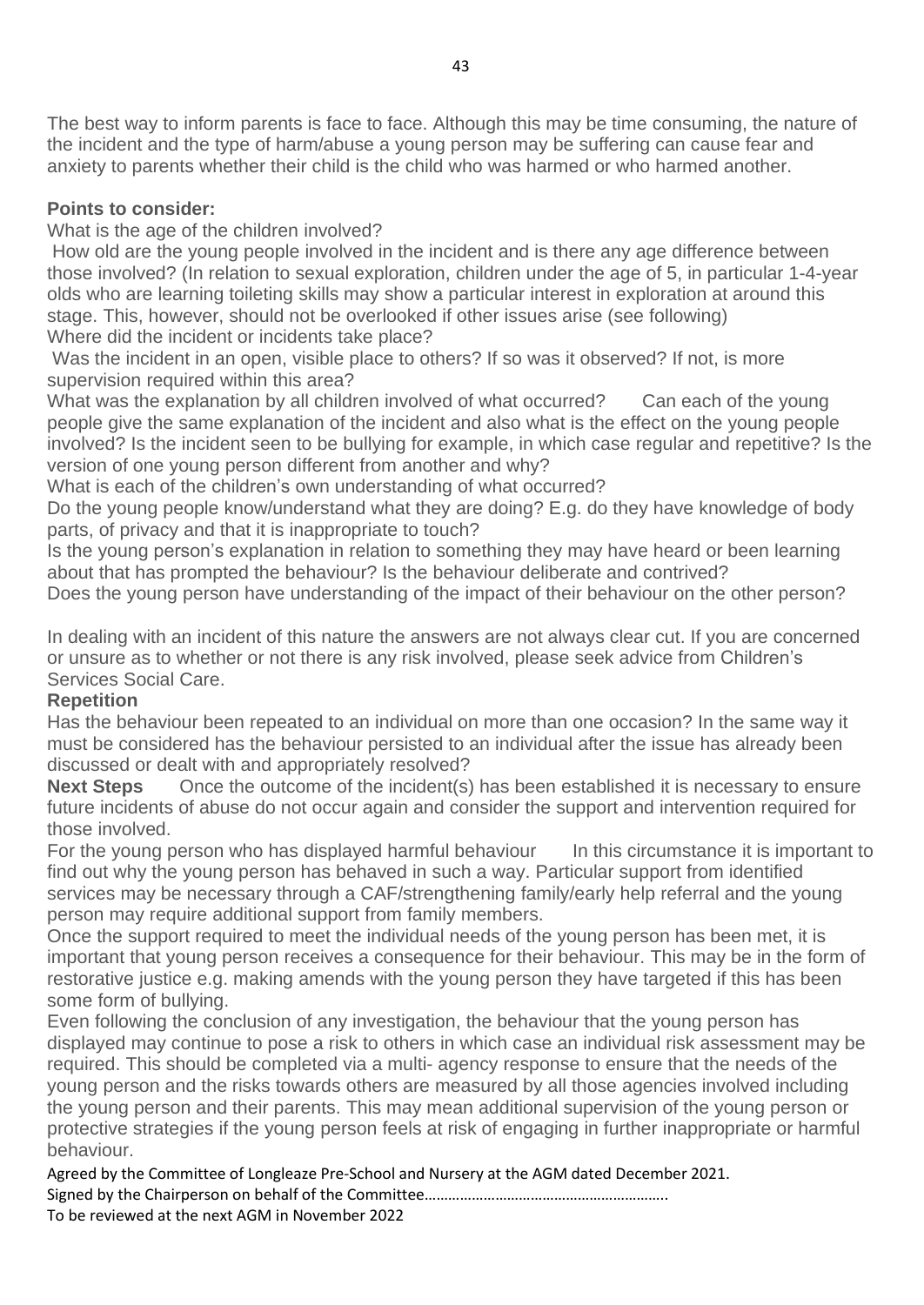The best way to inform parents is face to face. Although this may be time consuming, the nature of the incident and the type of harm/abuse a young person may be suffering can cause fear and anxiety to parents whether their child is the child who was harmed or who harmed another.

# **Points to consider:**

What is the age of the children involved?

How old are the young people involved in the incident and is there any age difference between those involved? (In relation to sexual exploration, children under the age of 5, in particular 1-4-year olds who are learning toileting skills may show a particular interest in exploration at around this stage. This, however, should not be overlooked if other issues arise (see following) Where did the incident or incidents take place?

Was the incident in an open, visible place to others? If so was it observed? If not, is more supervision required within this area?

What was the explanation by all children involved of what occurred? Can each of the young people give the same explanation of the incident and also what is the effect on the young people involved? Is the incident seen to be bullying for example, in which case regular and repetitive? Is the version of one young person different from another and why?

What is each of the children's own understanding of what occurred?

Do the young people know/understand what they are doing? E.g. do they have knowledge of body parts, of privacy and that it is inappropriate to touch?

Is the young person's explanation in relation to something they may have heard or been learning about that has prompted the behaviour? Is the behaviour deliberate and contrived?

Does the young person have understanding of the impact of their behaviour on the other person?

In dealing with an incident of this nature the answers are not always clear cut. If you are concerned or unsure as to whether or not there is any risk involved, please seek advice from Children's Services Social Care.

# **Repetition**

Has the behaviour been repeated to an individual on more than one occasion? In the same way it must be considered has the behaviour persisted to an individual after the issue has already been discussed or dealt with and appropriately resolved?

**Next Steps** Once the outcome of the incident(s) has been established it is necessary to ensure future incidents of abuse do not occur again and consider the support and intervention required for those involved.

For the young person who has displayed harmful behaviour In this circumstance it is important to find out why the young person has behaved in such a way. Particular support from identified services may be necessary through a CAF/strengthening family/early help referral and the young person may require additional support from family members.

Once the support required to meet the individual needs of the young person has been met, it is important that young person receives a consequence for their behaviour. This may be in the form of restorative justice e.g. making amends with the young person they have targeted if this has been some form of bullying.

Even following the conclusion of any investigation, the behaviour that the young person has displayed may continue to pose a risk to others in which case an individual risk assessment may be required. This should be completed via a multi- agency response to ensure that the needs of the young person and the risks towards others are measured by all those agencies involved including the young person and their parents. This may mean additional supervision of the young person or protective strategies if the young person feels at risk of engaging in further inappropriate or harmful behaviour.